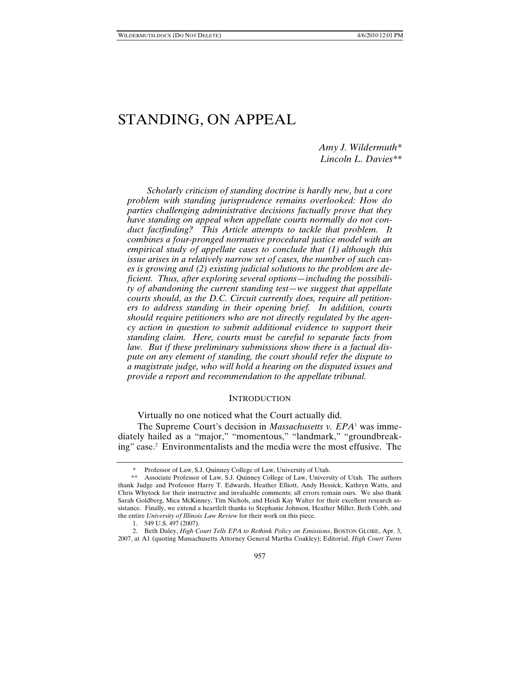# STANDING, ON APPEAL

# *Amy J. Wildermuth\* Lincoln L. Davies\*\**

*Scholarly criticism of standing doctrine is hardly new, but a core problem with standing jurisprudence remains overlooked: How do parties challenging administrative decisions factually prove that they have standing on appeal when appellate courts normally do not conduct factfinding? This Article attempts to tackle that problem. It combines a four-pronged normative procedural justice model with an empirical study of appellate cases to conclude that (1) although this issue arises in a relatively narrow set of cases, the number of such cases is growing and (2) existing judicial solutions to the problem are deficient. Thus, after exploring several options—including the possibility of abandoning the current standing test—we suggest that appellate courts should, as the D.C. Circuit currently does, require all petitioners to address standing in their opening brief. In addition, courts should require petitioners who are not directly regulated by the agency action in question to submit additional evidence to support their standing claim. Here, courts must be careful to separate facts from law. But if these preliminary submissions show there is a factual dispute on any element of standing, the court should refer the dispute to a magistrate judge, who will hold a hearing on the disputed issues and provide a report and recommendation to the appellate tribunal.* 

#### INTRODUCTION

### Virtually no one noticed what the Court actually did.

The Supreme Court's decision in *Massachusetts v. EPA*<sup>1</sup> was immediately hailed as a "major," "momentous," "landmark," "groundbreaking" case.2 Environmentalists and the media were the most effusive. The

Professor of Law, S.J. Quinney College of Law, University of Utah.

 <sup>\*\*</sup> Associate Professor of Law, S.J. Quinney College of Law, University of Utah. The authors thank Judge and Professor Harry T. Edwards, Heather Elliott, Andy Hessick, Kathryn Watts, and Chris Whytock for their instructive and invaluable comments; all errors remain ours. We also thank Sarah Goldberg, Mica McKinney, Tim Nichols, and Heidi Kay Walter for their excellent research assistance. Finally, we extend a heartfelt thanks to Stephanie Johnson, Heather Miller, Beth Cobb, and the entire *University of Illinois Law Review* for their work on this piece.

 <sup>1. 549</sup> U.S. 497 (2007).

 <sup>2.</sup> Beth Daley, *High Court Tells EPA to Rethink Policy on Emissions*, BOSTON GLOBE, Apr. 3, 2007, at A1 (quoting Massachusetts Attorney General Martha Coakley); Editorial, *High Court Turns*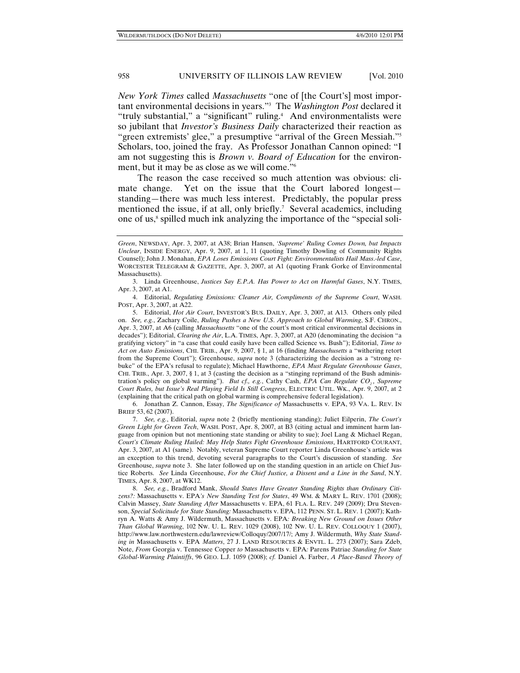*New York Times* called *Massachusetts* "one of [the Court's] most important environmental decisions in years."3 The *Washington Post* declared it "truly substantial," a "significant" ruling.4 And environmentalists were so jubilant that *Investor's Business Daily* characterized their reaction as "green extremists' glee," a presumptive "arrival of the Green Messiah."5 Scholars, too, joined the fray. As Professor Jonathan Cannon opined: "I am not suggesting this is *Brown v. Board of Education* for the environment, but it may be as close as we will come."6

The reason the case received so much attention was obvious: climate change. Yet on the issue that the Court labored longest standing—there was much less interest. Predictably, the popular press mentioned the issue, if at all, only briefly.<sup>7</sup> Several academics, including one of us,<sup>8</sup> spilled much ink analyzing the importance of the "special soli-

 6. Jonathan Z. Cannon, Essay, *The Significance of* Massachusetts v. EPA, 93 VA. L. REV. IN BRIEF 53, 62 (2007).

 7. *See, e.g.*, Editorial, *supra* note 2 (briefly mentioning standing); Juliet Eilperin, *The Court's Green Light for Green Tech*, WASH. POST, Apr. 8, 2007, at B3 (citing actual and imminent harm language from opinion but not mentioning state standing or ability to sue); Joel Lang & Michael Regan, *Court's Climate Ruling Hailed: May Help States Fight Greenhouse Emissions*, HARTFORD COURANT, Apr. 3, 2007, at A1 (same). Notably, veteran Supreme Court reporter Linda Greenhouse's article was an exception to this trend, devoting several paragraphs to the Court's discussion of standing. *See*  Greenhouse, *supra* note 3. She later followed up on the standing question in an article on Chief Justice Roberts. *See* Linda Greenhouse, *For the Chief Justice, a Dissent and a Line in the Sand*, N.Y. TIMES, Apr. 8, 2007, at WK12.

 8. *See, e.g.*, Bradford Mank, *Should States Have Greater Standing Rights than Ordinary Citizens?:* Massachusetts v. EPA*'s New Standing Test for States*, 49 WM. & MARY L. REV. 1701 (2008); Calvin Massey, *State Standing After* Massachusetts v. EPA, 61 FLA. L. REV. 249 (2009); Dru Stevenson, *Special Solicitude for State Standing:* Massachusetts v. EPA, 112 PENN. ST. L. REV. 1 (2007); Kathryn A. Watts & Amy J. Wildermuth, Massachusetts v. EPA*: Breaking New Ground on Issues Other Than Global Warming*, 102 NW. U. L. REV. 1029 (2008), 102 NW. U. L. REV. COLLOQUY 1 (2007), http://www.law.northwestern.edu/lawreview/Colloquy/2007/17/; Amy J. Wildermuth, *Why State Standing in* Massachusetts v. EPA *Matters*, 27 J. LAND RESOURCES & ENVTL. L. 273 (2007); Sara Zdeb, Note, *From* Georgia v. Tennessee Copper *to* Massachusetts v. EPA*:* Parens Patriae *Standing for State Global-Warming Plaintiffs*, 96 GEO. L.J. 1059 (2008); *cf.* Daniel A. Farber, *A Place-Based Theory of* 

*Green*, NEWSDAY, Apr. 3, 2007, at A38; Brian Hansen, *'Supreme' Ruling Comes Down, but Impacts Unclear*, INSIDE ENERGY, Apr. 9, 2007, at 1, 11 (quoting Timothy Dowling of Community Rights Counsel); John J. Monahan, *EPA Loses Emissions Court Fight: Environmentalists Hail Mass*.*-led Case*, WORCESTER TELEGRAM & GAZETTE, Apr. 3, 2007, at A1 (quoting Frank Gorke of Environmental Massachusetts).

 <sup>3.</sup> Linda Greenhouse, *Justices Say E.P.A. Has Power to Act on Harmful Gases*, N.Y. TIMES, Apr. 3, 2007, at A1.

 <sup>4.</sup> Editorial, *Regulating Emissions: Cleaner Air, Compliments of the Supreme Court*, WASH. POST, Apr. 3, 2007, at A22.

 <sup>5.</sup> Editorial, *Hot Air Court*, INVESTOR'S BUS. DAILY, Apr. 3, 2007, at A13. Others only piled on. *See, e.g.*, Zachary Coile, *Ruling Pushes a New U*.*S*. *Approach to Global Warming*, S.F. CHRON., Apr. 3, 2007, at A6 (calling *Massachusetts* "one of the court's most critical environmental decisions in decades"); Editorial, *Clearing the Air*, L.A. TIMES, Apr. 3, 2007, at A20 (denominating the decision "a gratifying victory" in "a case that could easily have been called Science vs. Bush"); Editorial, *Time to Act on Auto Emissions*, CHI. TRIB., Apr. 9, 2007, § 1, at 16 (finding *Massachusetts* a "withering retort from the Supreme Court"); Greenhouse, *supra* note 3 (characterizing the decision as a "strong rebuke" of the EPA's refusal to regulate); Michael Hawthorne, *EPA Must Regulate Greenhouse Gases*, CHI. TRIB., Apr. 3, 2007, § 1, at 3 (casting the decision as a "stinging reprimand of the Bush administration's policy on global warming"). *But cf., e.g.*, Cathy Cash, *EPA Can Regulate CO<sub>2</sub>, Supreme Court Rules, but Issue's Real Playing Field Is Still Congress*, ELECTRIC UTIL. WK., Apr. 9, 2007, at 2 (explaining that the critical path on global warming is comprehensive federal legislation).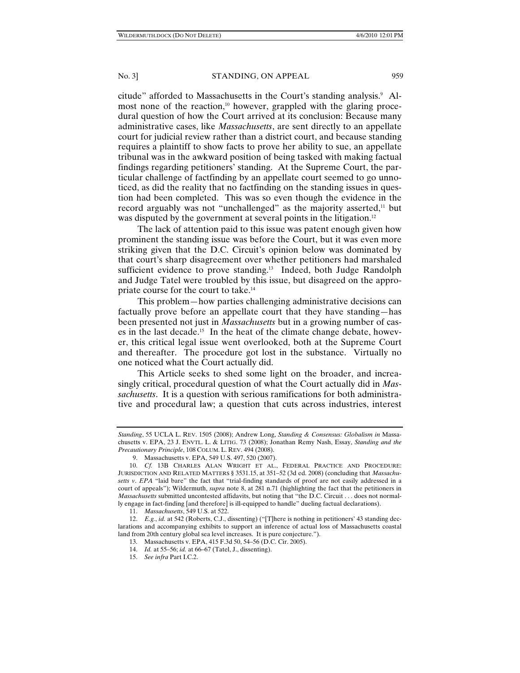citude" afforded to Massachusetts in the Court's standing analysis.<sup>9</sup> Almost none of the reaction,<sup>10</sup> however, grappled with the glaring procedural question of how the Court arrived at its conclusion: Because many administrative cases, like *Massachusetts*, are sent directly to an appellate court for judicial review rather than a district court, and because standing requires a plaintiff to show facts to prove her ability to sue, an appellate tribunal was in the awkward position of being tasked with making factual findings regarding petitioners' standing. At the Supreme Court, the particular challenge of factfinding by an appellate court seemed to go unnoticed, as did the reality that no factfinding on the standing issues in question had been completed. This was so even though the evidence in the record arguably was not "unchallenged" as the majority asserted, $11$  but was disputed by the government at several points in the litigation.<sup>12</sup>

The lack of attention paid to this issue was patent enough given how prominent the standing issue was before the Court, but it was even more striking given that the D.C. Circuit's opinion below was dominated by that court's sharp disagreement over whether petitioners had marshaled sufficient evidence to prove standing.<sup>13</sup> Indeed, both Judge Randolph and Judge Tatel were troubled by this issue, but disagreed on the appropriate course for the court to take.14

This problem—how parties challenging administrative decisions can factually prove before an appellate court that they have standing—has been presented not just in *Massachusetts* but in a growing number of cases in the last decade.<sup>15</sup> In the heat of the climate change debate, however, this critical legal issue went overlooked, both at the Supreme Court and thereafter. The procedure got lost in the substance. Virtually no one noticed what the Court actually did.

This Article seeks to shed some light on the broader, and increasingly critical, procedural question of what the Court actually did in *Massachusetts*. It is a question with serious ramifications for both administrative and procedural law; a question that cuts across industries, interest

*Standing*, 55 UCLA L. REV. 1505 (2008); Andrew Long, *Standing & Consensus: Globalism in* Massachusetts v. EPA, 23 J. ENVTL. L. & LITIG. 73 (2008); Jonathan Remy Nash, Essay, *Standing and the Precautionary Principle*, 108 COLUM. L. REV. 494 (2008).

 <sup>9.</sup> Massachusetts v. EPA, 549 U.S. 497, 520 (2007).

 <sup>10.</sup> *Cf.* 13B CHARLES ALAN WRIGHT ET AL., FEDERAL PRACTICE AND PROCEDURE: JURISDICTION AND RELATED MATTERS § 3531.15, at 351–52 (3d ed. 2008) (concluding that *Massachusetts v*. *EPA* "laid bare" the fact that "trial-finding standards of proof are not easily addressed in a court of appeals"); Wildermuth, *supra* note 8, at 281 n.71 (highlighting the fact that the petitioners in *Massachusetts* submitted uncontested affidavits, but noting that "the D.C. Circuit . . . does not normally engage in fact-finding [and therefore] is ill-equipped to handle" dueling factual declarations).

 <sup>11.</sup> *Massachusetts*, 549 U.S. at 522.

 <sup>12.</sup> *E.g.*, *id.* at 542 (Roberts, C.J., dissenting) ("[T]here is nothing in petitioners' 43 standing declarations and accompanying exhibits to support an inference of actual loss of Massachusetts coastal land from 20th century global sea level increases. It is pure conjecture.").

 <sup>13.</sup> Massachusetts v. EPA, 415 F.3d 50, 54–56 (D.C. Cir. 2005).

 <sup>14.</sup> *Id.* at 55–56; *id.* at 66–67 (Tatel, J., dissenting).

 <sup>15.</sup> *See infra* Part I.C.2.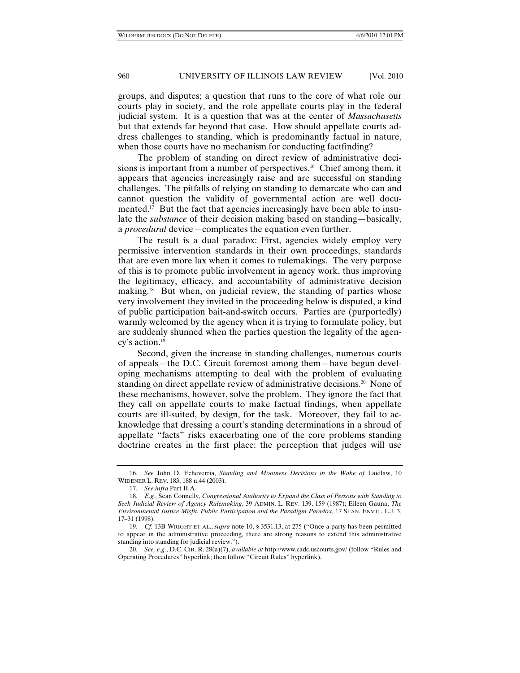groups, and disputes; a question that runs to the core of what role our courts play in society, and the role appellate courts play in the federal judicial system. It is a question that was at the center of *Massachusetts* but that extends far beyond that case. How should appellate courts address challenges to standing, which is predominantly factual in nature, when those courts have no mechanism for conducting factfinding?

The problem of standing on direct review of administrative decisions is important from a number of perspectives.<sup>16</sup> Chief among them, it appears that agencies increasingly raise and are successful on standing challenges. The pitfalls of relying on standing to demarcate who can and cannot question the validity of governmental action are well documented.<sup>17</sup> But the fact that agencies increasingly have been able to insulate the *substance* of their decision making based on standing—basically, a *procedural* device—complicates the equation even further.

The result is a dual paradox: First, agencies widely employ very permissive intervention standards in their own proceedings, standards that are even more lax when it comes to rulemakings. The very purpose of this is to promote public involvement in agency work, thus improving the legitimacy, efficacy, and accountability of administrative decision making.<sup>18</sup> But when, on judicial review, the standing of parties whose very involvement they invited in the proceeding below is disputed, a kind of public participation bait-and-switch occurs. Parties are (purportedly) warmly welcomed by the agency when it is trying to formulate policy, but are suddenly shunned when the parties question the legality of the agency's action.19

Second, given the increase in standing challenges, numerous courts of appeals—the D.C. Circuit foremost among them—have begun developing mechanisms attempting to deal with the problem of evaluating standing on direct appellate review of administrative decisions.<sup>20</sup> None of these mechanisms, however, solve the problem. They ignore the fact that they call on appellate courts to make factual findings, when appellate courts are ill-suited, by design, for the task. Moreover, they fail to acknowledge that dressing a court's standing determinations in a shroud of appellate "facts" risks exacerbating one of the core problems standing doctrine creates in the first place: the perception that judges will use

 <sup>16.</sup> *See* John D. Echeverria, *Standing and Mootness Decisions in the Wake of* Laidlaw, 10 WIDENER L. REV. 183, 188 n.44 (2003).

 <sup>17.</sup> *See infra* Part II.A.

 <sup>18.</sup> *E.g.*, Sean Connelly, *Congressional Authority to Expand the Class of Persons with Standing to Seek Judicial Review of Agency Rulemaking*, 39 ADMIN. L. REV. 139, 159 (1987); Eileen Gauna, *The Environmental Justice Misfit: Public Participation and the Paradigm Paradox*, 17 STAN. ENVTL. L.J. 3, 17–31 (1998).

 <sup>19.</sup> *Cf.* 13B WRIGHT ET AL., *supra* note 10, § 3531.13, at 275 ("Once a party has been permitted to appear in the administrative proceeding, there are strong reasons to extend this administrative standing into standing for judicial review.").

 <sup>20.</sup> *See, e.g.*, D.C. CIR. R. 28(a)(7), *available at* http://www.cadc.uscourts.gov/ (follow "Rules and Operating Procedures" hyperlink; then follow "Circuit Rules" hyperlink).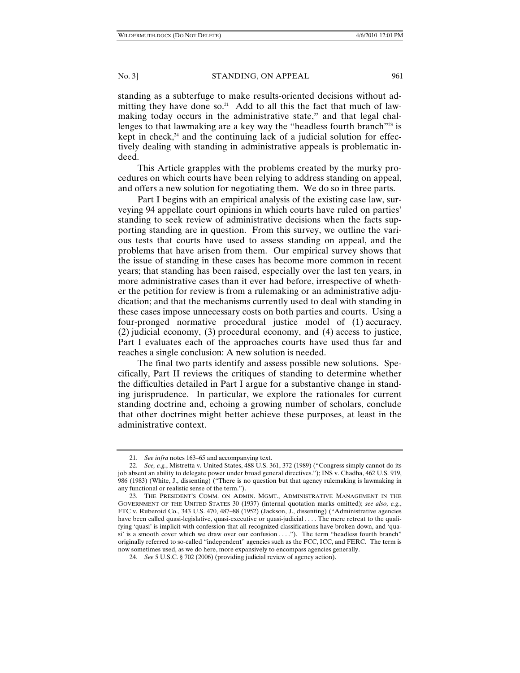standing as a subterfuge to make results-oriented decisions without admitting they have done so.<sup>21</sup> Add to all this the fact that much of lawmaking today occurs in the administrative state, $22$  and that legal challenges to that lawmaking are a key way the "headless fourth branch"<sup>23</sup> is kept in check, $24$  and the continuing lack of a judicial solution for effectively dealing with standing in administrative appeals is problematic indeed.

This Article grapples with the problems created by the murky procedures on which courts have been relying to address standing on appeal, and offers a new solution for negotiating them. We do so in three parts.

Part I begins with an empirical analysis of the existing case law, surveying 94 appellate court opinions in which courts have ruled on parties' standing to seek review of administrative decisions when the facts supporting standing are in question. From this survey, we outline the various tests that courts have used to assess standing on appeal, and the problems that have arisen from them. Our empirical survey shows that the issue of standing in these cases has become more common in recent years; that standing has been raised, especially over the last ten years, in more administrative cases than it ever had before, irrespective of whether the petition for review is from a rulemaking or an administrative adjudication; and that the mechanisms currently used to deal with standing in these cases impose unnecessary costs on both parties and courts. Using a four-pronged normative procedural justice model of (1) accuracy, (2) judicial economy, (3) procedural economy, and (4) access to justice, Part I evaluates each of the approaches courts have used thus far and reaches a single conclusion: A new solution is needed.

The final two parts identify and assess possible new solutions. Specifically, Part II reviews the critiques of standing to determine whether the difficulties detailed in Part I argue for a substantive change in standing jurisprudence. In particular, we explore the rationales for current standing doctrine and, echoing a growing number of scholars, conclude that other doctrines might better achieve these purposes, at least in the administrative context.

 <sup>21.</sup> *See infra* notes 163–65 and accompanying text.

 <sup>22.</sup> *See, e.g.*, Mistretta v. United States, 488 U.S. 361, 372 (1989) ("Congress simply cannot do its job absent an ability to delegate power under broad general directives."); INS v. Chadha, 462 U.S. 919, 986 (1983) (White, J., dissenting) ("There is no question but that agency rulemaking is lawmaking in any functional or realistic sense of the term.").

 <sup>23.</sup> THE PRESIDENT'S COMM. ON ADMIN. MGMT., ADMINISTRATIVE MANAGEMENT IN THE GOVERNMENT OF THE UNITED STATES 30 (1937) (internal quotation marks omitted); *see also, e.g.*, FTC v. Ruberoid Co., 343 U.S. 470, 487–88 (1952) (Jackson, J., dissenting) ("Administrative agencies have been called quasi-legislative, quasi-executive or quasi-judicial . . . . The mere retreat to the qualifying 'quasi' is implicit with confession that all recognized classifications have broken down, and 'quasi' is a smooth cover which we draw over our confusion . . . ."). The term "headless fourth branch" originally referred to so-called "independent" agencies such as the FCC, ICC, and FERC. The term is now sometimes used, as we do here, more expansively to encompass agencies generally.

 <sup>24.</sup> *See* 5 U.S.C. § 702 (2006) (providing judicial review of agency action).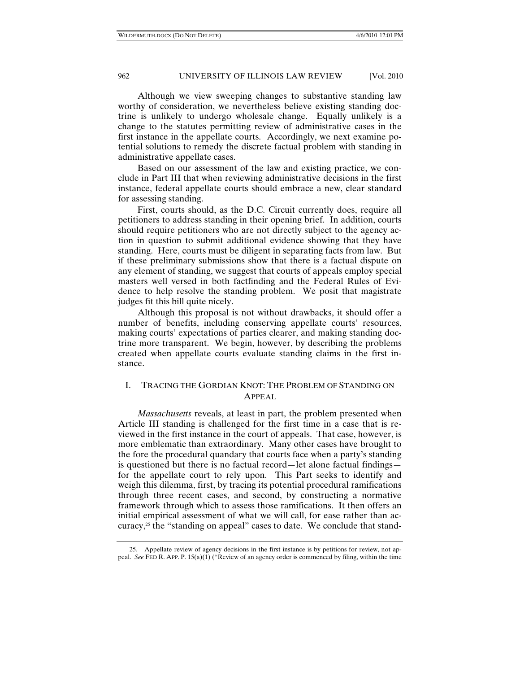Although we view sweeping changes to substantive standing law worthy of consideration, we nevertheless believe existing standing doctrine is unlikely to undergo wholesale change. Equally unlikely is a change to the statutes permitting review of administrative cases in the first instance in the appellate courts. Accordingly, we next examine potential solutions to remedy the discrete factual problem with standing in administrative appellate cases.

Based on our assessment of the law and existing practice, we conclude in Part III that when reviewing administrative decisions in the first instance, federal appellate courts should embrace a new, clear standard for assessing standing.

First, courts should, as the D.C. Circuit currently does, require all petitioners to address standing in their opening brief. In addition, courts should require petitioners who are not directly subject to the agency action in question to submit additional evidence showing that they have standing. Here, courts must be diligent in separating facts from law. But if these preliminary submissions show that there is a factual dispute on any element of standing, we suggest that courts of appeals employ special masters well versed in both factfinding and the Federal Rules of Evidence to help resolve the standing problem. We posit that magistrate judges fit this bill quite nicely.

Although this proposal is not without drawbacks, it should offer a number of benefits, including conserving appellate courts' resources, making courts' expectations of parties clearer, and making standing doctrine more transparent. We begin, however, by describing the problems created when appellate courts evaluate standing claims in the first instance.

# I. TRACING THE GORDIAN KNOT: THE PROBLEM OF STANDING ON APPEAL

*Massachusetts* reveals, at least in part, the problem presented when Article III standing is challenged for the first time in a case that is reviewed in the first instance in the court of appeals. That case, however, is more emblematic than extraordinary. Many other cases have brought to the fore the procedural quandary that courts face when a party's standing is questioned but there is no factual record—let alone factual findings for the appellate court to rely upon. This Part seeks to identify and weigh this dilemma, first, by tracing its potential procedural ramifications through three recent cases, and second, by constructing a normative framework through which to assess those ramifications. It then offers an initial empirical assessment of what we will call, for ease rather than accuracy,<sup>25</sup> the "standing on appeal" cases to date. We conclude that stand-

 <sup>25.</sup> Appellate review of agency decisions in the first instance is by petitions for review, not appeal. *See* FED R. APP. P. 15(a)(1) ("Review of an agency order is commenced by filing, within the time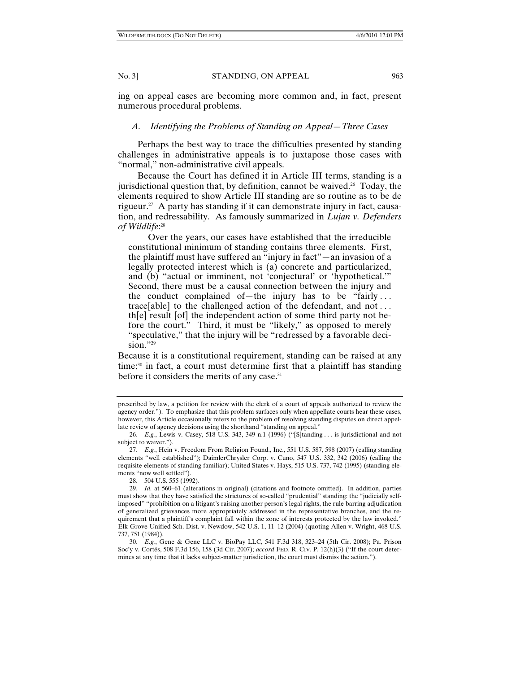ing on appeal cases are becoming more common and, in fact, present numerous procedural problems.

# *A. Identifying the Problems of Standing on Appeal—Three Cases*

Perhaps the best way to trace the difficulties presented by standing challenges in administrative appeals is to juxtapose those cases with "normal," non-administrative civil appeals.

Because the Court has defined it in Article III terms, standing is a jurisdictional question that, by definition, cannot be waived.<sup>26</sup> Today, the elements required to show Article III standing are so routine as to be de rigueur.<sup>27</sup> A party has standing if it can demonstrate injury in fact, causation, and redressability. As famously summarized in *Lujan v. Defenders of Wildlife*: 28

Over the years, our cases have established that the irreducible constitutional minimum of standing contains three elements. First, the plaintiff must have suffered an "injury in fact"—an invasion of a legally protected interest which is (a) concrete and particularized, and (b) "actual or imminent, not 'conjectural' or 'hypothetical.'" Second, there must be a causal connection between the injury and the conduct complained of—the injury has to be "fairly . . . trace[able] to the challenged action of the defendant, and not . . . th[e] result [of] the independent action of some third party not before the court." Third, it must be "likely," as opposed to merely "speculative," that the injury will be "redressed by a favorable decision."29

Because it is a constitutional requirement, standing can be raised at any time;30 in fact, a court must determine first that a plaintiff has standing before it considers the merits of any case.31

prescribed by law, a petition for review with the clerk of a court of appeals authorized to review the agency order."). To emphasize that this problem surfaces only when appellate courts hear these cases, however, this Article occasionally refers to the problem of resolving standing disputes on direct appellate review of agency decisions using the shorthand "standing on appeal."

 <sup>26.</sup> *E.g.*, Lewis v. Casey, 518 U.S. 343, 349 n.1 (1996) ("[S]tanding . . . is jurisdictional and not subject to waiver.").

 <sup>27.</sup> *E.g.*, Hein v. Freedom From Religion Found., Inc., 551 U.S. 587, 598 (2007) (calling standing elements "well established"); DaimlerChrysler Corp. v. Cuno, 547 U.S. 332, 342 (2006) (calling the requisite elements of standing familiar); United States v. Hays, 515 U.S. 737, 742 (1995) (standing elements "now well settled").

 <sup>28. 504</sup> U.S. 555 (1992).

 <sup>29.</sup> *Id.* at 560–61 (alterations in original) (citations and footnote omitted). In addition, parties must show that they have satisfied the strictures of so-called "prudential" standing: the "judicially selfimposed" "prohibition on a litigant's raising another person's legal rights, the rule barring adjudication of generalized grievances more appropriately addressed in the representative branches, and the requirement that a plaintiff's complaint fall within the zone of interests protected by the law invoked." Elk Grove Unified Sch. Dist. v. Newdow, 542 U.S. 1, 11–12 (2004) (quoting Allen v. Wright, 468 U.S. 737, 751 (1984)).

 <sup>30.</sup> *E.g.*, Gene & Gene LLC v. BioPay LLC, 541 F.3d 318, 323–24 (5th Cir. 2008); Pa. Prison Soc'y v. Cortés, 508 F.3d 156, 158 (3d Cir. 2007); *accord* FED. R. CIV. P. 12(h)(3) ("If the court determines at any time that it lacks subject-matter jurisdiction, the court must dismiss the action.").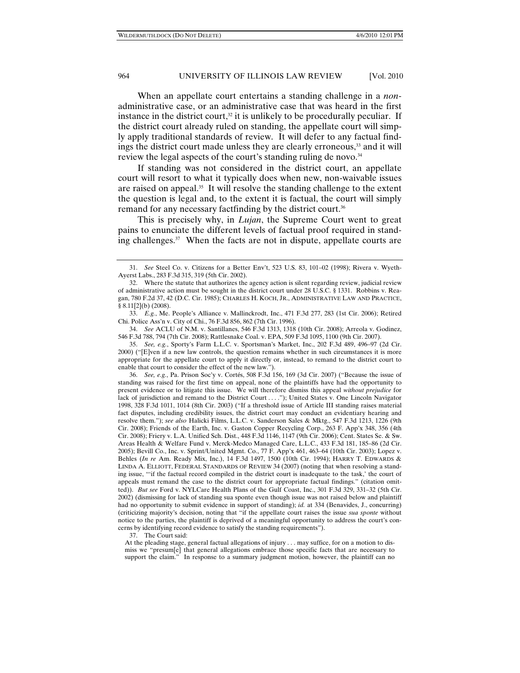When an appellate court entertains a standing challenge in a *non*administrative case, or an administrative case that was heard in the first instance in the district court, $32$  it is unlikely to be procedurally peculiar. If the district court already ruled on standing, the appellate court will simply apply traditional standards of review. It will defer to any factual findings the district court made unless they are clearly erroneous,<sup>33</sup> and it will review the legal aspects of the court's standing ruling de novo.<sup>34</sup>

If standing was not considered in the district court, an appellate court will resort to what it typically does when new, non-waivable issues are raised on appeal.35 It will resolve the standing challenge to the extent the question is legal and, to the extent it is factual, the court will simply remand for any necessary factfinding by the district court.<sup>36</sup>

This is precisely why, in *Lujan*, the Supreme Court went to great pains to enunciate the different levels of factual proof required in standing challenges. $37$  When the facts are not in dispute, appellate courts are

 34. *See* ACLU of N.M. v. Santillanes, 546 F.3d 1313, 1318 (10th Cir. 2008); Arreola v. Godinez, 546 F.3d 788, 794 (7th Cir. 2008); Rattlesnake Coal. v. EPA, 509 F.3d 1095, 1100 (9th Cir. 2007).

 35. *See, e.g.*, Sporty's Farm L.L.C. v. Sportsman's Market, Inc., 202 F.3d 489, 496–97 (2d Cir. 2000) ("[E]ven if a new law controls, the question remains whether in such circumstances it is more appropriate for the appellate court to apply it directly or, instead, to remand to the district court to enable that court to consider the effect of the new law.").

 36. *See, e.g.*, Pa. Prison Soc'y v. Cortés, 508 F.3d 156, 169 (3d Cir. 2007) ("Because the issue of standing was raised for the first time on appeal, none of the plaintiffs have had the opportunity to present evidence or to litigate this issue. We will therefore dismiss this appeal *without prejudice* for lack of jurisdiction and remand to the District Court . . . ."); United States v. One Lincoln Navigator 1998, 328 F.3d 1011, 1014 (8th Cir. 2003) ("If a threshold issue of Article III standing raises material fact disputes, including credibility issues, the district court may conduct an evidentiary hearing and resolve them."); *see also* Halicki Films, L.L.C. v. Sanderson Sales & Mktg., 547 F.3d 1213, 1226 (9th Cir. 2008); Friends of the Earth, Inc. v. Gaston Copper Recycling Corp., 263 F. App'x 348, 356 (4th Cir. 2008); Friery v. L.A. Unified Sch. Dist., 448 F.3d 1146, 1147 (9th Cir. 2006); Cent. States Se. & Sw. Areas Health & Welfare Fund v. Merck-Medco Managed Care, L.L.C., 433 F.3d 181, 185–86 (2d Cir. 2005); Bevill Co., Inc. v. Sprint/United Mgmt. Co., 77 F. App'x 461, 463–64 (10th Cir. 2003); Lopez v. Behles (*In re* Am. Ready Mix, Inc.), 14 F.3d 1497, 1500 (10th Cir. 1994); HARRY T. EDWARDS & LINDA A. ELLIOTT, FEDERAL STANDARDS OF REVIEW 34 (2007) (noting that when resolving a standing issue, "'if the factual record compiled in the district court is inadequate to the task,' the court of appeals must remand the case to the district court for appropriate factual findings." (citation omitted)). *But see* Ford v. NYLCare Health Plans of the Gulf Coast, Inc., 301 F.3d 329, 331–32 (5th Cir. 2002) (dismissing for lack of standing sua sponte even though issue was not raised below and plaintiff had no opportunity to submit evidence in support of standing); *id.* at 334 (Benavides, J., concurring) (criticizing majority's decision, noting that "if the appellate court raises the issue *sua sponte* without notice to the parties, the plaintiff is deprived of a meaningful opportunity to address the court's concerns by identifying record evidence to satisfy the standing requirements").

37. The Court said:

At the pleading stage, general factual allegations of injury . . . may suffice, for on a motion to dismiss we "presum[e] that general allegations embrace those specific facts that are necessary to support the claim." In response to a summary judgment motion, however, the plaintiff can no

 <sup>31.</sup> *See* Steel Co. v. Citizens for a Better Env't, 523 U.S. 83, 101–02 (1998); Rivera v. Wyeth-Ayerst Labs., 283 F.3d 315, 319 (5th Cir. 2002).

 <sup>32.</sup> Where the statute that authorizes the agency action is silent regarding review, judicial review of administrative action must be sought in the district court under 28 U.S.C. § 1331. Robbins v. Reagan, 780 F.2d 37, 42 (D.C. Cir. 1985); CHARLES H. KOCH, JR., ADMINISTRATIVE LAW AND PRACTICE, § 8.11[2](b) (2008).

 <sup>33.</sup> *E.g.*, Me. People's Alliance v. Mallinckrodt, Inc., 471 F.3d 277, 283 (1st Cir. 2006); Retired Chi. Police Ass'n v. City of Chi., 76 F.3d 856, 862 (7th Cir. 1996).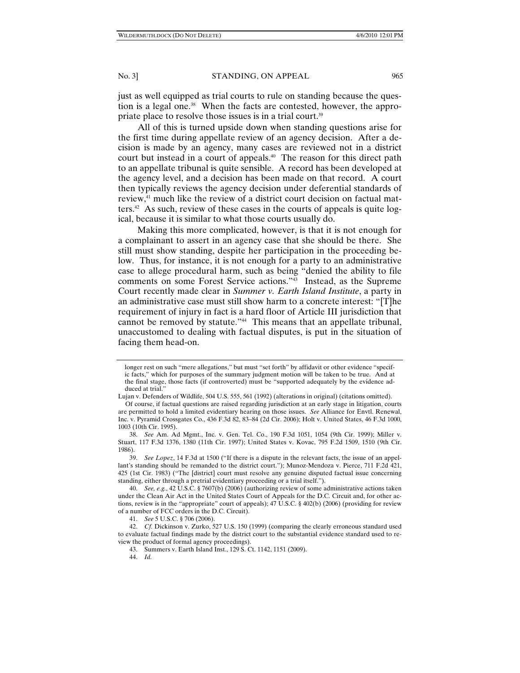just as well equipped as trial courts to rule on standing because the question is a legal one.<sup>38</sup> When the facts are contested, however, the appropriate place to resolve those issues is in a trial court.39

All of this is turned upside down when standing questions arise for the first time during appellate review of an agency decision. After a decision is made by an agency, many cases are reviewed not in a district court but instead in a court of appeals.<sup>40</sup> The reason for this direct path to an appellate tribunal is quite sensible. A record has been developed at the agency level, and a decision has been made on that record. A court then typically reviews the agency decision under deferential standards of review,41 much like the review of a district court decision on factual matters.<sup>42</sup> As such, review of these cases in the courts of appeals is quite logical, because it is similar to what those courts usually do.

Making this more complicated, however, is that it is not enough for a complainant to assert in an agency case that she should be there. She still must show standing, despite her participation in the proceeding below. Thus, for instance, it is not enough for a party to an administrative case to allege procedural harm, such as being "denied the ability to file comments on some Forest Service actions."43 Instead, as the Supreme Court recently made clear in *Summer v. Earth Island Institute*, a party in an administrative case must still show harm to a concrete interest: "[T]he requirement of injury in fact is a hard floor of Article III jurisdiction that cannot be removed by statute."44 This means that an appellate tribunal, unaccustomed to dealing with factual disputes, is put in the situation of facing them head-on.

41. *See* 5 U.S.C. § 706 (2006).

43. Summers v. Earth Island Inst., 129 S. Ct. 1142, 1151 (2009).

longer rest on such "mere allegations," but must "set forth" by affidavit or other evidence "specific facts," which for purposes of the summary judgment motion will be taken to be true. And at the final stage, those facts (if controverted) must be "supported adequately by the evidence adduced at trial."

Lujan v. Defenders of Wildlife, 504 U.S. 555, 561 (1992) (alterations in original) (citations omitted).

Of course, if factual questions are raised regarding jurisdiction at an early stage in litigation, courts are permitted to hold a limited evidentiary hearing on those issues. *See* Alliance for Envtl. Renewal, Inc. v. Pyramid Crossgates Co., 436 F.3d 82, 83–84 (2d Cir. 2006); Holt v. United States, 46 F.3d 1000, 1003 (10th Cir. 1995).

 <sup>38.</sup> *See* Am. Ad Mgmt., Inc. v. Gen. Tel. Co., 190 F.3d 1051, 1054 (9th Cir. 1999); Miller v. Stuart, 117 F.3d 1376, 1380 (11th Cir. 1997); United States v. Kovac, 795 F.2d 1509, 1510 (9th Cir. 1986).

 <sup>39.</sup> *See Lopez*, 14 F.3d at 1500 ("If there is a dispute in the relevant facts, the issue of an appellant's standing should be remanded to the district court."); Munoz-Mendoza v. Pierce, 711 F.2d 421, 425 (1st Cir. 1983) ("The [district] court must resolve any genuine disputed factual issue concerning standing, either through a pretrial evidentiary proceeding or a trial itself.").

 <sup>40.</sup> *See, e.g.*, 42 U.S.C. § 7607(b) (2006) (authorizing review of some administrative actions taken under the Clean Air Act in the United States Court of Appeals for the D.C. Circuit and, for other actions, review is in the "appropriate" court of appeals); 47 U.S.C. § 402(b) (2006) (providing for review of a number of FCC orders in the D.C. Circuit).

<sup>42.</sup> *Cf. Dickinson v. Zurko, 527 U.S. 150 (1999) (comparing the clearly erroneous standard used* to evaluate factual findings made by the district court to the substantial evidence standard used to review the product of formal agency proceedings).

 <sup>44.</sup> *Id.*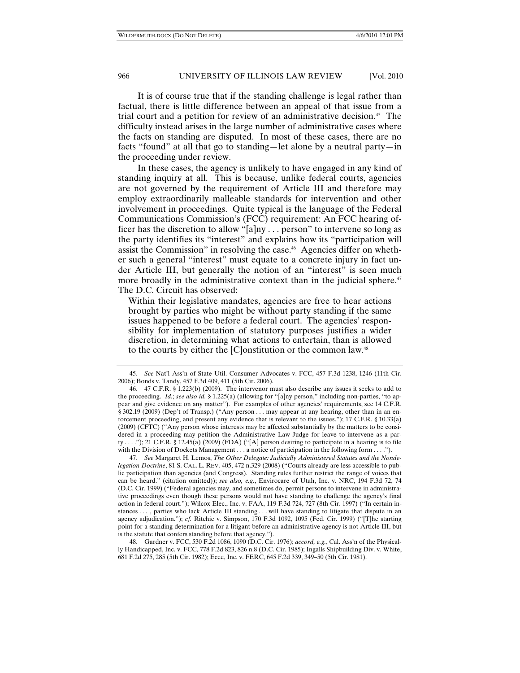It is of course true that if the standing challenge is legal rather than factual, there is little difference between an appeal of that issue from a trial court and a petition for review of an administrative decision.45 The difficulty instead arises in the large number of administrative cases where the facts on standing are disputed. In most of these cases, there are no facts "found" at all that go to standing—let alone by a neutral party—in the proceeding under review.

In these cases, the agency is unlikely to have engaged in any kind of standing inquiry at all. This is because, unlike federal courts, agencies are not governed by the requirement of Article III and therefore may employ extraordinarily malleable standards for intervention and other involvement in proceedings. Quite typical is the language of the Federal Communications Commission's (FCC) requirement: An FCC hearing officer has the discretion to allow "[a]ny . . . person" to intervene so long as the party identifies its "interest" and explains how its "participation will assist the Commission" in resolving the case.46 Agencies differ on whether such a general "interest" must equate to a concrete injury in fact under Article III, but generally the notion of an "interest" is seen much more broadly in the administrative context than in the judicial sphere.<sup>47</sup> The D.C. Circuit has observed:

Within their legislative mandates, agencies are free to hear actions brought by parties who might be without party standing if the same issues happened to be before a federal court. The agencies' responsibility for implementation of statutory purposes justifies a wider discretion, in determining what actions to entertain, than is allowed to the courts by either the [C]onstitution or the common law.48

 47. *See* Margaret H. Lemos, *The Other Delegate: Judicially Administered Statutes and the Nondelegation Doctrine*, 81 S. CAL. L. REV. 405, 472 n.329 (2008) ("Courts already are less accessible to public participation than agencies (and Congress). Standing rules further restrict the range of voices that can be heard." (citation omitted)); *see also, e.g.*, Envirocare of Utah, Inc. v. NRC, 194 F.3d 72, 74 (D.C. Cir. 1999) ("Federal agencies may, and sometimes do, permit persons to intervene in administrative proceedings even though these persons would not have standing to challenge the agency's final action in federal court."); Wilcox Elec., Inc. v. FAA, 119 F.3d 724, 727 (8th Cir. 1997) ("In certain instances . . . , parties who lack Article III standing . . . will have standing to litigate that dispute in an agency adjudication."); *cf.* Ritchie v. Simpson, 170 F.3d 1092, 1095 (Fed. Cir. 1999) ("[T]he starting point for a standing determination for a litigant before an administrative agency is not Article III, but is the statute that confers standing before that agency.").

 48. Gardner v. FCC, 530 F.2d 1086, 1090 (D.C. Cir. 1976); *accord, e.g.*, Cal. Ass'n of the Physically Handicapped, Inc. v. FCC, 778 F.2d 823, 826 n.8 (D.C. Cir. 1985); Ingalls Shipbuilding Div. v. White, 681 F.2d 275, 285 (5th Cir. 1982); Ecee, Inc. v. FERC, 645 F.2d 339, 349–50 (5th Cir. 1981).

 <sup>45.</sup> *See* Nat'l Ass'n of State Util. Consumer Advocates v. FCC, 457 F.3d 1238, 1246 (11th Cir. 2006); Bonds v. Tandy, 457 F.3d 409, 411 (5th Cir. 2006).

 <sup>46. 47</sup> C.F.R. § 1.223(b) (2009). The intervenor must also describe any issues it seeks to add to the proceeding. *Id.*; *see also id.* § 1.225(a) (allowing for "[a]ny person," including non-parties, "to appear and give evidence on any matter"). For examples of other agencies' requirements, see 14 C.F.R. § 302.19 (2009) (Dep't of Transp.) ("Any person . . . may appear at any hearing, other than in an enforcement proceeding, and present any evidence that is relevant to the issues."); 17 C.F.R. § 10.33(a) (2009) (CFTC) ("Any person whose interests may be affected substantially by the matters to be considered in a proceeding may petition the Administrative Law Judge for leave to intervene as a party . . . ."); 21 C.F.R. § 12.45(a) (2009) (FDA) ("[A] person desiring to participate in a hearing is to file with the Division of Dockets Management . . . a notice of participation in the following form . . . .").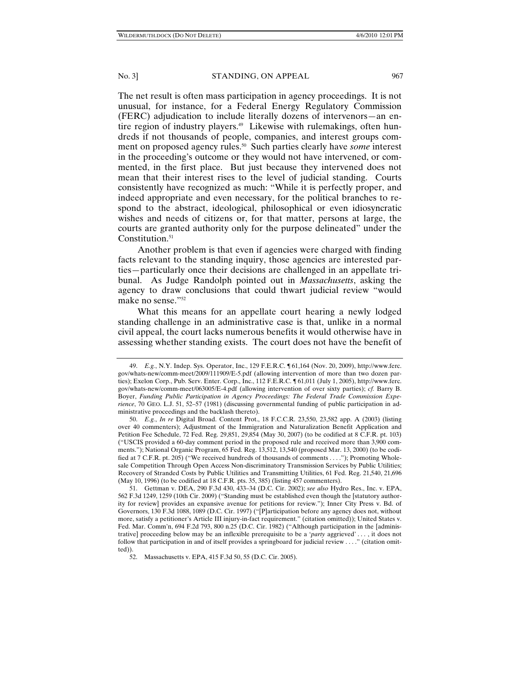The net result is often mass participation in agency proceedings. It is not unusual, for instance, for a Federal Energy Regulatory Commission (FERC) adjudication to include literally dozens of intervenors—an entire region of industry players.<sup>49</sup> Likewise with rulemakings, often hundreds if not thousands of people, companies, and interest groups comment on proposed agency rules.50 Such parties clearly have *some* interest in the proceeding's outcome or they would not have intervened, or commented, in the first place. But just because they intervened does not mean that their interest rises to the level of judicial standing. Courts consistently have recognized as much: "While it is perfectly proper, and indeed appropriate and even necessary, for the political branches to respond to the abstract, ideological, philosophical or even idiosyncratic wishes and needs of citizens or, for that matter, persons at large, the courts are granted authority only for the purpose delineated" under the Constitution.<sup>51</sup>

Another problem is that even if agencies were charged with finding facts relevant to the standing inquiry, those agencies are interested parties—particularly once their decisions are challenged in an appellate tribunal. As Judge Randolph pointed out in *Massachusetts*, asking the agency to draw conclusions that could thwart judicial review "would make no sense."52

What this means for an appellate court hearing a newly lodged standing challenge in an administrative case is that, unlike in a normal civil appeal, the court lacks numerous benefits it would otherwise have in assessing whether standing exists. The court does not have the benefit of

 <sup>49.</sup> *E.g.*, N.Y. Indep. Sys. Operator, Inc., 129 F.E.R.C. ¶ 61,164 (Nov. 20, 2009), http://www.ferc. gov/whats-new/comm-meet/2009/111909/E-5.pdf (allowing intervention of more than two dozen parties); Exelon Corp., Pub. Serv. Enter. Corp., Inc., 112 F.E.R.C. ¶ 61,011 (July 1, 2005), http://www.ferc. gov/whats-new/comm-meet/063005/E-4.pdf (allowing intervention of over sixty parties); *cf.* Barry B. Boyer, *Funding Public Participation in Agency Proceedings: The Federal Trade Commission Experience*, 70 GEO. L.J. 51, 52–57 (1981) (discussing governmental funding of public participation in administrative proceedings and the backlash thereto).

 <sup>50.</sup> *E.g.*, *In re* Digital Broad. Content Prot., 18 F.C.C.R. 23,550, 23,582 app. A (2003) (listing over 40 commenters); Adjustment of the Immigration and Naturalization Benefit Application and Petition Fee Schedule, 72 Fed. Reg. 29,851, 29,854 (May 30, 2007) (to be codified at 8 C.F.R. pt. 103) ("USCIS provided a 60-day comment period in the proposed rule and received more than 3,900 comments."); National Organic Program, 65 Fed. Reg. 13,512, 13,540 (proposed Mar. 13, 2000) (to be codified at 7 C.F.R. pt. 205) ("We received hundreds of thousands of comments . . . ."); Promoting Wholesale Competition Through Open Access Non-discriminatory Transmission Services by Public Utilities; Recovery of Stranded Costs by Public Utilities and Transmitting Utilities, 61 Fed. Reg. 21,540, 21,696 (May 10, 1996) (to be codified at 18 C.F.R. pts. 35, 385) (listing 457 commenters).

 <sup>51.</sup> Gettman v. DEA, 290 F.3d 430, 433–34 (D.C. Cir. 2002); *see also* Hydro Res., Inc. v. EPA, 562 F.3d 1249, 1259 (10th Cir. 2009) ("Standing must be established even though the [statutory authority for review] provides an expansive avenue for petitions for review."); Inner City Press v. Bd. of Governors, 130 F.3d 1088, 1089 (D.C. Cir. 1997) ("[P]articipation before any agency does not, without more, satisfy a petitioner's Article III injury-in-fact requirement." (citation omitted)); United States v. Fed. Mar. Comm'n, 694 F.2d 793, 800 n.25 (D.C. Cir. 1982) ("Although participation in the [administrative] proceeding below may be an inflexible prerequisite to be a '*party* aggrieved' . . . , it does not follow that participation in and of itself provides a springboard for judicial review . . . ." (citation omitted)).

 <sup>52.</sup> Massachusetts v. EPA, 415 F.3d 50, 55 (D.C. Cir. 2005).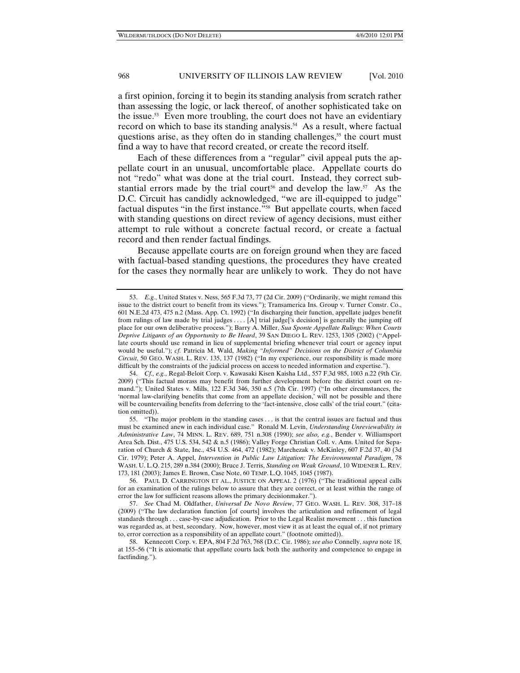a first opinion, forcing it to begin its standing analysis from scratch rather than assessing the logic, or lack thereof, of another sophisticated take on the issue.53 Even more troubling, the court does not have an evidentiary record on which to base its standing analysis.<sup>54</sup> As a result, where factual questions arise, as they often do in standing challenges,<sup>55</sup> the court must find a way to have that record created, or create the record itself.

Each of these differences from a "regular" civil appeal puts the appellate court in an unusual, uncomfortable place. Appellate courts do not "redo" what was done at the trial court. Instead, they correct substantial errors made by the trial court<sup>56</sup> and develop the law.<sup>57</sup> As the D.C. Circuit has candidly acknowledged, "we are ill-equipped to judge" factual disputes "in the first instance."58 But appellate courts, when faced with standing questions on direct review of agency decisions, must either attempt to rule without a concrete factual record, or create a factual record and then render factual findings.

Because appellate courts are on foreign ground when they are faced with factual-based standing questions, the procedures they have created for the cases they normally hear are unlikely to work. They do not have

 <sup>53.</sup> *E.g.*, United States v. Ness, 565 F.3d 73, 77 (2d Cir. 2009) ("Ordinarily, we might remand this issue to the district court to benefit from its views."); Transamerica Ins. Group v. Turner Constr. Co., 601 N.E.2d 473, 475 n.2 (Mass. App. Ct. 1992) ("In discharging their function, appellate judges benefit from rulings of law made by trial judges . . . . [A] trial judge['s decision] is generally the jumping off place for our own deliberative process."); Barry A. Miller, *Sua Sponte Appellate Rulings: When Courts Deprive Litigants of an Opportunity to Be Heard*, 39 SAN DIEGO L. REV. 1253, 1305 (2002) ("Appellate courts should use remand in lieu of supplemental briefing whenever trial court or agency input would be useful."); *cf.* Patricia M. Wald, *Making "Informed" Decisions on the District of Columbia Circuit*, 50 GEO. WASH. L. REV. 135, 137 (1982) ("In my experience, our responsibility is made more difficult by the constraints of the judicial process on access to needed information and expertise.").

 <sup>54.</sup> *Cf., e.g.*, Regal-Beloit Corp. v. Kawasaki Kisen Kaisha Ltd., 557 F.3d 985, 1003 n.22 (9th Cir. 2009) ("This factual morass may benefit from further development before the district court on remand."); United States v. Mills, 122 F.3d 346, 350 n.5 (7th Cir. 1997) ("In other circumstances, the 'normal law-clarifying benefits that come from an appellate decision,' will not be possible and there will be countervailing benefits from deferring to the 'fact-intensive, close calls' of the trial court." (citation omitted)).

 <sup>55. &</sup>quot;The major problem in the standing cases . . . is that the central issues are factual and thus must be examined anew in each individual case." Ronald M. Levin, *Understanding Unreviewability in Administrative Law*, 74 MINN. L. REV. 689, 751 n.308 (1990); *see also, e.g.*, Bender v. Williamsport Area Sch. Dist., 475 U.S. 534, 542 & n.5 (1986); Valley Forge Christian Coll. v. Ams. United for Separation of Church & State, Inc., 454 U.S. 464, 472 (1982); Marchezak v. McKinley, 607 F.2d 37, 40 (3d Cir. 1979); Peter A. Appel, *Intervention in Public Law Litigation: The Environmental Paradigm*, 78 WASH. U. L.Q. 215, 289 n.384 (2000); Bruce J. Terris, *Standing on Weak Ground*, 10 WIDENER L. REV. 173, 181 (2003); James E. Brown, Case Note, 60 TEMP. L.Q. 1045, 1045 (1987).

 <sup>56.</sup> PAUL D. CARRINGTON ET AL., JUSTICE ON APPEAL 2 (1976) ("The traditional appeal calls for an examination of the rulings below to assure that they are correct, or at least within the range of error the law for sufficient reasons allows the primary decisionmaker.").

 <sup>57.</sup> *See* Chad M. Oldfather, *Universal De Novo Review*, 77 GEO. WASH. L. REV. 308, 317–18 (2009) ("The law declaration function [of courts] involves the articulation and refinement of legal standards through . . . case-by-case adjudication. Prior to the Legal Realist movement . . . this function was regarded as, at best, secondary. Now, however, most view it as at least the equal of, if not primary to, error correction as a responsibility of an appellate court." (footnote omitted)).

 <sup>58.</sup> Kennecott Corp. v. EPA, 804 F.2d 763, 768 (D.C. Cir. 1986); *see also* Connelly, *supra* note 18, at 155–56 ("It is axiomatic that appellate courts lack both the authority and competence to engage in factfinding.").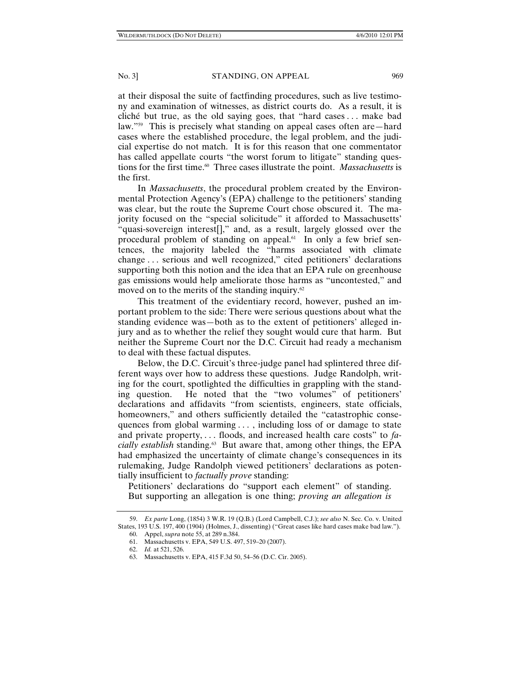at their disposal the suite of factfinding procedures, such as live testimony and examination of witnesses, as district courts do. As a result, it is cliché but true, as the old saying goes, that "hard cases . . . make bad law."59 This is precisely what standing on appeal cases often are—hard cases where the established procedure, the legal problem, and the judicial expertise do not match. It is for this reason that one commentator has called appellate courts "the worst forum to litigate" standing questions for the first time.<sup>60</sup> Three cases illustrate the point. *Massachusetts* is the first.

In *Massachusetts*, the procedural problem created by the Environmental Protection Agency's (EPA) challenge to the petitioners' standing was clear, but the route the Supreme Court chose obscured it. The majority focused on the "special solicitude" it afforded to Massachusetts' "quasi-sovereign interest[]," and, as a result, largely glossed over the procedural problem of standing on appeal.61 In only a few brief sentences, the majority labeled the "harms associated with climate change . . . serious and well recognized," cited petitioners' declarations supporting both this notion and the idea that an EPA rule on greenhouse gas emissions would help ameliorate those harms as "uncontested," and moved on to the merits of the standing inquiry. $62$ 

This treatment of the evidentiary record, however, pushed an important problem to the side: There were serious questions about what the standing evidence was—both as to the extent of petitioners' alleged injury and as to whether the relief they sought would cure that harm. But neither the Supreme Court nor the D.C. Circuit had ready a mechanism to deal with these factual disputes.

Below, the D.C. Circuit's three-judge panel had splintered three different ways over how to address these questions. Judge Randolph, writing for the court, spotlighted the difficulties in grappling with the standing question. He noted that the "two volumes" of petitioners' declarations and affidavits "from scientists, engineers, state officials, homeowners," and others sufficiently detailed the "catastrophic consequences from global warming . . . , including loss of or damage to state and private property, . . . floods, and increased health care costs" to *facially establish* standing.63 But aware that, among other things, the EPA had emphasized the uncertainty of climate change's consequences in its rulemaking, Judge Randolph viewed petitioners' declarations as potentially insufficient to *factually prove* standing:

Petitioners' declarations do "support each element" of standing. But supporting an allegation is one thing; *proving an allegation is* 

 <sup>59.</sup> *Ex parte* Long, (1854) 3 W.R. 19 (Q.B.) (Lord Campbell, C.J.); *see also* N. Sec. Co. v. United States, 193 U.S. 197, 400 (1904) (Holmes, J., dissenting) ("Great cases like hard cases make bad law.").

 <sup>60.</sup> Appel, *supra* note 55, at 289 n.384.

 <sup>61.</sup> Massachusetts v. EPA, 549 U.S. 497, 519–20 (2007).

 <sup>62.</sup> *Id.* at 521, 526.

 <sup>63.</sup> Massachusetts v. EPA, 415 F.3d 50, 54–56 (D.C. Cir. 2005).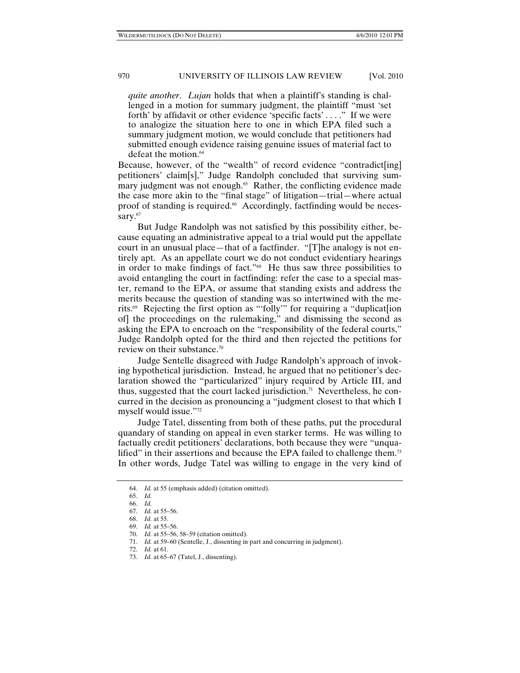*quite another*. *Lujan* holds that when a plaintiff's standing is challenged in a motion for summary judgment, the plaintiff "must 'set forth' by affidavit or other evidence 'specific facts' . . . ." If we were to analogize the situation here to one in which EPA filed such a summary judgment motion, we would conclude that petitioners had submitted enough evidence raising genuine issues of material fact to defeat the motion.<sup>64</sup>

Because, however, of the "wealth" of record evidence "contradict[ing] petitioners' claim[s]," Judge Randolph concluded that surviving summary judgment was not enough.<sup>65</sup> Rather, the conflicting evidence made the case more akin to the "final stage" of litigation—trial—where actual proof of standing is required.<sup>66</sup> Accordingly, factfinding would be necessary.<sup>67</sup>

But Judge Randolph was not satisfied by this possibility either, because equating an administrative appeal to a trial would put the appellate court in an unusual place—that of a factfinder. "[T]he analogy is not entirely apt. As an appellate court we do not conduct evidentiary hearings in order to make findings of fact."68 He thus saw three possibilities to avoid entangling the court in factfinding: refer the case to a special master, remand to the EPA, or assume that standing exists and address the merits because the question of standing was so intertwined with the merits.69 Rejecting the first option as "'folly'" for requiring a "duplicat[ion of] the proceedings on the rulemaking," and dismissing the second as asking the EPA to encroach on the "responsibility of the federal courts," Judge Randolph opted for the third and then rejected the petitions for review on their substance.70

Judge Sentelle disagreed with Judge Randolph's approach of invoking hypothetical jurisdiction. Instead, he argued that no petitioner's declaration showed the "particularized" injury required by Article III, and thus, suggested that the court lacked jurisdiction.<sup>71</sup> Nevertheless, he concurred in the decision as pronouncing a "judgment closest to that which I myself would issue."72

Judge Tatel, dissenting from both of these paths, put the procedural quandary of standing on appeal in even starker terms. He was willing to factually credit petitioners' declarations, both because they were "unqualified" in their assertions and because the EPA failed to challenge them.<sup>73</sup> In other words, Judge Tatel was willing to engage in the very kind of

 <sup>64.</sup> *Id.* at 55 (emphasis added) (citation omitted).

 <sup>65.</sup> *Id.*

 <sup>66.</sup> *Id.*

 <sup>67.</sup> *Id.* at 55–56.

 <sup>68.</sup> *Id.* at 55. 69. *Id.* at 55–56.

 <sup>70.</sup> *Id.* at 55–56, 58–59 (citation omitted). 71. *Id.* at 59–60 (Sentelle, J., dissenting in part and concurring in judgment).

 <sup>72.</sup> *Id.* at 61.

 <sup>73.</sup> *Id.* at 65–67 (Tatel, J., dissenting).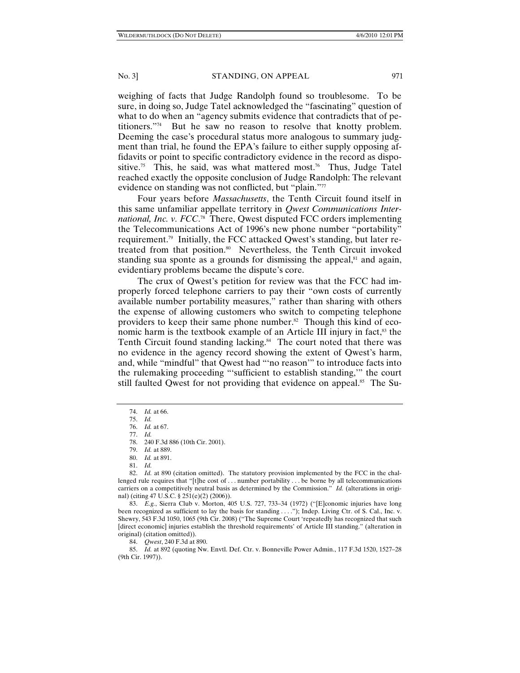weighing of facts that Judge Randolph found so troublesome. To be sure, in doing so, Judge Tatel acknowledged the "fascinating" question of what to do when an "agency submits evidence that contradicts that of petitioners."74 But he saw no reason to resolve that knotty problem. Deeming the case's procedural status more analogous to summary judgment than trial, he found the EPA's failure to either supply opposing affidavits or point to specific contradictory evidence in the record as dispositive.<sup>75</sup> This, he said, was what mattered most.<sup>76</sup> Thus, Judge Tatel reached exactly the opposite conclusion of Judge Randolph: The relevant evidence on standing was not conflicted, but "plain."<sup>77</sup>

Four years before *Massachusetts*, the Tenth Circuit found itself in this same unfamiliar appellate territory in *Qwest Communications International, Inc. v. FCC*. 78 There, Qwest disputed FCC orders implementing the Telecommunications Act of 1996's new phone number "portability" requirement.79 Initially, the FCC attacked Qwest's standing, but later retreated from that position.<sup>80</sup> Nevertheless, the Tenth Circuit invoked standing sua sponte as a grounds for dismissing the appeal, $\delta$ <sup>1</sup> and again, evidentiary problems became the dispute's core.

The crux of Qwest's petition for review was that the FCC had improperly forced telephone carriers to pay their "own costs of currently available number portability measures," rather than sharing with others the expense of allowing customers who switch to competing telephone providers to keep their same phone number.<sup>82</sup> Though this kind of economic harm is the textbook example of an Article III injury in fact,<sup>83</sup> the Tenth Circuit found standing lacking.<sup>84</sup> The court noted that there was no evidence in the agency record showing the extent of Qwest's harm, and, while "mindful" that Qwest had "'no reason'" to introduce facts into the rulemaking proceeding "'sufficient to establish standing,'" the court still faulted Qwest for not providing that evidence on appeal.<sup>85</sup> The Su-

 83. *E.g.*, Sierra Club v. Morton, 405 U.S. 727, 733–34 (1972) ("[E]conomic injuries have long been recognized as sufficient to lay the basis for standing . . . ."); Indep. Living Ctr. of S. Cal., Inc. v. Shewry, 543 F.3d 1050, 1065 (9th Cir. 2008) ("The Supreme Court 'repeatedly has recognized that such [direct economic] injuries establish the threshold requirements' of Article III standing." (alteration in original) (citation omitted)).

84. *Qwest*, 240 F.3d at 890.

 85. *Id.* at 892 (quoting Nw. Envtl. Def. Ctr. v. Bonneville Power Admin., 117 F.3d 1520, 1527–28 (9th Cir. 1997)).

 <sup>74.</sup> *Id.* at 66.

 <sup>75.</sup> *Id.*  76. *Id.* at 67.

 <sup>77.</sup> *Id.* 

 <sup>78. 240</sup> F.3d 886 (10th Cir. 2001).

 <sup>79.</sup> *Id.* at 889.

 <sup>80.</sup> *Id.* at 891.

 <sup>81.</sup> *Id.*

<sup>82.</sup> *Id.* at 890 (citation omitted). The statutory provision implemented by the FCC in the challenged rule requires that "[t]he cost of . . . number portability . . . be borne by all telecommunications carriers on a competitively neutral basis as determined by the Commission." *Id.* (alterations in original) (citing 47 U.S.C. § 251(e)(2) (2006)).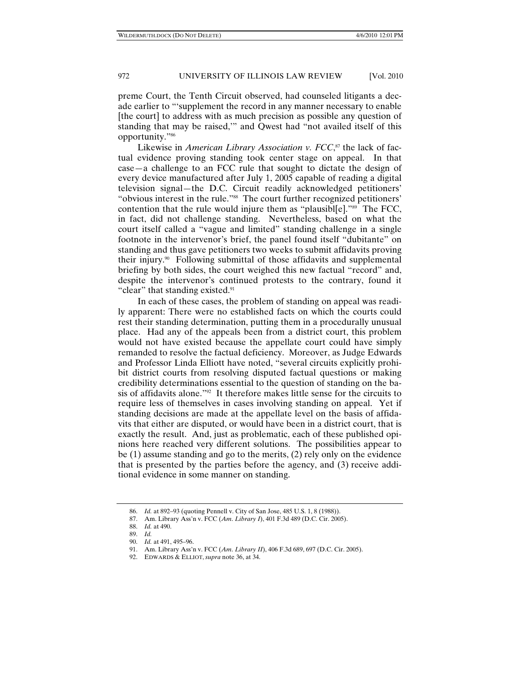preme Court, the Tenth Circuit observed, had counseled litigants a decade earlier to "'supplement the record in any manner necessary to enable [the court] to address with as much precision as possible any question of standing that may be raised,'" and Qwest had "not availed itself of this opportunity."86

Likewise in *American Library Association v. FCC*, 87 the lack of factual evidence proving standing took center stage on appeal. In that case—a challenge to an FCC rule that sought to dictate the design of every device manufactured after July 1, 2005 capable of reading a digital television signal—the D.C. Circuit readily acknowledged petitioners' "obvious interest in the rule."88 The court further recognized petitioners' contention that the rule would injure them as "plausible."<sup>89</sup> The FCC, in fact, did not challenge standing. Nevertheless, based on what the court itself called a "vague and limited" standing challenge in a single footnote in the intervenor's brief, the panel found itself "dubitante" on standing and thus gave petitioners two weeks to submit affidavits proving their injury.90 Following submittal of those affidavits and supplemental briefing by both sides, the court weighed this new factual "record" and, despite the intervenor's continued protests to the contrary, found it "clear" that standing existed.<sup>91</sup>

In each of these cases, the problem of standing on appeal was readily apparent: There were no established facts on which the courts could rest their standing determination, putting them in a procedurally unusual place. Had any of the appeals been from a district court, this problem would not have existed because the appellate court could have simply remanded to resolve the factual deficiency. Moreover, as Judge Edwards and Professor Linda Elliott have noted, "several circuits explicitly prohibit district courts from resolving disputed factual questions or making credibility determinations essential to the question of standing on the basis of affidavits alone."92 It therefore makes little sense for the circuits to require less of themselves in cases involving standing on appeal. Yet if standing decisions are made at the appellate level on the basis of affidavits that either are disputed, or would have been in a district court, that is exactly the result. And, just as problematic, each of these published opinions here reached very different solutions. The possibilities appear to be (1) assume standing and go to the merits, (2) rely only on the evidence that is presented by the parties before the agency, and (3) receive additional evidence in some manner on standing.

 <sup>86.</sup> *Id.* at 892–93 (quoting Pennell v. City of San Jose, 485 U.S. 1, 8 (1988)).

 <sup>87.</sup> Am. Library Ass'n v. FCC (*Am*. *Library I*), 401 F.3d 489 (D.C. Cir. 2005).

 <sup>88.</sup> *Id.* at 490.

 <sup>89.</sup> *Id.*

 <sup>90.</sup> *Id.* at 491, 495–96.

 <sup>91.</sup> Am. Library Ass'n v. FCC (*Am*. *Library II*), 406 F.3d 689, 697 (D.C. Cir. 2005).

 <sup>92.</sup> EDWARDS & ELLIOT, *supra* note 36, at 34.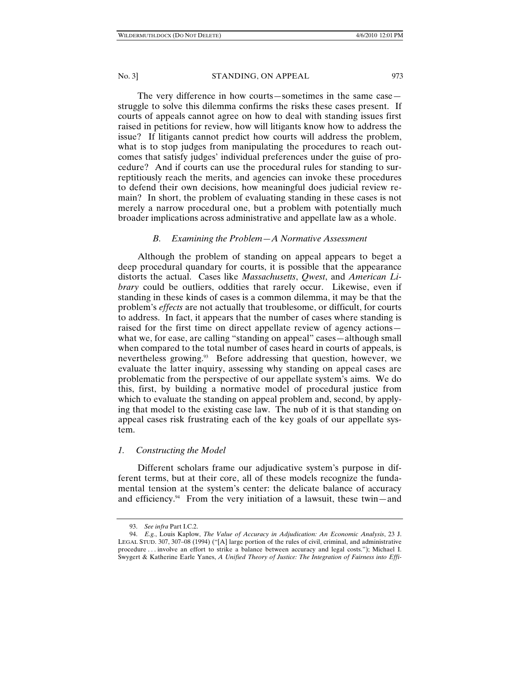The very difference in how courts—sometimes in the same case struggle to solve this dilemma confirms the risks these cases present. If courts of appeals cannot agree on how to deal with standing issues first raised in petitions for review, how will litigants know how to address the issue? If litigants cannot predict how courts will address the problem, what is to stop judges from manipulating the procedures to reach outcomes that satisfy judges' individual preferences under the guise of procedure? And if courts can use the procedural rules for standing to surreptitiously reach the merits, and agencies can invoke these procedures to defend their own decisions, how meaningful does judicial review remain? In short, the problem of evaluating standing in these cases is not merely a narrow procedural one, but a problem with potentially much broader implications across administrative and appellate law as a whole.

# *B. Examining the Problem—A Normative Assessment*

Although the problem of standing on appeal appears to beget a deep procedural quandary for courts, it is possible that the appearance distorts the actual. Cases like *Massachusetts*, *Qwest*, and *American Library* could be outliers, oddities that rarely occur. Likewise, even if standing in these kinds of cases is a common dilemma, it may be that the problem's *effects* are not actually that troublesome, or difficult, for courts to address. In fact, it appears that the number of cases where standing is raised for the first time on direct appellate review of agency actions what we, for ease, are calling "standing on appeal" cases—although small when compared to the total number of cases heard in courts of appeals, is nevertheless growing.<sup>93</sup> Before addressing that question, however, we evaluate the latter inquiry, assessing why standing on appeal cases are problematic from the perspective of our appellate system's aims. We do this, first, by building a normative model of procedural justice from which to evaluate the standing on appeal problem and, second, by applying that model to the existing case law. The nub of it is that standing on appeal cases risk frustrating each of the key goals of our appellate system.

#### *1. Constructing the Model*

Different scholars frame our adjudicative system's purpose in different terms, but at their core, all of these models recognize the fundamental tension at the system's center: the delicate balance of accuracy and efficiency.<sup>94</sup> From the very initiation of a lawsuit, these twin—and

 <sup>93.</sup> *See infra* Part I.C.2.

 <sup>94.</sup> *E.g.*, Louis Kaplow, *The Value of Accuracy in Adjudication: An Economic Analysis*, 23 J. LEGAL STUD. 307, 307–08 (1994) ("[A] large portion of the rules of civil, criminal, and administrative procedure . . . involve an effort to strike a balance between accuracy and legal costs."); Michael I. Swygert & Katherine Earle Yanes, *A Unified Theory of Justice: The Integration of Fairness into Effi-*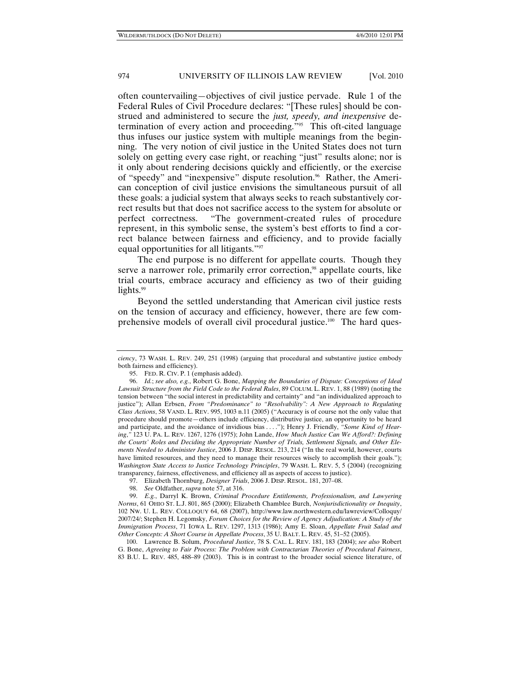often countervailing—objectives of civil justice pervade. Rule 1 of the Federal Rules of Civil Procedure declares: "[These rules] should be construed and administered to secure the *just, speedy, and inexpensive* determination of every action and proceeding."<sup>95</sup> This oft-cited language thus infuses our justice system with multiple meanings from the beginning. The very notion of civil justice in the United States does not turn solely on getting every case right, or reaching "just" results alone; nor is it only about rendering decisions quickly and efficiently, or the exercise of "speedy" and "inexpensive" dispute resolution.<sup>96</sup> Rather, the American conception of civil justice envisions the simultaneous pursuit of all these goals: a judicial system that always seeks to reach substantively correct results but that does not sacrifice access to the system for absolute or perfect correctness. "The government-created rules of procedure represent, in this symbolic sense, the system's best efforts to find a correct balance between fairness and efficiency, and to provide facially equal opportunities for all litigants."97

The end purpose is no different for appellate courts. Though they serve a narrower role, primarily error correction,<sup>98</sup> appellate courts, like trial courts, embrace accuracy and efficiency as two of their guiding lights.<sup>99</sup>

Beyond the settled understanding that American civil justice rests on the tension of accuracy and efficiency, however, there are few comprehensive models of overall civil procedural justice.<sup>100</sup> The hard ques-

*ciency*, 73 WASH. L. REV. 249, 251 (1998) (arguing that procedural and substantive justice embody both fairness and efficiency).

 <sup>95.</sup> FED. R. CIV. P. 1 (emphasis added).

 <sup>96.</sup> *Id.*; *see also, e.g.*, Robert G. Bone, *Mapping the Boundaries of Dispute: Conceptions of Ideal Lawsuit Structure from the Field Code to the Federal Rules*, 89 COLUM. L. REV. 1, 88 (1989) (noting the tension between "the social interest in predictability and certainty" and "an individualized approach to justice"); Allan Erbsen, *From "Predominance" to "Resolvability": A New Approach to Regulating Class Actions*, 58 VAND. L. REV. 995, 1003 n.11 (2005) ("Accuracy is of course not the only value that procedure should promote—others include efficiency, distributive justice, an opportunity to be heard and participate, and the avoidance of invidious bias . . . ."); Henry J. Friendly, *"Some Kind of Hearing*,*"* 123 U. PA. L. REV. 1267, 1276 (1975); John Lande, *How Much Justice Can We Afford?: Defining the Courts' Roles and Deciding the Appropriate Number of Trials, Settlement Signals, and Other Elements Needed to Administer Justice*, 2006 J. DISP. RESOL. 213, 214 ("In the real world, however, courts have limited resources, and they need to manage their resources wisely to accomplish their goals."); *Washington State Access to Justice Technology Principles*, 79 WASH. L. REV. 5, 5 (2004) (recognizing transparency, fairness, effectiveness, and efficiency all as aspects of access to justice).

 <sup>97.</sup> Elizabeth Thornburg, *Designer Trials*, 2006 J. DISP. RESOL. 181, 207–08.

 <sup>98.</sup> *See* Oldfather, *supra* note 57, at 316.

 <sup>99.</sup> *E.g.*, Darryl K. Brown, *Criminal Procedure Entitlements, Professionalism, and Lawyering Norms*, 61 OHIO ST. L.J. 801, 865 (2000); Elizabeth Chamblee Burch, *Nonjurisdictionality or Inequity*, 102 NW. U. L. REV. COLLOQUY 64, 68 (2007), http://www.law.northwestern.edu/lawreview/Colloquy/ 2007/24/; Stephen H. Legomsky, *Forum Choices for the Review of Agency Adjudication: A Study of the Immigration Process*, 71 IOWA L. REV. 1297, 1313 (1986); Amy E. Sloan, *Appellate Fruit Salad and Other Concepts: A Short Course in Appellate Process*, 35 U. BALT. L. REV. 45, 51–52 (2005).

 <sup>100.</sup> Lawrence B. Solum, *Procedural Justice*, 78 S. CAL. L. REV. 181, 183 (2004); *see also* Robert G. Bone, *Agreeing to Fair Process: The Problem with Contractarian Theories of Procedural Fairness*, 83 B.U. L. REV. 485, 488–89 (2003). This is in contrast to the broader social science literature, of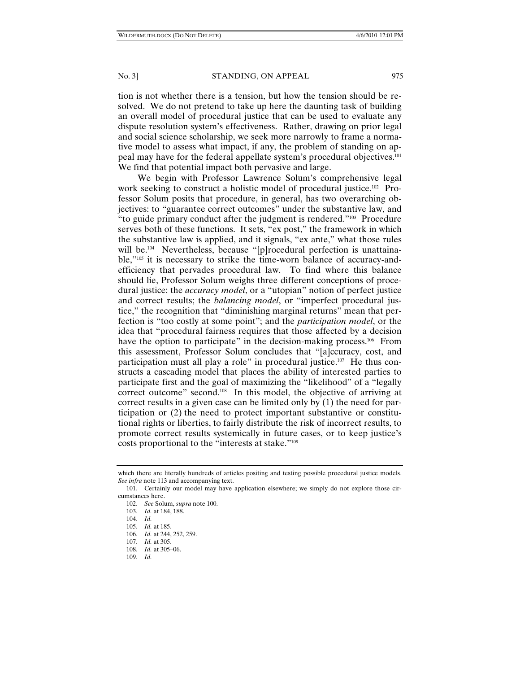tion is not whether there is a tension, but how the tension should be resolved. We do not pretend to take up here the daunting task of building an overall model of procedural justice that can be used to evaluate any dispute resolution system's effectiveness. Rather, drawing on prior legal and social science scholarship, we seek more narrowly to frame a normative model to assess what impact, if any, the problem of standing on appeal may have for the federal appellate system's procedural objectives.101 We find that potential impact both pervasive and large.

We begin with Professor Lawrence Solum's comprehensive legal work seeking to construct a holistic model of procedural justice.102 Professor Solum posits that procedure, in general, has two overarching objectives: to "guarantee correct outcomes" under the substantive law, and "to guide primary conduct after the judgment is rendered."103 Procedure serves both of these functions. It sets, "ex post," the framework in which the substantive law is applied, and it signals, "ex ante," what those rules will be.<sup>104</sup> Nevertheless, because "[p]rocedural perfection is unattainable,"105 it is necessary to strike the time-worn balance of accuracy-andefficiency that pervades procedural law. To find where this balance should lie, Professor Solum weighs three different conceptions of procedural justice: the *accuracy model*, or a "utopian" notion of perfect justice and correct results; the *balancing model*, or "imperfect procedural justice," the recognition that "diminishing marginal returns" mean that perfection is "too costly at some point"; and the *participation model*, or the idea that "procedural fairness requires that those affected by a decision have the option to participate" in the decision-making process.<sup>106</sup> From this assessment, Professor Solum concludes that "[a]ccuracy, cost, and participation must all play a role" in procedural justice.<sup>107</sup> He thus constructs a cascading model that places the ability of interested parties to participate first and the goal of maximizing the "likelihood" of a "legally correct outcome" second.<sup>108</sup> In this model, the objective of arriving at correct results in a given case can be limited only by (1) the need for participation or (2) the need to protect important substantive or constitutional rights or liberties, to fairly distribute the risk of incorrect results, to promote correct results systemically in future cases, or to keep justice's costs proportional to the "interests at stake."109

which there are literally hundreds of articles positing and testing possible procedural justice models. *See infra* note 113 and accompanying text.

 <sup>101.</sup> Certainly our model may have application elsewhere; we simply do not explore those circumstances here.

 <sup>102.</sup> *See* Solum, *supra* note 100.

 <sup>103.</sup> *Id.* at 184, 188.

 <sup>104.</sup> *Id.*

 <sup>105.</sup> *Id.* at 185.

 <sup>106.</sup> *Id.* at 244, 252, 259.

 <sup>107.</sup> *Id.* at 305.

 <sup>108.</sup> *Id.* at 305–06.

 <sup>109.</sup> *Id.*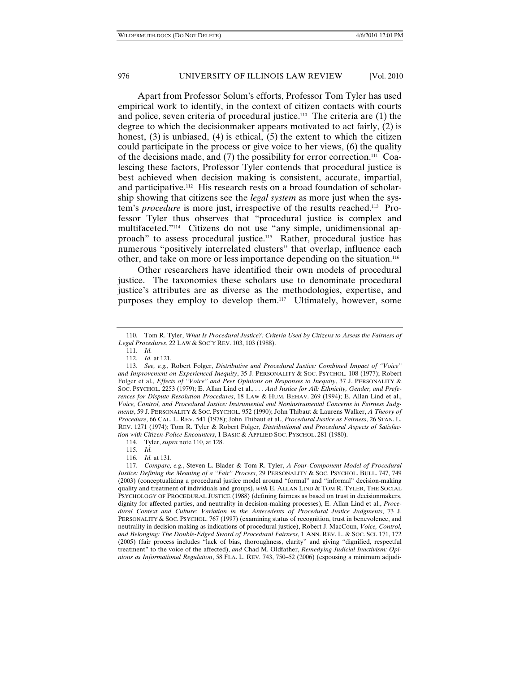Apart from Professor Solum's efforts, Professor Tom Tyler has used empirical work to identify, in the context of citizen contacts with courts and police, seven criteria of procedural justice.110 The criteria are (1) the degree to which the decisionmaker appears motivated to act fairly, (2) is honest, (3) is unbiased, (4) is ethical, (5) the extent to which the citizen could participate in the process or give voice to her views, (6) the quality of the decisions made, and  $(7)$  the possibility for error correction.<sup>111</sup> Coalescing these factors, Professor Tyler contends that procedural justice is best achieved when decision making is consistent, accurate, impartial, and participative.112 His research rests on a broad foundation of scholarship showing that citizens see the *legal system* as more just when the system's *procedure* is more just, irrespective of the results reached.113 Professor Tyler thus observes that "procedural justice is complex and multifaceted."114 Citizens do not use "any simple, unidimensional approach" to assess procedural justice.<sup>115</sup> Rather, procedural justice has numerous "positively interrelated clusters" that overlap, influence each other, and take on more or less importance depending on the situation.116

Other researchers have identified their own models of procedural justice. The taxonomies these scholars use to denominate procedural justice's attributes are as diverse as the methodologies, expertise, and purposes they employ to develop them.117 Ultimately, however, some

111. *Id.*

114. Tyler, *supra* note 110, at 128.

115. *Id.*

116. *Id.* at 131.

 <sup>110.</sup> Tom R. Tyler, *What Is Procedural Justice?: Criteria Used by Citizens to Assess the Fairness of Legal Procedures*, 22 LAW & SOC'Y REV. 103, 103 (1988).

 <sup>112.</sup> *Id.* at 121.

 <sup>113.</sup> *See, e.g.*, Robert Folger, *Distributive and Procedural Justice: Combined Impact of "Voice" and Improvement on Experienced Inequity*, 35 J. PERSONALITY & SOC. PSYCHOL. 108 (1977); Robert Folger et al., *Effects of "Voice" and Peer Opinions on Responses to Inequity*, 37 J. PERSONALITY & SOC. PSYCHOL. 2253 (1979); E. Allan Lind et al., *. . . And Justice for All: Ethnicity, Gender, and Preferences for Dispute Resolution Procedures*, 18 LAW & HUM. BEHAV. 269 (1994); E. Allan Lind et al., *Voice, Control, and Procedural Justice: Instrumental and Noninstrumental Concerns in Fairness Judgments*, 59 J. PERSONALITY & SOC. PSYCHOL. 952 (1990); John Thibaut & Laurens Walker, *A Theory of Procedure*, 66 CAL. L. REV. 541 (1978); John Thibaut et al., *Procedural Justice as Fairness*, 26 STAN. L. REV. 1271 (1974); Tom R. Tyler & Robert Folger, *Distributional and Procedural Aspects of Satisfaction with Citizen-Police Encounters*, 1 BASIC & APPLIED SOC. PYSCHOL. 281 (1980).

 <sup>117.</sup> *Compare, e.g.*, Steven L. Blader & Tom R. Tyler, *A Four-Component Model of Procedural Justice: Defining the Meaning of a "Fair" Process*, 29 PERSONALITY & SOC. PSYCHOL. BULL. 747, 749 (2003) (conceptualizing a procedural justice model around "formal" and "informal" decision-making quality and treatment of individuals and groups), *with* E. ALLAN LIND & TOM R. TYLER, THE SOCIAL PSYCHOLOGY OF PROCEDURAL JUSTICE (1988) (defining fairness as based on trust in decisionmakers, dignity for affected parties, and neutrality in decision-making processes), E. Allan Lind et al., *Procedural Context and Culture: Variation in the Antecedents of Procedural Justice Judgments*, 73 J. PERSONALITY & SOC. PSYCHOL. 767 (1997) (examining status of recognition, trust in benevolence, and neutrality in decision making as indications of procedural justice), Robert J. MacCoun, *Voice, Control, and Belonging: The Double-Edged Sword of Procedural Fairness*, 1 ANN. REV. L. & SOC. SCI. 171, 172 (2005) (fair process includes "lack of bias, thoroughness, clarity" and giving "dignified, respectful treatment" to the voice of the affected), *and* Chad M. Oldfather, *Remedying Judicial Inactivism: Opinions as Informational Regulation*, 58 FLA. L. REV. 743, 750–52 (2006) (espousing a minimum adjudi-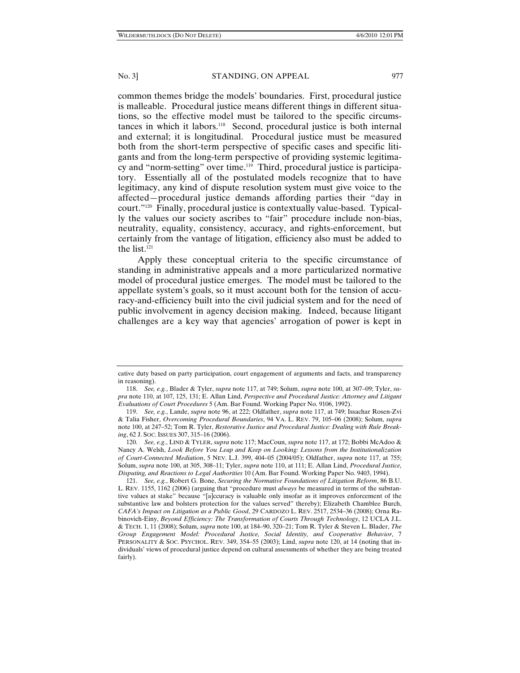common themes bridge the models' boundaries. First, procedural justice is malleable. Procedural justice means different things in different situations, so the effective model must be tailored to the specific circumstances in which it labors.118 Second, procedural justice is both internal and external; it is longitudinal. Procedural justice must be measured both from the short-term perspective of specific cases and specific litigants and from the long-term perspective of providing systemic legitimacy and "norm-setting" over time.<sup>119</sup> Third, procedural justice is participatory. Essentially all of the postulated models recognize that to have legitimacy, any kind of dispute resolution system must give voice to the affected—procedural justice demands affording parties their "day in court."120 Finally, procedural justice is contextually value-based. Typically the values our society ascribes to "fair" procedure include non-bias, neutrality, equality, consistency, accuracy, and rights-enforcement, but certainly from the vantage of litigation, efficiency also must be added to the list.121

Apply these conceptual criteria to the specific circumstance of standing in administrative appeals and a more particularized normative model of procedural justice emerges. The model must be tailored to the appellate system's goals, so it must account both for the tension of accuracy-and-efficiency built into the civil judicial system and for the need of public involvement in agency decision making. Indeed, because litigant challenges are a key way that agencies' arrogation of power is kept in

cative duty based on party participation, court engagement of arguments and facts, and transparency in reasoning).

 <sup>118.</sup> *See, e.g.*, Blader & Tyler, *supra* note 117, at 749; Solum, *supra* note 100, at 307–09; Tyler, *supra* note 110, at 107, 125, 131; E. Allan Lind, *Perspective and Procedural Justice: Attorney and Litigant Evaluations of Court Procedures* 5 (Am. Bar Found. Working Paper No. 9106, 1992).

 <sup>119.</sup> *See, e.g.*, Lande, *supra* note 96, at 222; Oldfather, *supra* note 117, at 749; Issachar Rosen-Zvi & Talia Fisher, *Overcoming Procedural Boundaries*, 94 VA. L. REV. 79, 105–06 (2008); Solum, *supra*  note 100, at 247–52; Tom R. Tyler, *Restorative Justice and Procedural Justice: Dealing with Rule Breaking*, 62 J. SOC. ISSUES 307, 315–16 (2006).

 <sup>120.</sup> *See, e.g.*, LIND & TYLER, *supra* note 117; MacCoun, *supra* note 117, at 172; Bobbi McAdoo & Nancy A. Welsh, *Look Before You Leap and Keep on Looking: Lessons from the Institutionalization of Court-Connected Mediation*, 5 NEV. L.J. 399, 404–05 (2004/05); Oldfather, *supra* note 117, at 755; Solum, *supra* note 100, at 305, 308–11; Tyler, *supra* note 110, at 111; E. Allan Lind, *Procedural Justice, Disputing, and Reactions to Legal Authorities* 10 (Am. Bar Found. Working Paper No. 9403, 1994).

 <sup>121.</sup> *See, e.g.*, Robert G. Bone, *Securing the Normative Foundations of Litigation Reform*, 86 B.U. L. REV. 1155, 1162 (2006) (arguing that "procedure must *always* be measured in terms of the substantive values at stake" because "[a]ccuracy is valuable only insofar as it improves enforcement of the substantive law and bolsters protection for the values served" thereby); Elizabeth Chamblee Burch, *CAFA's Impact on Litigation as a Public Good*, 29 CARDOZO L. REV. 2517, 2534–36 (2008); Orna Rabinovich-Einy, *Beyond Efficiency: The Transformation of Courts Through Technology*, 12 UCLA J.L. & TECH. 1, 11 (2008); Solum, *supra* note 100, at 184–90, 320–21; Tom R. Tyler & Steven L. Blader, *The Group Engagement Model: Procedural Justice, Social Identity, and Cooperative Behavior*, 7 PERSONALITY & SOC. PSYCHOL. REV. 349, 354–55 (2003); Lind, *supra* note 120, at 14 (noting that individuals' views of procedural justice depend on cultural assessments of whether they are being treated fairly).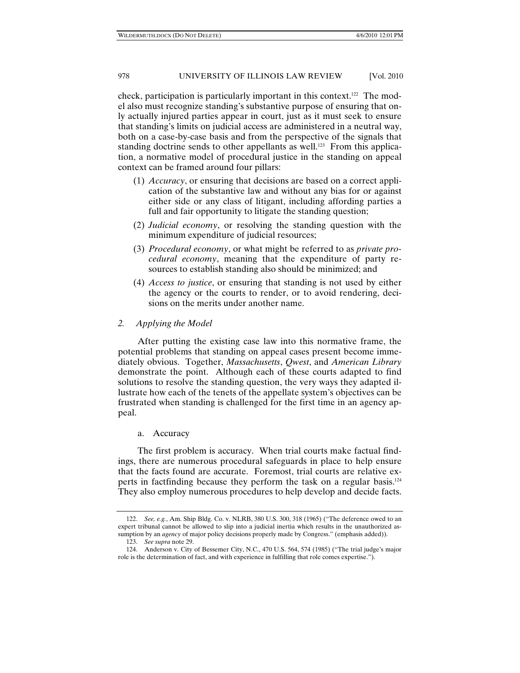check, participation is particularly important in this context.122 The model also must recognize standing's substantive purpose of ensuring that only actually injured parties appear in court, just as it must seek to ensure that standing's limits on judicial access are administered in a neutral way, both on a case-by-case basis and from the perspective of the signals that standing doctrine sends to other appellants as well.<sup>123</sup> From this application, a normative model of procedural justice in the standing on appeal context can be framed around four pillars:

- (1) *Accuracy*, or ensuring that decisions are based on a correct application of the substantive law and without any bias for or against either side or any class of litigant, including affording parties a full and fair opportunity to litigate the standing question;
- (2) *Judicial economy*, or resolving the standing question with the minimum expenditure of judicial resources;
- (3) *Procedural economy*, or what might be referred to as *private procedural economy*, meaning that the expenditure of party resources to establish standing also should be minimized; and
- (4) *Access to justice*, or ensuring that standing is not used by either the agency or the courts to render, or to avoid rendering, decisions on the merits under another name.
- *2. Applying the Model*

After putting the existing case law into this normative frame, the potential problems that standing on appeal cases present become immediately obvious. Together, *Massachusetts*, *Qwest*, and *American Library* demonstrate the point. Although each of these courts adapted to find solutions to resolve the standing question, the very ways they adapted illustrate how each of the tenets of the appellate system's objectives can be frustrated when standing is challenged for the first time in an agency appeal.

# a. Accuracy

The first problem is accuracy. When trial courts make factual findings, there are numerous procedural safeguards in place to help ensure that the facts found are accurate. Foremost, trial courts are relative experts in factfinding because they perform the task on a regular basis.124 They also employ numerous procedures to help develop and decide facts.

 <sup>122.</sup> *See, e.g.*, Am. Ship Bldg. Co. v. NLRB, 380 U.S. 300, 318 (1965) ("The deference owed to an expert tribunal cannot be allowed to slip into a judicial inertia which results in the unauthorized assumption by an *agency* of major policy decisions properly made by Congress." (emphasis added)).

 <sup>123.</sup> *See supra* note 29.

 <sup>124.</sup> Anderson v. City of Bessemer City, N.C., 470 U.S. 564, 574 (1985) ("The trial judge's major role is the determination of fact, and with experience in fulfilling that role comes expertise.").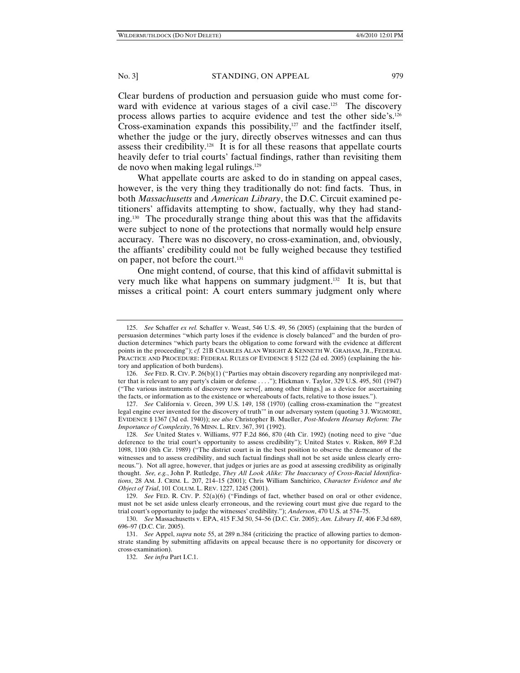Clear burdens of production and persuasion guide who must come forward with evidence at various stages of a civil case.<sup>125</sup> The discovery process allows parties to acquire evidence and test the other side's.126 Cross-examination expands this possibility, $127$  and the factfinder itself, whether the judge or the jury, directly observes witnesses and can thus assess their credibility.128 It is for all these reasons that appellate courts heavily defer to trial courts' factual findings, rather than revisiting them de novo when making legal rulings.129

What appellate courts are asked to do in standing on appeal cases, however, is the very thing they traditionally do not: find facts. Thus, in both *Massachusetts* and *American Library*, the D.C. Circuit examined petitioners' affidavits attempting to show, factually, why they had standing.130 The procedurally strange thing about this was that the affidavits were subject to none of the protections that normally would help ensure accuracy. There was no discovery, no cross-examination, and, obviously, the affiants' credibility could not be fully weighed because they testified on paper, not before the court.<sup>131</sup>

One might contend, of course, that this kind of affidavit submittal is very much like what happens on summary judgment.132 It is, but that misses a critical point: A court enters summary judgment only where

 <sup>125.</sup> *See* Schaffer *ex rel.* Schaffer v. Weast, 546 U.S. 49, 56 (2005) (explaining that the burden of persuasion determines "which party loses if the evidence is closely balanced" and the burden of production determines "which party bears the obligation to come forward with the evidence at different points in the proceeding"); *cf.* 21B CHARLES ALAN WRIGHT & KENNETH W. GRAHAM, JR., FEDERAL PRACTICE AND PROCEDURE: FEDERAL RULES OF EVIDENCE § 5122 (2d ed. 2005) (explaining the history and application of both burdens).

 <sup>126.</sup> *See* FED. R. CIV. P. 26(b)(1) ("Parties may obtain discovery regarding any nonprivileged matter that is relevant to any party's claim or defense . . . ."); Hickman v. Taylor, 329 U.S. 495, 501 (1947) ("The various instruments of discovery now serve[, among other things,] as a device for ascertaining the facts, or information as to the existence or whereabouts of facts, relative to those issues.").

 <sup>127.</sup> *See* California v. Green, 399 U.S. 149, 158 (1970) (calling cross-examination the "'greatest legal engine ever invented for the discovery of truth'" in our adversary system (quoting 3 J. WIGMORE, EVIDENCE § 1367 (3d ed. 1940)); *see also* Christopher B. Mueller, *Post-Modern Hearsay Reform: The Importance of Complexity*, 76 MINN. L. REV. 367, 391 (1992).

 <sup>128.</sup> *See* United States v. Williams, 977 F.2d 866, 870 (4th Cir. 1992) (noting need to give "due deference to the trial court's opportunity to assess credibility"); United States v. Risken, 869 F.2d 1098, 1100 (8th Cir. 1989) ("The district court is in the best position to observe the demeanor of the witnesses and to assess credibility, and such factual findings shall not be set aside unless clearly erroneous."). Not all agree, however, that judges or juries are as good at assessing credibility as originally thought. *See, e.g.*, John P. Rutledge, *They All Look Alike: The Inaccuracy of Cross-Racial Identifications*, 28 AM. J. CRIM. L. 207, 214–15 (2001); Chris William Sanchirico, *Character Evidence and the Object of Trial*, 101 COLUM. L. REV. 1227, 1245 (2001).

 <sup>129.</sup> *See* FED. R. CIV. P. 52(a)(6) ("Findings of fact, whether based on oral or other evidence, must not be set aside unless clearly erroneous, and the reviewing court must give due regard to the trial court's opportunity to judge the witnesses' credibility."); *Anderson*, 470 U.S. at 574–75.

 <sup>130.</sup> *See* Massachusetts v. EPA, 415 F.3d 50, 54–56 (D.C. Cir. 2005); *Am. Library II*, 406 F.3d 689, 696–97 (D.C. Cir. 2005).

 <sup>131.</sup> *See* Appel, *supra* note 55, at 289 n.384 (criticizing the practice of allowing parties to demonstrate standing by submitting affidavits on appeal because there is no opportunity for discovery or cross-examination).

 <sup>132.</sup> *See infra* Part I.C.1.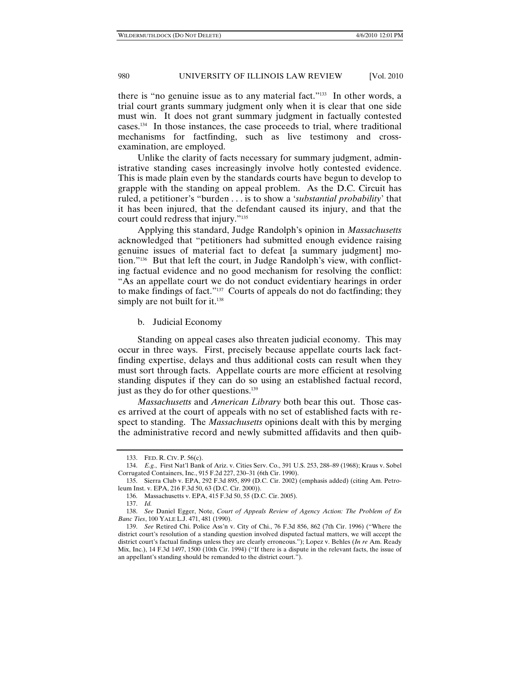there is "no genuine issue as to any material fact."133 In other words, a trial court grants summary judgment only when it is clear that one side must win. It does not grant summary judgment in factually contested cases.134 In those instances, the case proceeds to trial, where traditional mechanisms for factfinding, such as live testimony and crossexamination, are employed.

Unlike the clarity of facts necessary for summary judgment, administrative standing cases increasingly involve hotly contested evidence. This is made plain even by the standards courts have begun to develop to grapple with the standing on appeal problem. As the D.C. Circuit has ruled, a petitioner's "burden . . . is to show a '*substantial probability*' that it has been injured, that the defendant caused its injury, and that the court could redress that injury."135

Applying this standard, Judge Randolph's opinion in *Massachusetts* acknowledged that "petitioners had submitted enough evidence raising genuine issues of material fact to defeat [a summary judgment] motion."136 But that left the court, in Judge Randolph's view, with conflicting factual evidence and no good mechanism for resolving the conflict: "As an appellate court we do not conduct evidentiary hearings in order to make findings of fact."<sup>137</sup> Courts of appeals do not do factfinding; they simply are not built for it.<sup>138</sup>

# b. Judicial Economy

Standing on appeal cases also threaten judicial economy. This may occur in three ways. First, precisely because appellate courts lack factfinding expertise, delays and thus additional costs can result when they must sort through facts. Appellate courts are more efficient at resolving standing disputes if they can do so using an established factual record, just as they do for other questions.<sup>139</sup>

*Massachusetts* and *American Library* both bear this out. Those cases arrived at the court of appeals with no set of established facts with respect to standing. The *Massachusetts* opinions dealt with this by merging the administrative record and newly submitted affidavits and then quib-

 <sup>133.</sup> FED. R. CIV. P. 56(c).

 <sup>134.</sup> *E.g.*, First Nat'l Bank of Ariz. v. Cities Serv. Co., 391 U.S. 253, 288–89 (1968); Kraus v. Sobel Corrugated Containers, Inc., 915 F.2d 227, 230–31 (6th Cir. 1990).

 <sup>135.</sup> Sierra Club v. EPA, 292 F.3d 895, 899 (D.C. Cir. 2002) (emphasis added) (citing Am. Petroleum Inst. v. EPA, 216 F.3d 50, 63 (D.C. Cir. 2000)).

 <sup>136.</sup> Massachusetts v. EPA, 415 F.3d 50, 55 (D.C. Cir. 2005).

 <sup>137.</sup> *Id.*

 <sup>138.</sup> *See* Daniel Egger, Note, *Court of Appeals Review of Agency Action: The Problem of En Banc Ties*, 100 YALE L.J. 471, 481 (1990).

 <sup>139.</sup> *See* Retired Chi. Police Ass'n v. City of Chi., 76 F.3d 856, 862 (7th Cir. 1996) ("Where the district court's resolution of a standing question involved disputed factual matters, we will accept the district court's factual findings unless they are clearly erroneous."); Lopez v. Behles (*In re* Am. Ready Mix, Inc.), 14 F.3d 1497, 1500 (10th Cir. 1994) ("If there is a dispute in the relevant facts, the issue of an appellant's standing should be remanded to the district court.").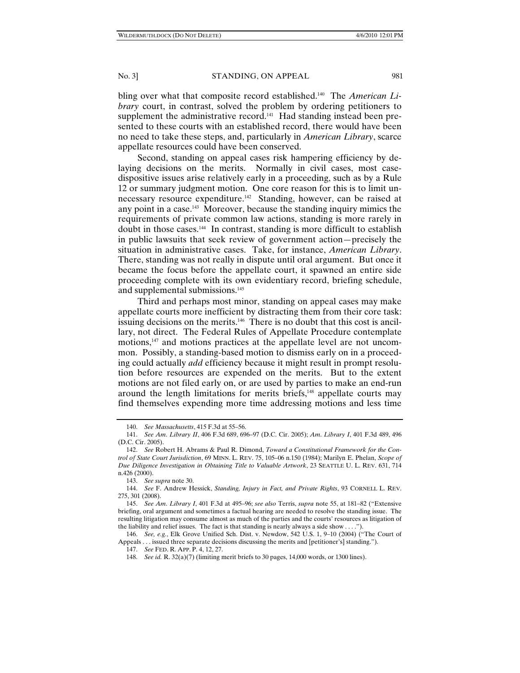bling over what that composite record established.140 The *American Library* court, in contrast, solved the problem by ordering petitioners to supplement the administrative record.<sup>141</sup> Had standing instead been presented to these courts with an established record, there would have been no need to take these steps, and, particularly in *American Library*, scarce appellate resources could have been conserved.

Second, standing on appeal cases risk hampering efficiency by delaying decisions on the merits. Normally in civil cases, most casedispositive issues arise relatively early in a proceeding, such as by a Rule 12 or summary judgment motion. One core reason for this is to limit unnecessary resource expenditure.<sup>142</sup> Standing, however, can be raised at any point in a case.143 Moreover, because the standing inquiry mimics the requirements of private common law actions, standing is more rarely in doubt in those cases.144 In contrast, standing is more difficult to establish in public lawsuits that seek review of government action—precisely the situation in administrative cases. Take, for instance, *American Library*. There, standing was not really in dispute until oral argument. But once it became the focus before the appellate court, it spawned an entire side proceeding complete with its own evidentiary record, briefing schedule, and supplemental submissions.<sup>145</sup>

Third and perhaps most minor, standing on appeal cases may make appellate courts more inefficient by distracting them from their core task: issuing decisions on the merits.146 There is no doubt that this cost is ancillary, not direct. The Federal Rules of Appellate Procedure contemplate motions,<sup>147</sup> and motions practices at the appellate level are not uncommon. Possibly, a standing-based motion to dismiss early on in a proceeding could actually *add* efficiency because it might result in prompt resolution before resources are expended on the merits. But to the extent motions are not filed early on, or are used by parties to make an end-run around the length limitations for merits briefs,<sup>148</sup> appellate courts may find themselves expending more time addressing motions and less time

 <sup>140.</sup> *See Massachusetts*, 415 F.3d at 55–56.

 <sup>141.</sup> *See Am*. *Library II*, 406 F.3d 689, 696–97 (D.C. Cir. 2005); *Am*. *Library I*, 401 F.3d 489, 496 (D.C. Cir. 2005).

 <sup>142.</sup> *See* Robert H. Abrams & Paul R. Dimond, *Toward a Constitutional Framework for the Control of State Court Jurisdiction*, 69 MINN. L. REV. 75, 105–06 n.150 (1984); Marilyn E. Phelan, *Scope of Due Diligence Investigation in Obtaining Title to Valuable Artwork*, 23 SEATTLE U. L. REV. 631, 714 n.426 (2000).

 <sup>143.</sup> *See supra* note 30.

 <sup>144.</sup> *See* F. Andrew Hessick, *Standing, Injury in Fact, and Private Rights*, 93 CORNELL L. REV. 275, 301 (2008).

 <sup>145.</sup> *See Am*. *Library I*, 401 F.3d at 495–96; *see also* Terris, *supra* note 55, at 181–82 ("Extensive briefing, oral argument and sometimes a factual hearing are needed to resolve the standing issue. The resulting litigation may consume almost as much of the parties and the courts' resources as litigation of the liability and relief issues. The fact is that standing is nearly always a side show . . . .").

 <sup>146.</sup> *See, e.g.*, Elk Grove Unified Sch. Dist. v. Newdow, 542 U.S. 1, 9–10 (2004) ("The Court of Appeals . . . issued three separate decisions discussing the merits and [petitioner's] standing.").

 <sup>147.</sup> *See* FED. R. APP. P. 4, 12, 27.

 <sup>148.</sup> *See id.* R. 32(a)(7) (limiting merit briefs to 30 pages, 14,000 words, or 1300 lines).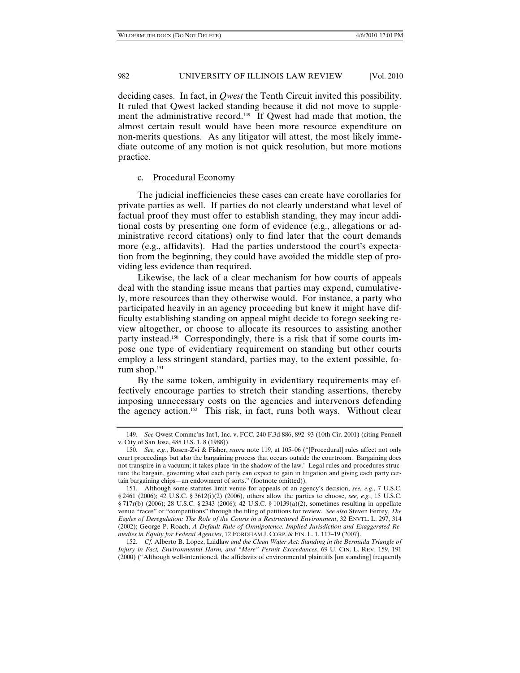deciding cases. In fact, in *Qwest* the Tenth Circuit invited this possibility. It ruled that Qwest lacked standing because it did not move to supplement the administrative record.<sup>149</sup> If Qwest had made that motion, the almost certain result would have been more resource expenditure on non-merits questions. As any litigator will attest, the most likely immediate outcome of any motion is not quick resolution, but more motions practice.

# c. Procedural Economy

The judicial inefficiencies these cases can create have corollaries for private parties as well. If parties do not clearly understand what level of factual proof they must offer to establish standing, they may incur additional costs by presenting one form of evidence (e.g., allegations or administrative record citations) only to find later that the court demands more (e.g., affidavits). Had the parties understood the court's expectation from the beginning, they could have avoided the middle step of providing less evidence than required.

Likewise, the lack of a clear mechanism for how courts of appeals deal with the standing issue means that parties may expend, cumulatively, more resources than they otherwise would. For instance, a party who participated heavily in an agency proceeding but knew it might have difficulty establishing standing on appeal might decide to forego seeking review altogether, or choose to allocate its resources to assisting another party instead.150 Correspondingly, there is a risk that if some courts impose one type of evidentiary requirement on standing but other courts employ a less stringent standard, parties may, to the extent possible, forum shop.<sup>151</sup>

By the same token, ambiguity in evidentiary requirements may effectively encourage parties to stretch their standing assertions, thereby imposing unnecessary costs on the agencies and intervenors defending the agency action.<sup>152</sup> This risk, in fact, runs both ways. Without clear

 152. *Cf.* Alberto B. Lopez, Laidlaw *and the Clean Water Act: Standing in the Bermuda Triangle of Injury in Fact, Environmental Harm, and "Mere" Permit Exceedances*, 69 U. CIN. L. REV. 159, 191 (2000) ("Although well-intentioned, the affidavits of environmental plaintiffs [on standing] frequently

 <sup>149.</sup> *See* Qwest Commc'ns Int'l, Inc. v. FCC, 240 F.3d 886, 892–93 (10th Cir. 2001) (citing Pennell v. City of San Jose, 485 U.S. 1, 8 (1988)).

 <sup>150.</sup> *See, e.g.*, Rosen-Zvi & Fisher, *supra* note 119, at 105–06 ("[Procedural] rules affect not only court proceedings but also the bargaining process that occurs outside the courtroom. Bargaining does not transpire in a vacuum; it takes place 'in the shadow of the law.' Legal rules and procedures structure the bargain, governing what each party can expect to gain in litigation and giving each party certain bargaining chips—an endowment of sorts." (footnote omitted)).

 <sup>151.</sup> Although some statutes limit venue for appeals of an agency's decision, *see, e.g.*, 7 U.S.C. § 2461 (2006); 42 U.S.C. § 3612(i)(2) (2006), others allow the parties to choose, *see, e.g.*, 15 U.S.C. § 717r(b) (2006); 28 U.S.C. § 2343 (2006); 42 U.S.C. § 10139(a)(2), sometimes resulting in appellate venue "races" or "competitions" through the filing of petitions for review. *See also* Steven Ferrey, *The Eagles of Deregulation: The Role of the Courts in a Restructured Environment*, 32 ENVTL. L. 297, 314 (2002); George P. Roach, *A Default Rule of Omnipotence: Implied Jurisdiction and Exaggerated Remedies in Equity for Federal Agencies*, 12 FORDHAM J. CORP. & FIN. L. 1, 117–19 (2007).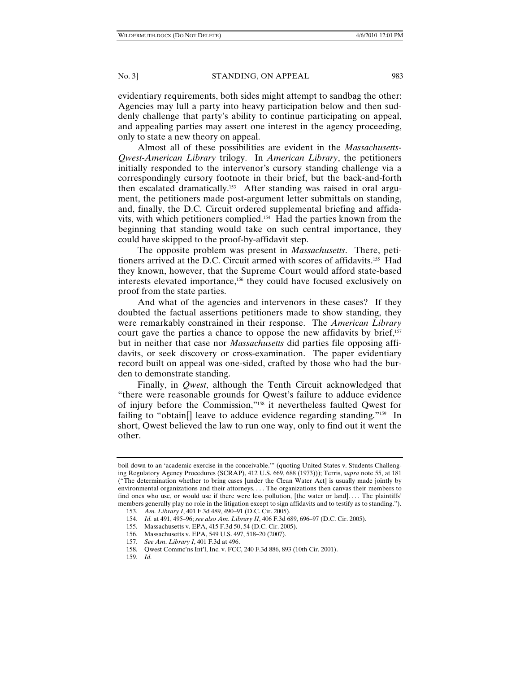evidentiary requirements, both sides might attempt to sandbag the other: Agencies may lull a party into heavy participation below and then suddenly challenge that party's ability to continue participating on appeal, and appealing parties may assert one interest in the agency proceeding, only to state a new theory on appeal.

Almost all of these possibilities are evident in the *Massachusetts-Qwest-American Library* trilogy. In *American Library*, the petitioners initially responded to the intervenor's cursory standing challenge via a correspondingly cursory footnote in their brief, but the back-and-forth then escalated dramatically.153 After standing was raised in oral argument, the petitioners made post-argument letter submittals on standing, and, finally, the D.C. Circuit ordered supplemental briefing and affidavits, with which petitioners complied.154 Had the parties known from the beginning that standing would take on such central importance, they could have skipped to the proof-by-affidavit step.

The opposite problem was present in *Massachusetts*. There, petitioners arrived at the D.C. Circuit armed with scores of affidavits.155 Had they known, however, that the Supreme Court would afford state-based interests elevated importance,<sup>156</sup> they could have focused exclusively on proof from the state parties.

And what of the agencies and intervenors in these cases? If they doubted the factual assertions petitioners made to show standing, they were remarkably constrained in their response. The *American Library*  court gave the parties a chance to oppose the new affidavits by brief,<sup>157</sup> but in neither that case nor *Massachusetts* did parties file opposing affidavits, or seek discovery or cross-examination. The paper evidentiary record built on appeal was one-sided, crafted by those who had the burden to demonstrate standing.

Finally, in *Qwest*, although the Tenth Circuit acknowledged that "there were reasonable grounds for Qwest's failure to adduce evidence of injury before the Commission,"158 it nevertheless faulted Qwest for failing to "obtain<sup>[]</sup> leave to adduce evidence regarding standing."<sup>159</sup> In short, Qwest believed the law to run one way, only to find out it went the other.

boil down to an 'academic exercise in the conceivable.'" (quoting United States v. Students Challenging Regulatory Agency Procedures (SCRAP), 412 U.S. 669, 688 (1973))); Terris, *supra* note 55, at 181 ("The determination whether to bring cases [under the Clean Water Act] is usually made jointly by environmental organizations and their attorneys. . . . The organizations then canvas their members to find ones who use, or would use if there were less pollution, [the water or land]. . . . The plaintiffs' members generally play no role in the litigation except to sign affidavits and to testify as to standing."). 153. *Am. Library I*, 401 F.3d 489, 490–91 (D.C. Cir. 2005).

 <sup>154.</sup> *Id.* at 491, 495–96; *see also Am*. *Library II*, 406 F.3d 689, 696–97 (D.C. Cir. 2005).

 <sup>155.</sup> Massachusetts v. EPA, 415 F.3d 50, 54 (D.C. Cir. 2005).

 <sup>156.</sup> Massachusetts v. EPA, 549 U.S. 497, 518–20 (2007).

 <sup>157.</sup> *See Am*. *Library I*, 401 F.3d at 496.

 <sup>158.</sup> Qwest Commc'ns Int'l, Inc. v. FCC, 240 F.3d 886, 893 (10th Cir. 2001).

 <sup>159.</sup> *Id.*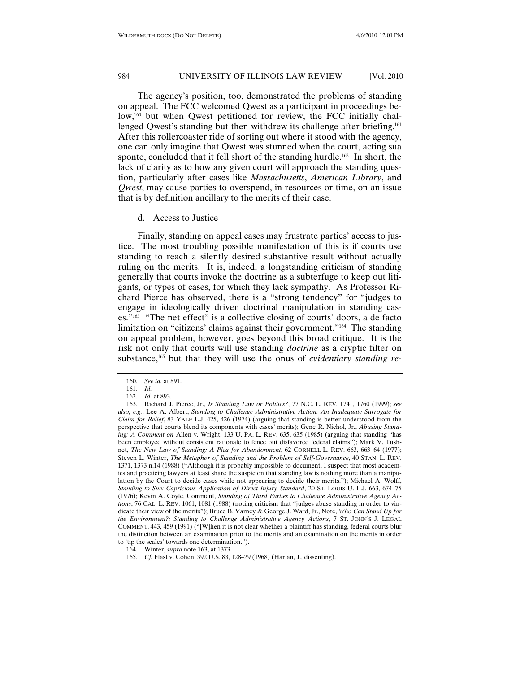The agency's position, too, demonstrated the problems of standing on appeal. The FCC welcomed Qwest as a participant in proceedings below,160 but when Qwest petitioned for review, the FCC initially challenged Qwest's standing but then withdrew its challenge after briefing.<sup>161</sup> After this rollercoaster ride of sorting out where it stood with the agency, one can only imagine that Qwest was stunned when the court, acting sua sponte, concluded that it fell short of the standing hurdle.<sup>162</sup> In short, the lack of clarity as to how any given court will approach the standing question, particularly after cases like *Massachusetts*, *American Library*, and *Qwest*, may cause parties to overspend, in resources or time, on an issue that is by definition ancillary to the merits of their case.

#### d. Access to Justice

Finally, standing on appeal cases may frustrate parties' access to justice. The most troubling possible manifestation of this is if courts use standing to reach a silently desired substantive result without actually ruling on the merits. It is, indeed, a longstanding criticism of standing generally that courts invoke the doctrine as a subterfuge to keep out litigants, or types of cases, for which they lack sympathy. As Professor Richard Pierce has observed, there is a "strong tendency" for "judges to engage in ideologically driven doctrinal manipulation in standing cases."163 "The net effect" is a collective closing of courts' doors, a de facto limitation on "citizens' claims against their government."164 The standing on appeal problem, however, goes beyond this broad critique. It is the risk not only that courts will use standing *doctrine* as a cryptic filter on substance,165 but that they will use the onus of *evidentiary standing re-*

 <sup>160.</sup> *See id.* at 891.

 <sup>161.</sup> *Id.* 162. *Id.* at 893.

 <sup>163.</sup> Richard J. Pierce, Jr., *Is Standing Law or Politics?*, 77 N.C. L. REV. 1741, 1760 (1999); *see also, e.g.*, Lee A. Albert, *Standing to Challenge Administrative Action: An Inadequate Surrogate for Claim for Relief*, 83 YALE L.J. 425, 426 (1974) (arguing that standing is better understood from the perspective that courts blend its components with cases' merits); Gene R. Nichol, Jr., *Abusing Standing: A Comment on* Allen v. Wright, 133 U. PA. L. REV. 635, 635 (1985) (arguing that standing "has been employed without consistent rationale to fence out disfavored federal claims"); Mark V. Tushnet, *The New Law of Standing: A Plea for Abandonment*, 62 CORNELL L. REV. 663, 663–64 (1977); Steven L. Winter, *The Metaphor of Standing and the Problem of Self-Governance*, 40 STAN. L. REV. 1371, 1373 n.14 (1988) ("Although it is probably impossible to document, I suspect that most academics and practicing lawyers at least share the suspicion that standing law is nothing more than a manipulation by the Court to decide cases while not appearing to decide their merits."); Michael A. Wolff, *Standing to Sue: Capricious Application of Direct Injury Standard*, 20 ST. LOUIS U. L.J. 663, 674–75 (1976); Kevin A. Coyle, Comment, *Standing of Third Parties to Challenge Administrative Agency Actions*, 76 CAL. L. REV. 1061, 1081 (1988) (noting criticism that "judges abuse standing in order to vindicate their view of the merits"); Bruce B. Varney & George J. Ward, Jr., Note, *Who Can Stand Up for the Environment?: Standing to Challenge Administrative Agency Actions*, 7 ST. JOHN'S J. LEGAL COMMENT. 443, 459 (1991) ("[W]hen it is not clear whether a plaintiff has standing, federal courts blur the distinction between an examination prior to the merits and an examination on the merits in order to 'tip the scales' towards one determination.").

 <sup>164.</sup> Winter, *supra* note 163, at 1373.

 <sup>165.</sup> *Cf.* Flast v. Cohen, 392 U.S. 83, 128–29 (1968) (Harlan, J., dissenting).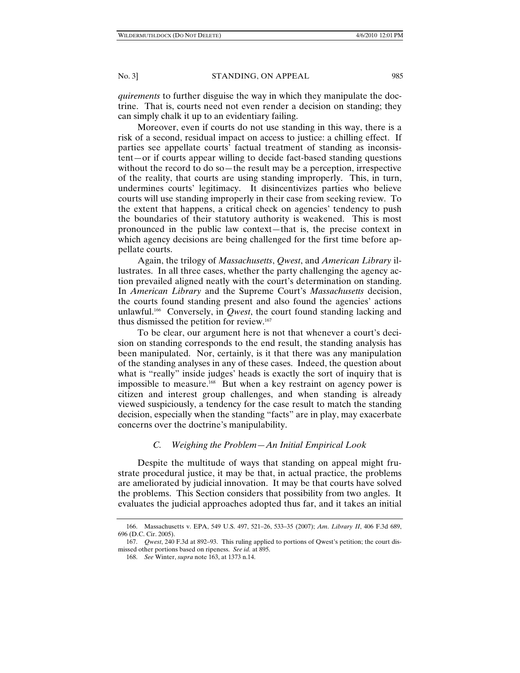*quirements* to further disguise the way in which they manipulate the doctrine. That is, courts need not even render a decision on standing; they can simply chalk it up to an evidentiary failing.

Moreover, even if courts do not use standing in this way, there is a risk of a second, residual impact on access to justice: a chilling effect. If parties see appellate courts' factual treatment of standing as inconsistent—or if courts appear willing to decide fact-based standing questions without the record to do so—the result may be a perception, irrespective of the reality, that courts are using standing improperly. This, in turn, undermines courts' legitimacy. It disincentivizes parties who believe courts will use standing improperly in their case from seeking review. To the extent that happens, a critical check on agencies' tendency to push the boundaries of their statutory authority is weakened. This is most pronounced in the public law context—that is, the precise context in which agency decisions are being challenged for the first time before appellate courts.

Again, the trilogy of *Massachusetts*, *Qwest*, and *American Library* illustrates. In all three cases, whether the party challenging the agency action prevailed aligned neatly with the court's determination on standing. In *American Library* and the Supreme Court's *Massachusetts* decision, the courts found standing present and also found the agencies' actions unlawful.166 Conversely, in *Qwest*, the court found standing lacking and thus dismissed the petition for review.167

To be clear, our argument here is not that whenever a court's decision on standing corresponds to the end result, the standing analysis has been manipulated. Nor, certainly, is it that there was any manipulation of the standing analyses in any of these cases. Indeed, the question about what is "really" inside judges' heads is exactly the sort of inquiry that is impossible to measure.168 But when a key restraint on agency power is citizen and interest group challenges, and when standing is already viewed suspiciously, a tendency for the case result to match the standing decision, especially when the standing "facts" are in play, may exacerbate concerns over the doctrine's manipulability.

# *C. Weighing the Problem—An Initial Empirical Look*

Despite the multitude of ways that standing on appeal might frustrate procedural justice, it may be that, in actual practice, the problems are ameliorated by judicial innovation. It may be that courts have solved the problems. This Section considers that possibility from two angles. It evaluates the judicial approaches adopted thus far, and it takes an initial

 <sup>166.</sup> Massachusetts v. EPA, 549 U.S. 497, 521–26, 533–35 (2007); *Am*. *Library II*, 406 F.3d 689, 696 (D.C. Cir. 2005).

 <sup>167.</sup> *Qwest*, 240 F.3d at 892–93. This ruling applied to portions of Qwest's petition; the court dismissed other portions based on ripeness. *See id.* at 895.

 <sup>168.</sup> *See* Winter, *supra* note 163, at 1373 n.14.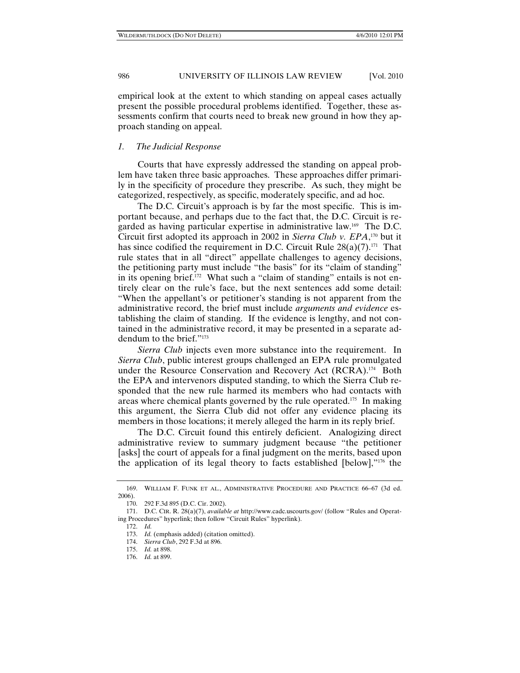empirical look at the extent to which standing on appeal cases actually present the possible procedural problems identified. Together, these assessments confirm that courts need to break new ground in how they approach standing on appeal.

# *1. The Judicial Response*

Courts that have expressly addressed the standing on appeal problem have taken three basic approaches. These approaches differ primarily in the specificity of procedure they prescribe. As such, they might be categorized, respectively, as specific, moderately specific, and ad hoc.

The D.C. Circuit's approach is by far the most specific. This is important because, and perhaps due to the fact that, the D.C. Circuit is regarded as having particular expertise in administrative law.169 The D.C. Circuit first adopted its approach in 2002 in *Sierra Club v. EPA*, 170 but it has since codified the requirement in D.C. Circuit Rule  $28(a)(7)$ .<sup>171</sup> That rule states that in all "direct" appellate challenges to agency decisions, the petitioning party must include "the basis" for its "claim of standing" in its opening brief.<sup>172</sup> What such a "claim of standing" entails is not entirely clear on the rule's face, but the next sentences add some detail: "When the appellant's or petitioner's standing is not apparent from the administrative record, the brief must include *arguments and evidence* establishing the claim of standing. If the evidence is lengthy, and not contained in the administrative record, it may be presented in a separate addendum to the brief."173

*Sierra Club* injects even more substance into the requirement. In *Sierra Club*, public interest groups challenged an EPA rule promulgated under the Resource Conservation and Recovery Act (RCRA).<sup>174</sup> Both the EPA and intervenors disputed standing, to which the Sierra Club responded that the new rule harmed its members who had contacts with areas where chemical plants governed by the rule operated.175 In making this argument, the Sierra Club did not offer any evidence placing its members in those locations; it merely alleged the harm in its reply brief.

The D.C. Circuit found this entirely deficient. Analogizing direct administrative review to summary judgment because "the petitioner [asks] the court of appeals for a final judgment on the merits, based upon the application of its legal theory to facts established [below],"176 the

 <sup>169.</sup> WILLIAM F. FUNK ET AL., ADMINISTRATIVE PROCEDURE AND PRACTICE 66–67 (3d ed. 2006).

 <sup>170. 292</sup> F.3d 895 (D.C. Cir. 2002).

 <sup>171.</sup> D.C. CIR. R. 28(a)(7), *available at* http://www.cadc.uscourts.gov/ (follow "Rules and Operating Procedures" hyperlink; then follow "Circuit Rules" hyperlink).

 <sup>172.</sup> *Id.*

 <sup>173.</sup> *Id.* (emphasis added) (citation omitted).

 <sup>174.</sup> *Sierra Club*, 292 F.3d at 896.

 <sup>175.</sup> *Id.* at 898.

 <sup>176.</sup> *Id.* at 899.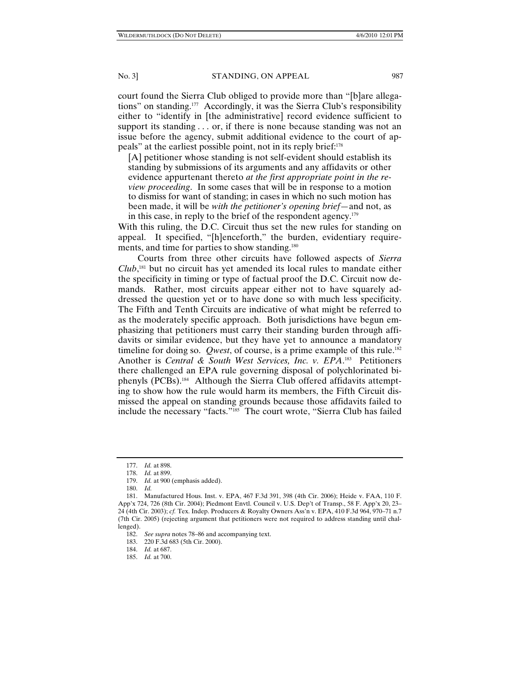court found the Sierra Club obliged to provide more than "[b]are allegations" on standing.177 Accordingly, it was the Sierra Club's responsibility either to "identify in [the administrative] record evidence sufficient to support its standing . . . or, if there is none because standing was not an issue before the agency, submit additional evidence to the court of appeals" at the earliest possible point, not in its reply brief:178

[A] petitioner whose standing is not self-evident should establish its standing by submissions of its arguments and any affidavits or other evidence appurtenant thereto *at the first appropriate point in the review proceeding*. In some cases that will be in response to a motion to dismiss for want of standing; in cases in which no such motion has been made, it will be *with the petitioner's opening brief*—and not, as in this case, in reply to the brief of the respondent agency.<sup>179</sup>

With this ruling, the D.C. Circuit thus set the new rules for standing on appeal. It specified, "[h]enceforth," the burden, evidentiary requirements, and time for parties to show standing.180

Courts from three other circuits have followed aspects of *Sierra Club*, 181 but no circuit has yet amended its local rules to mandate either the specificity in timing or type of factual proof the D.C. Circuit now demands. Rather, most circuits appear either not to have squarely addressed the question yet or to have done so with much less specificity. The Fifth and Tenth Circuits are indicative of what might be referred to as the moderately specific approach. Both jurisdictions have begun emphasizing that petitioners must carry their standing burden through affidavits or similar evidence, but they have yet to announce a mandatory timeline for doing so. *Qwest*, of course, is a prime example of this rule.<sup>182</sup> Another is *Central & South West Services, Inc. v. EPA*.<sup>183</sup> Petitioners there challenged an EPA rule governing disposal of polychlorinated biphenyls (PCBs).184 Although the Sierra Club offered affidavits attempting to show how the rule would harm its members, the Fifth Circuit dismissed the appeal on standing grounds because those affidavits failed to include the necessary "facts."185 The court wrote, "Sierra Club has failed

 <sup>177.</sup> *Id.* at 898.

 <sup>178.</sup> *Id.* at 899.

 <sup>179.</sup> *Id.* at 900 (emphasis added).

 <sup>180.</sup> *Id.*

 <sup>181.</sup> Manufactured Hous. Inst. v. EPA, 467 F.3d 391, 398 (4th Cir. 2006); Heide v. FAA, 110 F. App'x 724, 726 (8th Cir. 2004); Piedmont Envtl. Council v. U.S. Dep't of Transp., 58 F. App'x 20, 23– 24 (4th Cir. 2003); *cf.* Tex. Indep. Producers & Royalty Owners Ass'n v. EPA, 410 F.3d 964, 970–71 n.7 (7th Cir. 2005) (rejecting argument that petitioners were not required to address standing until challenged).

 <sup>182.</sup> *See supra* notes 78–86 and accompanying text.

 <sup>183. 220</sup> F.3d 683 (5th Cir. 2000).

 <sup>184.</sup> *Id.* at 687.

 <sup>185.</sup> *Id.* at 700.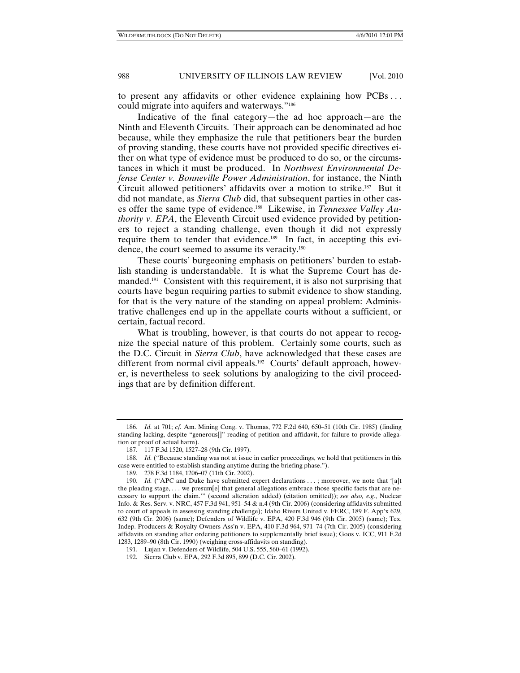to present any affidavits or other evidence explaining how PCBs . . . could migrate into aquifers and waterways."186

Indicative of the final category—the ad hoc approach—are the Ninth and Eleventh Circuits. Their approach can be denominated ad hoc because, while they emphasize the rule that petitioners bear the burden of proving standing, these courts have not provided specific directives either on what type of evidence must be produced to do so, or the circumstances in which it must be produced. In *Northwest Environmental Defense Center v. Bonneville Power Administration*, for instance, the Ninth Circuit allowed petitioners' affidavits over a motion to strike.187 But it did not mandate, as *Sierra Club* did, that subsequent parties in other cases offer the same type of evidence.188 Likewise, in *Tennessee Valley Authority v. EPA*, the Eleventh Circuit used evidence provided by petitioners to reject a standing challenge, even though it did not expressly require them to tender that evidence.<sup>189</sup> In fact, in accepting this evidence, the court seemed to assume its veracity.<sup>190</sup>

These courts' burgeoning emphasis on petitioners' burden to establish standing is understandable. It is what the Supreme Court has demanded.<sup>191</sup> Consistent with this requirement, it is also not surprising that courts have begun requiring parties to submit evidence to show standing, for that is the very nature of the standing on appeal problem: Administrative challenges end up in the appellate courts without a sufficient, or certain, factual record.

What is troubling, however, is that courts do not appear to recognize the special nature of this problem. Certainly some courts, such as the D.C. Circuit in *Sierra Club*, have acknowledged that these cases are different from normal civil appeals.<sup>192</sup> Courts' default approach, however, is nevertheless to seek solutions by analogizing to the civil proceedings that are by definition different.

 <sup>186.</sup> *Id.* at 701; *cf.* Am. Mining Cong. v. Thomas, 772 F.2d 640, 650–51 (10th Cir. 1985) (finding standing lacking, despite "generous[]" reading of petition and affidavit, for failure to provide allegation or proof of actual harm).

 <sup>187. 117</sup> F.3d 1520, 1527–28 (9th Cir. 1997).

 <sup>188.</sup> *Id.* ("Because standing was not at issue in earlier proceedings, we hold that petitioners in this case were entitled to establish standing anytime during the briefing phase.").

 <sup>189. 278</sup> F.3d 1184, 1206–07 (11th Cir. 2002).

<sup>190.</sup> *Id.* ("APC and Duke have submitted expert declarations ...; moreover, we note that '[a]t the pleading stage, . . . we presum[e] that general allegations embrace those specific facts that are necessary to support the claim.'" (second alteration added) (citation omitted)); *see also, e.g.*, Nuclear Info. & Res. Serv. v. NRC, 457 F.3d 941, 951–54 & n.4 (9th Cir. 2006) (considering affidavits submitted to court of appeals in assessing standing challenge); Idaho Rivers United v. FERC, 189 F. App'x 629, 632 (9th Cir. 2006) (same); Defenders of Wildlife v. EPA, 420 F.3d 946 (9th Cir. 2005) (same); Tex. Indep. Producers & Royalty Owners Ass'n v. EPA, 410 F.3d 964, 971–74 (7th Cir. 2005) (considering affidavits on standing after ordering petitioners to supplementally brief issue); Goos v. ICC, 911 F.2d 1283, 1289–90 (8th Cir. 1990) (weighing cross-affidavits on standing).

 <sup>191.</sup> Lujan v. Defenders of Wildlife, 504 U.S. 555, 560–61 (1992).

 <sup>192.</sup> Sierra Club v. EPA, 292 F.3d 895, 899 (D.C. Cir. 2002).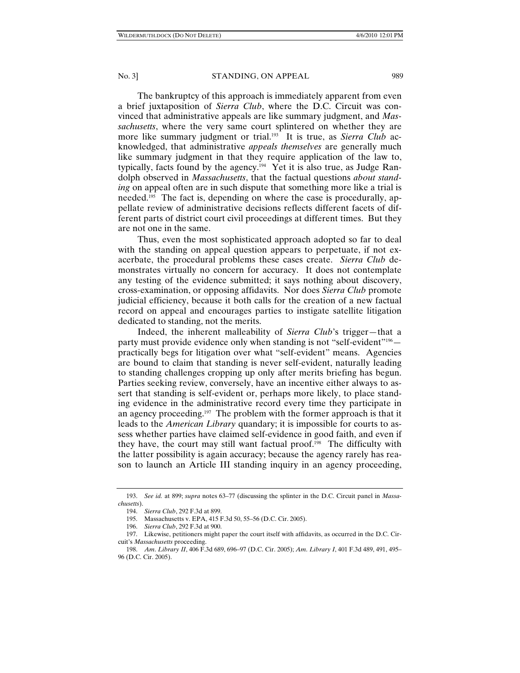The bankruptcy of this approach is immediately apparent from even a brief juxtaposition of *Sierra Club*, where the D.C. Circuit was convinced that administrative appeals are like summary judgment, and *Massachusetts*, where the very same court splintered on whether they are more like summary judgment or trial.<sup>193</sup> It is true, as *Sierra Club* acknowledged, that administrative *appeals themselves* are generally much like summary judgment in that they require application of the law to, typically, facts found by the agency.<sup>194</sup> Yet it is also true, as Judge Randolph observed in *Massachusetts*, that the factual questions *about standing* on appeal often are in such dispute that something more like a trial is needed.<sup>195</sup> The fact is, depending on where the case is procedurally, appellate review of administrative decisions reflects different facets of different parts of district court civil proceedings at different times. But they are not one in the same.

Thus, even the most sophisticated approach adopted so far to deal with the standing on appeal question appears to perpetuate, if not exacerbate, the procedural problems these cases create. *Sierra Club* demonstrates virtually no concern for accuracy. It does not contemplate any testing of the evidence submitted; it says nothing about discovery, cross-examination, or opposing affidavits. Nor does *Sierra Club* promote judicial efficiency, because it both calls for the creation of a new factual record on appeal and encourages parties to instigate satellite litigation dedicated to standing, not the merits.

Indeed, the inherent malleability of *Sierra Club*'s trigger—that a party must provide evidence only when standing is not "self-evident"196 practically begs for litigation over what "self-evident" means. Agencies are bound to claim that standing is never self-evident, naturally leading to standing challenges cropping up only after merits briefing has begun. Parties seeking review, conversely, have an incentive either always to assert that standing is self-evident or, perhaps more likely, to place standing evidence in the administrative record every time they participate in an agency proceeding.<sup>197</sup> The problem with the former approach is that it leads to the *American Library* quandary; it is impossible for courts to assess whether parties have claimed self-evidence in good faith, and even if they have, the court may still want factual proof.<sup>198</sup> The difficulty with the latter possibility is again accuracy; because the agency rarely has reason to launch an Article III standing inquiry in an agency proceeding,

 <sup>193.</sup> *See id.* at 899; *supra* notes 63–77 (discussing the splinter in the D.C. Circuit panel in *Massachusetts*).

 <sup>194.</sup> *Sierra Club*, 292 F.3d at 899.

 <sup>195.</sup> Massachusetts v. EPA, 415 F.3d 50, 55–56 (D.C. Cir. 2005).

 <sup>196.</sup> *Sierra Club*, 292 F.3d at 900.

 <sup>197.</sup> Likewise, petitioners might paper the court itself with affidavits, as occurred in the D.C. Circuit's *Massachusetts* proceeding.

 <sup>198.</sup> *Am*. *Library II*, 406 F.3d 689, 696–97 (D.C. Cir. 2005); *Am*. *Library I*, 401 F.3d 489, 491, 495– 96 (D.C. Cir. 2005).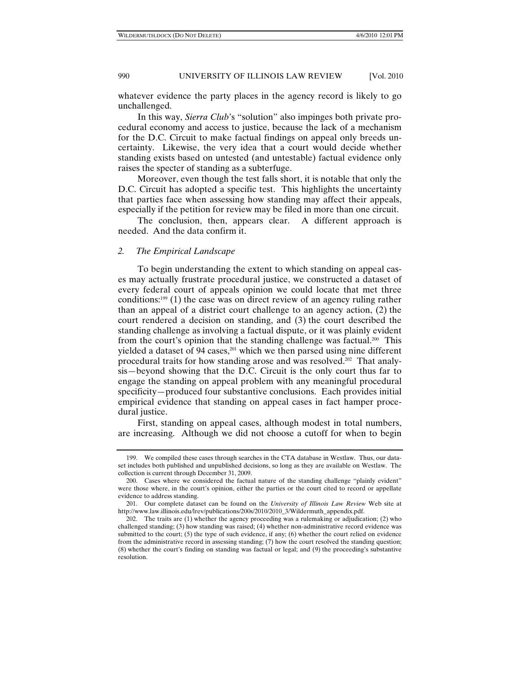whatever evidence the party places in the agency record is likely to go unchallenged.

In this way, *Sierra Club*'s "solution" also impinges both private procedural economy and access to justice, because the lack of a mechanism for the D.C. Circuit to make factual findings on appeal only breeds uncertainty. Likewise, the very idea that a court would decide whether standing exists based on untested (and untestable) factual evidence only raises the specter of standing as a subterfuge.

Moreover, even though the test falls short, it is notable that only the D.C. Circuit has adopted a specific test. This highlights the uncertainty that parties face when assessing how standing may affect their appeals, especially if the petition for review may be filed in more than one circuit.

The conclusion, then, appears clear. A different approach is needed. And the data confirm it.

# *2. The Empirical Landscape*

To begin understanding the extent to which standing on appeal cases may actually frustrate procedural justice, we constructed a dataset of every federal court of appeals opinion we could locate that met three conditions:199 (1) the case was on direct review of an agency ruling rather than an appeal of a district court challenge to an agency action, (2) the court rendered a decision on standing, and (3) the court described the standing challenge as involving a factual dispute, or it was plainly evident from the court's opinion that the standing challenge was factual.200 This yielded a dataset of 94 cases,<sup>201</sup> which we then parsed using nine different procedural traits for how standing arose and was resolved.<sup>202</sup> That analysis—beyond showing that the D.C. Circuit is the only court thus far to engage the standing on appeal problem with any meaningful procedural specificity—produced four substantive conclusions. Each provides initial empirical evidence that standing on appeal cases in fact hamper procedural justice.

First, standing on appeal cases, although modest in total numbers, are increasing. Although we did not choose a cutoff for when to begin

 <sup>199.</sup> We compiled these cases through searches in the CTA database in Westlaw. Thus, our dataset includes both published and unpublished decisions, so long as they are available on Westlaw. The collection is current through December 31, 2009.

 <sup>200.</sup> Cases where we considered the factual nature of the standing challenge "plainly evident" were those where, in the court's opinion, either the parties or the court cited to record or appellate evidence to address standing.

 <sup>201.</sup> Our complete dataset can be found on the *University of Illinois Law Review* Web site at http://www.law.illinois.edu/lrev/publications/200s/2010/2010\_3/Wildermuth\_appendix.pdf.

 <sup>202.</sup> The traits are (1) whether the agency proceeding was a rulemaking or adjudication; (2) who challenged standing; (3) how standing was raised; (4) whether non-administrative record evidence was submitted to the court; (5) the type of such evidence, if any; (6) whether the court relied on evidence from the administrative record in assessing standing; (7) how the court resolved the standing question; (8) whether the court's finding on standing was factual or legal; and (9) the proceeding's substantive resolution.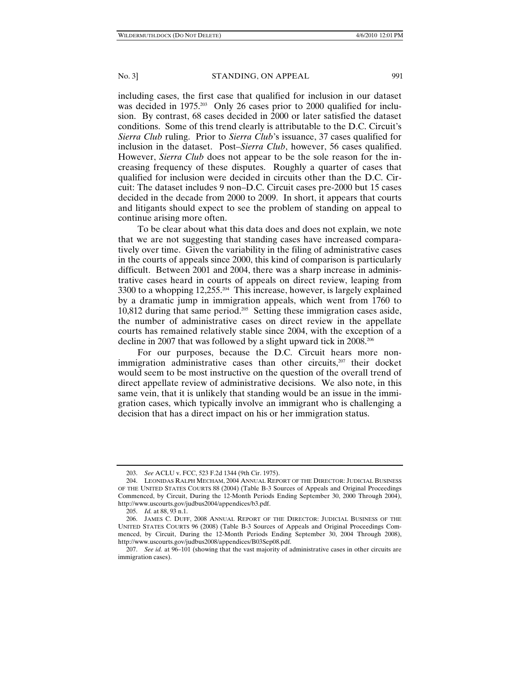including cases, the first case that qualified for inclusion in our dataset was decided in 1975.<sup>203</sup> Only 26 cases prior to 2000 qualified for inclusion. By contrast, 68 cases decided in 2000 or later satisfied the dataset conditions. Some of this trend clearly is attributable to the D.C. Circuit's *Sierra Club* ruling. Prior to *Sierra Club*'s issuance, 37 cases qualified for inclusion in the dataset. Post–*Sierra Club*, however, 56 cases qualified. However, *Sierra Club* does not appear to be the sole reason for the increasing frequency of these disputes. Roughly a quarter of cases that qualified for inclusion were decided in circuits other than the D.C. Circuit: The dataset includes 9 non–D.C. Circuit cases pre-2000 but 15 cases decided in the decade from 2000 to 2009. In short, it appears that courts and litigants should expect to see the problem of standing on appeal to continue arising more often.

To be clear about what this data does and does not explain, we note that we are not suggesting that standing cases have increased comparatively over time. Given the variability in the filing of administrative cases in the courts of appeals since 2000, this kind of comparison is particularly difficult. Between 2001 and 2004, there was a sharp increase in administrative cases heard in courts of appeals on direct review, leaping from 3300 to a whopping 12,255.204 This increase, however, is largely explained by a dramatic jump in immigration appeals, which went from 1760 to 10,812 during that same period.205 Setting these immigration cases aside, the number of administrative cases on direct review in the appellate courts has remained relatively stable since 2004, with the exception of a decline in 2007 that was followed by a slight upward tick in 2008.<sup>206</sup>

For our purposes, because the D.C. Circuit hears more nonimmigration administrative cases than other circuits, $207$  their docket would seem to be most instructive on the question of the overall trend of direct appellate review of administrative decisions. We also note, in this same vein, that it is unlikely that standing would be an issue in the immigration cases, which typically involve an immigrant who is challenging a decision that has a direct impact on his or her immigration status.

 <sup>203.</sup> *See* ACLU v. FCC, 523 F.2d 1344 (9th Cir. 1975).

 <sup>204.</sup> LEONIDAS RALPH MECHAM, 2004 ANNUAL REPORT OF THE DIRECTOR: JUDICIAL BUSINESS OF THE UNITED STATES COURTS 88 (2004) (Table B-3 Sources of Appeals and Original Proceedings Commenced, by Circuit, During the 12-Month Periods Ending September 30, 2000 Through 2004), http://www.uscourts.gov/judbus2004/appendices/b3.pdf.

 <sup>205.</sup> *Id.* at 88, 93 n.1.

 <sup>206.</sup> JAMES C. DUFF, 2008 ANNUAL REPORT OF THE DIRECTOR: JUDICIAL BUSINESS OF THE UNITED STATES COURTS 96 (2008) (Table B-3 Sources of Appeals and Original Proceedings Commenced, by Circuit, During the 12-Month Periods Ending September 30, 2004 Through 2008), http://www.uscourts.gov/judbus2008/appendices/B03Sep08.pdf.

 <sup>207.</sup> *See id.* at 96–101 (showing that the vast majority of administrative cases in other circuits are immigration cases).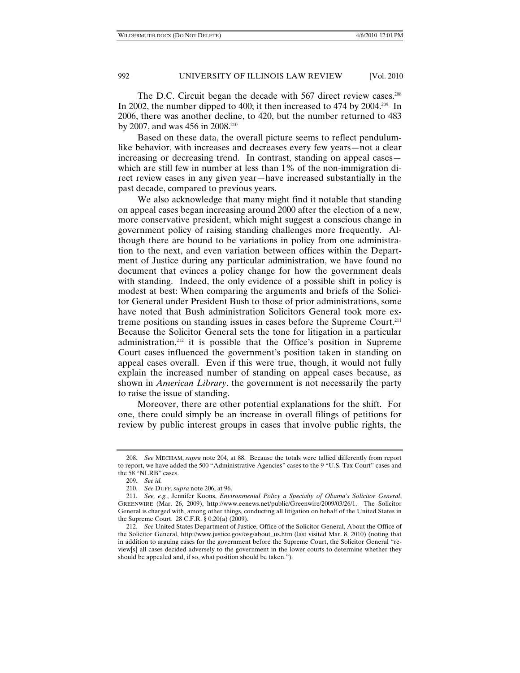The D.C. Circuit began the decade with 567 direct review cases.<sup>208</sup> In 2002, the number dipped to 400; it then increased to 474 by 2004.<sup>209</sup> In 2006, there was another decline, to 420, but the number returned to 483 by 2007, and was 456 in 2008.<sup>210</sup>

Based on these data, the overall picture seems to reflect pendulumlike behavior, with increases and decreases every few years—not a clear increasing or decreasing trend. In contrast, standing on appeal cases which are still few in number at less than 1% of the non-immigration direct review cases in any given year—have increased substantially in the past decade, compared to previous years.

We also acknowledge that many might find it notable that standing on appeal cases began increasing around 2000 after the election of a new, more conservative president, which might suggest a conscious change in government policy of raising standing challenges more frequently. Although there are bound to be variations in policy from one administration to the next, and even variation between offices within the Department of Justice during any particular administration, we have found no document that evinces a policy change for how the government deals with standing. Indeed, the only evidence of a possible shift in policy is modest at best: When comparing the arguments and briefs of the Solicitor General under President Bush to those of prior administrations, some have noted that Bush administration Solicitors General took more extreme positions on standing issues in cases before the Supreme Court.<sup>211</sup> Because the Solicitor General sets the tone for litigation in a particular administration, $212$  it is possible that the Office's position in Supreme Court cases influenced the government's position taken in standing on appeal cases overall. Even if this were true, though, it would not fully explain the increased number of standing on appeal cases because, as shown in *American Library*, the government is not necessarily the party to raise the issue of standing.

Moreover, there are other potential explanations for the shift. For one, there could simply be an increase in overall filings of petitions for review by public interest groups in cases that involve public rights, the

 <sup>208.</sup> *See* MECHAM, *supra* note 204, at 88. Because the totals were tallied differently from report to report, we have added the 500 "Administrative Agencies" cases to the 9 "U.S. Tax Court" cases and the 58 "NLRB" cases.

 <sup>209.</sup> *See id.*

 <sup>210.</sup> *See* DUFF, *supra* note 206, at 96.

 <sup>211.</sup> *See, e.g.*, Jennifer Koons, *Environmental Policy a Specialty of Obama's Solicitor General*, GREENWIRE (Mar. 26, 2009), http://www.eenews.net/public/Greenwire/2009/03/26/1. The Solicitor General is charged with, among other things, conducting all litigation on behalf of the United States in the Supreme Court. 28 C.F.R. § 0.20(a) (2009).

 <sup>212.</sup> *See* United States Department of Justice, Office of the Solicitor General, About the Office of the Solicitor General, http://www.justice.gov/osg/about\_us.htm (last visited Mar. 8, 2010) (noting that in addition to arguing cases for the government before the Supreme Court, the Solicitor General "review[s] all cases decided adversely to the government in the lower courts to determine whether they should be appealed and, if so, what position should be taken.").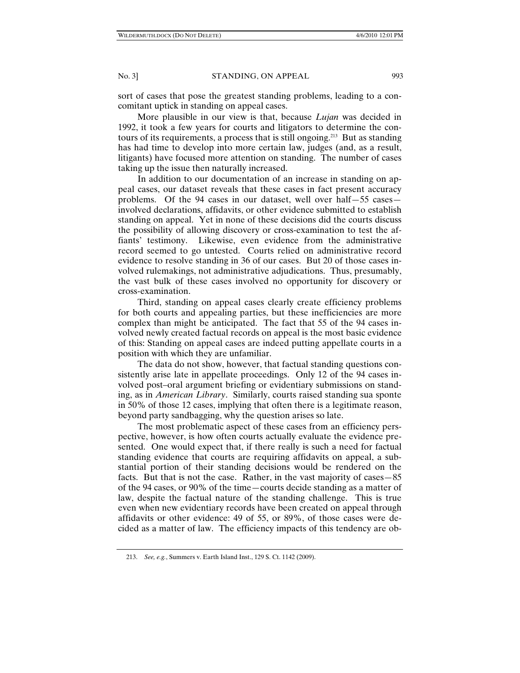sort of cases that pose the greatest standing problems, leading to a concomitant uptick in standing on appeal cases.

More plausible in our view is that, because *Lujan* was decided in 1992, it took a few years for courts and litigators to determine the contours of its requirements, a process that is still ongoing.213 But as standing has had time to develop into more certain law, judges (and, as a result, litigants) have focused more attention on standing. The number of cases taking up the issue then naturally increased.

In addition to our documentation of an increase in standing on appeal cases, our dataset reveals that these cases in fact present accuracy problems. Of the 94 cases in our dataset, well over half—55 cases involved declarations, affidavits, or other evidence submitted to establish standing on appeal. Yet in none of these decisions did the courts discuss the possibility of allowing discovery or cross-examination to test the affiants' testimony. Likewise, even evidence from the administrative record seemed to go untested. Courts relied on administrative record evidence to resolve standing in 36 of our cases. But 20 of those cases involved rulemakings, not administrative adjudications. Thus, presumably, the vast bulk of these cases involved no opportunity for discovery or cross-examination.

Third, standing on appeal cases clearly create efficiency problems for both courts and appealing parties, but these inefficiencies are more complex than might be anticipated. The fact that 55 of the 94 cases involved newly created factual records on appeal is the most basic evidence of this: Standing on appeal cases are indeed putting appellate courts in a position with which they are unfamiliar.

The data do not show, however, that factual standing questions consistently arise late in appellate proceedings. Only 12 of the 94 cases involved post–oral argument briefing or evidentiary submissions on standing, as in *American Library*. Similarly, courts raised standing sua sponte in 50% of those 12 cases, implying that often there is a legitimate reason, beyond party sandbagging, why the question arises so late.

The most problematic aspect of these cases from an efficiency perspective, however, is how often courts actually evaluate the evidence presented. One would expect that, if there really is such a need for factual standing evidence that courts are requiring affidavits on appeal, a substantial portion of their standing decisions would be rendered on the facts. But that is not the case. Rather, in the vast majority of cases—85 of the 94 cases, or 90% of the time—courts decide standing as a matter of law, despite the factual nature of the standing challenge. This is true even when new evidentiary records have been created on appeal through affidavits or other evidence: 49 of 55, or 89%, of those cases were decided as a matter of law. The efficiency impacts of this tendency are ob-

 <sup>213.</sup> *See, e.g.*, Summers v. Earth Island Inst., 129 S. Ct. 1142 (2009).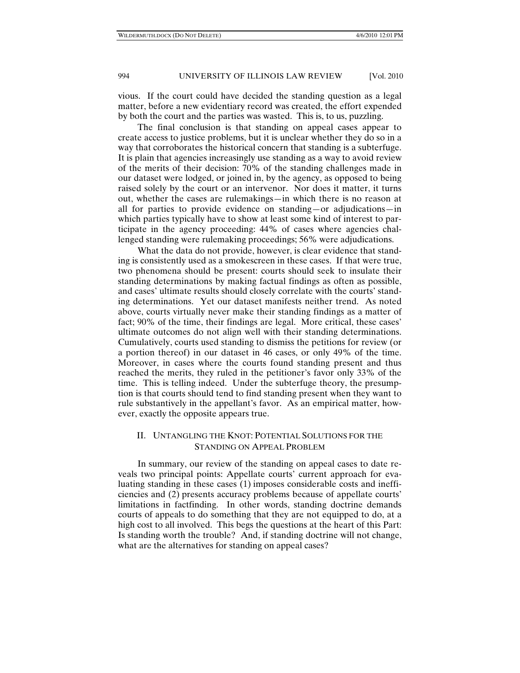vious. If the court could have decided the standing question as a legal matter, before a new evidentiary record was created, the effort expended by both the court and the parties was wasted. This is, to us, puzzling.

The final conclusion is that standing on appeal cases appear to create access to justice problems, but it is unclear whether they do so in a way that corroborates the historical concern that standing is a subterfuge. It is plain that agencies increasingly use standing as a way to avoid review of the merits of their decision: 70% of the standing challenges made in our dataset were lodged, or joined in, by the agency, as opposed to being raised solely by the court or an intervenor. Nor does it matter, it turns out, whether the cases are rulemakings—in which there is no reason at all for parties to provide evidence on standing—or adjudications—in which parties typically have to show at least some kind of interest to participate in the agency proceeding: 44% of cases where agencies challenged standing were rulemaking proceedings; 56% were adjudications.

What the data do not provide, however, is clear evidence that standing is consistently used as a smokescreen in these cases. If that were true, two phenomena should be present: courts should seek to insulate their standing determinations by making factual findings as often as possible, and cases' ultimate results should closely correlate with the courts' standing determinations. Yet our dataset manifests neither trend. As noted above, courts virtually never make their standing findings as a matter of fact; 90% of the time, their findings are legal. More critical, these cases' ultimate outcomes do not align well with their standing determinations. Cumulatively, courts used standing to dismiss the petitions for review (or a portion thereof) in our dataset in 46 cases, or only 49% of the time. Moreover, in cases where the courts found standing present and thus reached the merits, they ruled in the petitioner's favor only 33% of the time. This is telling indeed. Under the subterfuge theory, the presumption is that courts should tend to find standing present when they want to rule substantively in the appellant's favor. As an empirical matter, however, exactly the opposite appears true.

# II. UNTANGLING THE KNOT: POTENTIAL SOLUTIONS FOR THE STANDING ON APPEAL PROBLEM

In summary, our review of the standing on appeal cases to date reveals two principal points: Appellate courts' current approach for evaluating standing in these cases (1) imposes considerable costs and inefficiencies and (2) presents accuracy problems because of appellate courts' limitations in factfinding. In other words, standing doctrine demands courts of appeals to do something that they are not equipped to do, at a high cost to all involved. This begs the questions at the heart of this Part: Is standing worth the trouble? And, if standing doctrine will not change, what are the alternatives for standing on appeal cases?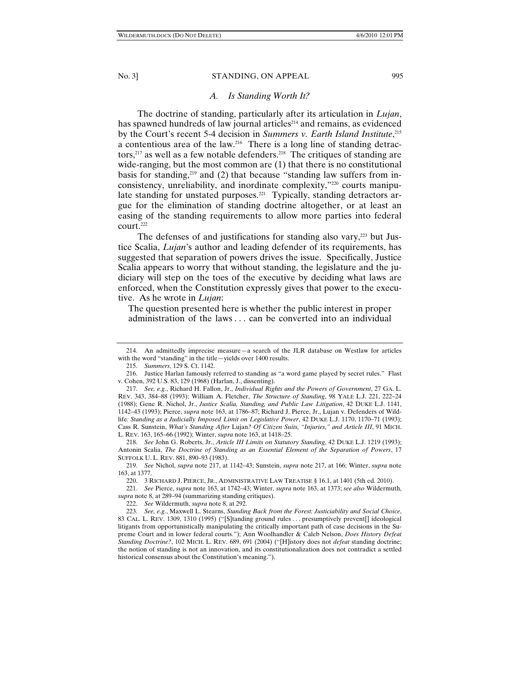# *A. Is Standing Worth It?*

The doctrine of standing, particularly after its articulation in *Lujan*, has spawned hundreds of law journal articles<sup>214</sup> and remains, as evidenced by the Court's recent 5-4 decision in *Summers v. Earth Island Institute*, 215 a contentious area of the law.216 There is a long line of standing detractors,<sup>217</sup> as well as a few notable defenders.<sup>218</sup> The critiques of standing are wide-ranging, but the most common are (1) that there is no constitutional basis for standing, $219$  and (2) that because "standing law suffers from inconsistency, unreliability, and inordinate complexity,"220 courts manipulate standing for unstated purposes.<sup>221</sup> Typically, standing detractors argue for the elimination of standing doctrine altogether, or at least an easing of the standing requirements to allow more parties into federal court.222

The defenses of and justifications for standing also vary,<sup>223</sup> but Justice Scalia, *Lujan*'s author and leading defender of its requirements, has suggested that separation of powers drives the issue. Specifically, Justice Scalia appears to worry that without standing, the legislature and the judiciary will step on the toes of the executive by deciding what laws are enforced, when the Constitution expressly gives that power to the executive. As he wrote in *Lujan*:

The question presented here is whether the public interest in proper administration of the laws . . . can be converted into an individual

 <sup>214.</sup> An admittedly imprecise measure—a search of the JLR database on Westlaw for articles with the word "standing" in the title—yields over 1400 results.

 <sup>215.</sup> *Summers*, 129 S. Ct. 1142.

 <sup>216.</sup> Justice Harlan famously referred to standing as "a word game played by secret rules." Flast v. Cohen, 392 U.S. 83, 129 (1968) (Harlan, J., dissenting).

 <sup>217.</sup> *See, e.g.*, Richard H. Fallon, Jr., *Individual Rights and the Powers of Government*, 27 GA. L. REV. 343, 384–88 (1993); William A. Fletcher, *The Structure of Standing*, 98 YALE L.J. 221, 222–24 (1988); Gene R. Nichol, Jr., *Justice Scalia, Standing, and Public Law Litigation*, 42 DUKE L.J. 1141, 1142–43 (1993); Pierce, *supra* note 163, at 1786–87; Richard J. Pierce, Jr., Lujan v. Defenders of Wildlife*: Standing as a Judicially Imposed Limit on Legislative Power*, 42 DUKE L.J. 1170, 1170–71 (1993); Cass R. Sunstein, *What's Standing After* Lujan*? Of Citizen Suits, "Injuries," and Article III*, 91 MICH. L. REV. 163, 165–66 (1992); Winter, *supra* note 163, at 1418–25.

 <sup>218.</sup> *See* John G. Roberts, Jr., *Article III Limits on Statutory Standing*, 42 DUKE L.J. 1219 (1993); Antonin Scalia, *The Doctrine of Standing as an Essential Element of the Separation of Powers*, 17 SUFFOLK U. L. REV. 881, 890–93 (1983).

 <sup>219.</sup> *See* Nichol, *supra* note 217, at 1142–43; Sunstein, *supra* note 217, at 166; Winter, *supra* note 163, at 1377.

 <sup>220. 3</sup> RICHARD J. PIERCE, JR., ADMINISTRATIVE LAW TREATISE § 16.1, at 1401 (5th ed. 2010).

 <sup>221.</sup> *See* Pierce, *supra* note 163, at 1742–43; Winter, *supra* note 163, at 1373; *see also* Wildermuth, *supra* note 8, at 289–94 (summarizing standing critiques).

 <sup>222.</sup> *See* Wildermuth, *supra* note 8, at 292.

 <sup>223.</sup> *See, e.g.*, Maxwell L. Stearns, *Standing Back from the Forest: Justiciability and Social Choice*, 83 CAL. L. REV. 1309, 1310 (1995) ("[S]tanding ground rules . . . presumptively prevent[] ideological litigants from opportunistically manipulating the critically important path of case decisions in the Supreme Court and in lower federal courts."); Ann Woolhandler & Caleb Nelson, *Does History Defeat Standing Doctrine?*, 102 MICH. L. REV. 689, 691 (2004) ("[H]istory does not *defeat* standing doctrine; the notion of standing is not an innovation, and its constitutionalization does not contradict a settled historical consensus about the Constitution's meaning.").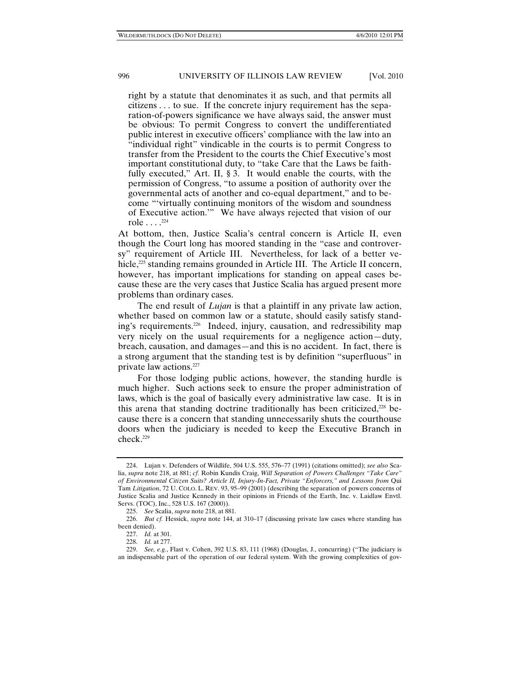right by a statute that denominates it as such, and that permits all citizens . . . to sue. If the concrete injury requirement has the separation-of-powers significance we have always said, the answer must be obvious: To permit Congress to convert the undifferentiated public interest in executive officers' compliance with the law into an "individual right" vindicable in the courts is to permit Congress to transfer from the President to the courts the Chief Executive's most important constitutional duty, to "take Care that the Laws be faithfully executed," Art. II, § 3. It would enable the courts, with the permission of Congress, "to assume a position of authority over the governmental acts of another and co-equal department," and to become "'virtually continuing monitors of the wisdom and soundness of Executive action.'" We have always rejected that vision of our role  $\ldots$ <sup>224</sup>

At bottom, then, Justice Scalia's central concern is Article II, even though the Court long has moored standing in the "case and controversy" requirement of Article III. Nevertheless, for lack of a better vehicle,<sup>225</sup> standing remains grounded in Article III. The Article II concern, however, has important implications for standing on appeal cases because these are the very cases that Justice Scalia has argued present more problems than ordinary cases.

The end result of *Lujan* is that a plaintiff in any private law action, whether based on common law or a statute, should easily satisfy standing's requirements.226 Indeed, injury, causation, and redressibility map very nicely on the usual requirements for a negligence action—duty, breach, causation, and damages—and this is no accident. In fact, there is a strong argument that the standing test is by definition "superfluous" in private law actions.227

For those lodging public actions, however, the standing hurdle is much higher. Such actions seek to ensure the proper administration of laws, which is the goal of basically every administrative law case. It is in this arena that standing doctrine traditionally has been criticized,228 because there is a concern that standing unnecessarily shuts the courthouse doors when the judiciary is needed to keep the Executive Branch in check.229

 <sup>224.</sup> Lujan v. Defenders of Wildlife, 504 U.S. 555, 576–77 (1991) (citations omitted); *see also* Scalia, *supra* note 218, at 881; *cf.* Robin Kundis Craig, *Will Separation of Powers Challenges "Take Care" of Environmental Citizen Suits? Article II, Injury-In-Fact, Private "Enforcers," and Lessons from* Qui Tam *Litigation*, 72 U. COLO. L. REV. 93, 95–99 (2001) (describing the separation of powers concerns of Justice Scalia and Justice Kennedy in their opinions in Friends of the Earth, Inc. v. Laidlaw Envtl. Servs. (TOC), Inc., 528 U.S. 167 (2000)).

 <sup>225.</sup> *See* Scalia, *supra* note 218, at 881.

 <sup>226.</sup> *But cf.* Hessick, *supra* note 144, at 310–17 (discussing private law cases where standing has been denied).

 <sup>227.</sup> *Id.* at 301.

 <sup>228.</sup> *Id.* at 277.

 <sup>229.</sup> *See, e.g.*, Flast v. Cohen, 392 U.S. 83, 111 (1968) (Douglas, J., concurring) ("The judiciary is an indispensable part of the operation of our federal system. With the growing complexities of gov-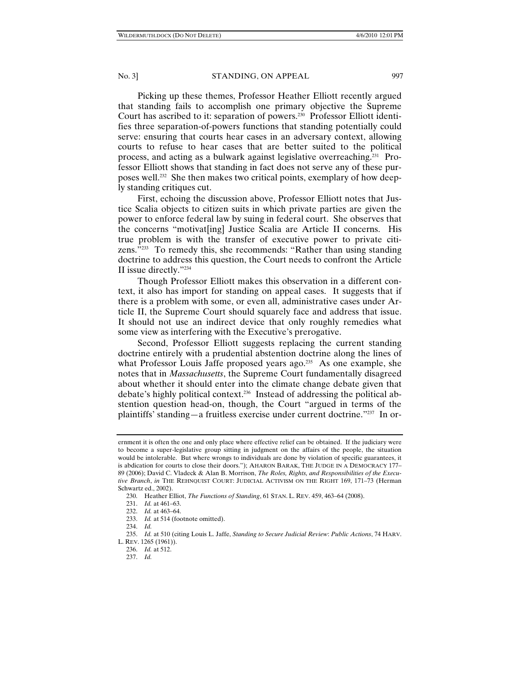Picking up these themes, Professor Heather Elliott recently argued that standing fails to accomplish one primary objective the Supreme Court has ascribed to it: separation of powers.230 Professor Elliott identifies three separation-of-powers functions that standing potentially could serve: ensuring that courts hear cases in an adversary context, allowing courts to refuse to hear cases that are better suited to the political process, and acting as a bulwark against legislative overreaching.231 Professor Elliott shows that standing in fact does not serve any of these purposes well.232 She then makes two critical points, exemplary of how deeply standing critiques cut.

First, echoing the discussion above, Professor Elliott notes that Justice Scalia objects to citizen suits in which private parties are given the power to enforce federal law by suing in federal court. She observes that the concerns "motivat[ing] Justice Scalia are Article II concerns. His true problem is with the transfer of executive power to private citizens."233 To remedy this, she recommends: "Rather than using standing doctrine to address this question, the Court needs to confront the Article II issue directly."234

Though Professor Elliott makes this observation in a different context, it also has import for standing on appeal cases. It suggests that if there is a problem with some, or even all, administrative cases under Article II, the Supreme Court should squarely face and address that issue. It should not use an indirect device that only roughly remedies what some view as interfering with the Executive's prerogative.

Second, Professor Elliott suggests replacing the current standing doctrine entirely with a prudential abstention doctrine along the lines of what Professor Louis Jaffe proposed years ago.<sup>235</sup> As one example, she notes that in *Massachusetts*, the Supreme Court fundamentally disagreed about whether it should enter into the climate change debate given that debate's highly political context.236 Instead of addressing the political abstention question head-on, though, the Court "argued in terms of the plaintiffs' standing—a fruitless exercise under current doctrine."237 In or-

ernment it is often the one and only place where effective relief can be obtained. If the judiciary were to become a super-legislative group sitting in judgment on the affairs of the people, the situation would be intolerable. But where wrongs to individuals are done by violation of specific guarantees, it is abdication for courts to close their doors."); AHARON BARAK, THE JUDGE IN A DEMOCRACY 177– 89 (2006); David C. Vladeck & Alan B. Morrison, *The Roles, Rights, and Responsibilities of the Executive Branch*, *in* THE REHNQUIST COURT: JUDICIAL ACTIVISM ON THE RIGHT 169, 171–73 (Herman Schwartz ed., 2002).

 <sup>230.</sup> Heather Elliot, *The Functions of Standing*, 61 STAN. L. REV. 459, 463–64 (2008).

 <sup>231.</sup> *Id.* at 461–63.

 <sup>232.</sup> *Id.* at 463–64.

 <sup>233.</sup> *Id.* at 514 (footnote omitted).

 <sup>234.</sup> *Id.*

 <sup>235.</sup> *Id.* at 510 (citing Louis L. Jaffe, *Standing to Secure Judicial Review*: *Public Actions*, 74 HARV. L. REV. 1265 (1961)).

 <sup>236.</sup> *Id.* at 512.

 <sup>237.</sup> *Id.*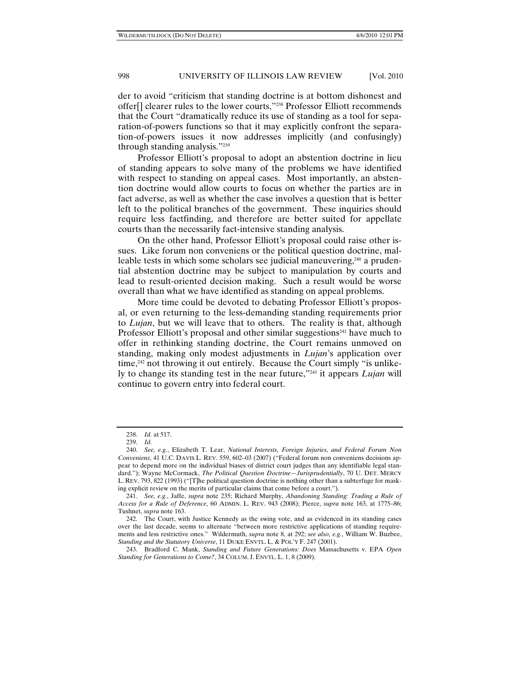der to avoid "criticism that standing doctrine is at bottom dishonest and offer[] clearer rules to the lower courts,"238 Professor Elliott recommends that the Court "dramatically reduce its use of standing as a tool for separation-of-powers functions so that it may explicitly confront the separation-of-powers issues it now addresses implicitly (and confusingly) through standing analysis."239

Professor Elliott's proposal to adopt an abstention doctrine in lieu of standing appears to solve many of the problems we have identified with respect to standing on appeal cases. Most importantly, an abstention doctrine would allow courts to focus on whether the parties are in fact adverse, as well as whether the case involves a question that is better left to the political branches of the government. These inquiries should require less factfinding, and therefore are better suited for appellate courts than the necessarily fact-intensive standing analysis.

On the other hand, Professor Elliott's proposal could raise other issues. Like forum non conveniens or the political question doctrine, malleable tests in which some scholars see judicial maneuvering,<sup>240</sup> a prudential abstention doctrine may be subject to manipulation by courts and lead to result-oriented decision making. Such a result would be worse overall than what we have identified as standing on appeal problems.

More time could be devoted to debating Professor Elliott's proposal, or even returning to the less-demanding standing requirements prior to *Lujan*, but we will leave that to others. The reality is that, although Professor Elliott's proposal and other similar suggestions<sup> $241$ </sup> have much to offer in rethinking standing doctrine, the Court remains unmoved on standing, making only modest adjustments in *Lujan*'s application over time,<sup>242</sup> not throwing it out entirely. Because the Court simply "is unlikely to change its standing test in the near future,"243 it appears *Lujan* will continue to govern entry into federal court.

 <sup>238.</sup> *Id.* at 517.

 <sup>239.</sup> *Id.*

 <sup>240.</sup> *See, e.g.*, Elizabeth T. Lear, *National Interests, Foreign Injuries, and Federal Forum Non Conveniens*, 41 U.C. DAVIS L. REV. 559, 602–03 (2007) ("Federal forum non conveniens decisions appear to depend more on the individual biases of district court judges than any identifiable legal standard."); Wayne McCormack, *The Political Question Doctrine—Jurisprudentially*, 70 U. DET. MERCY L. REV. 793, 822 (1993) ("[T]he political question doctrine is nothing other than a subterfuge for masking explicit review on the merits of particular claims that come before a court.").

 <sup>241.</sup> *See, e.g.*, Jaffe, *supra* note 235; Richard Murphy, *Abandoning Standing: Trading a Rule of Access for a Rule of Deference*, 60 ADMIN. L. REV. 943 (2008); Pierce, *supra* note 163, at 1775–86; Tushnet, *supra* note 163.

 <sup>242.</sup> The Court, with Justice Kennedy as the swing vote, and as evidenced in its standing cases over the last decade, seems to alternate "between more restrictive applications of standing requirements and less restrictive ones." Wildermuth, *supra* note 8, at 292; *see also, e.g.*, William W. Buzbee, *Standing and the Statutory Universe*, 11 DUKE ENVTL. L. & POL'Y F. 247 (2001).

 <sup>243.</sup> Bradford C. Mank, *Standing and Future Generations: Does* Massachusetts v. EPA *Open Standing for Generations to Come?*, 34 COLUM. J. ENVTL. L. 1, 8 (2009).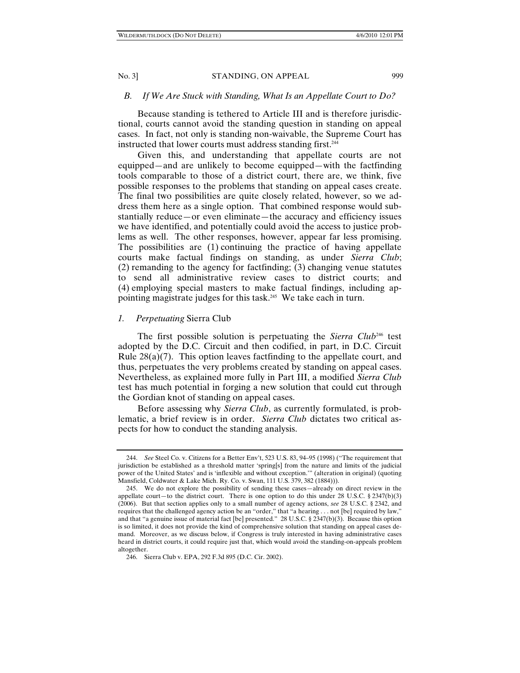# *B. If We Are Stuck with Standing, What Is an Appellate Court to Do?*

Because standing is tethered to Article III and is therefore jurisdictional, courts cannot avoid the standing question in standing on appeal cases. In fact, not only is standing non-waivable, the Supreme Court has instructed that lower courts must address standing first.<sup>244</sup>

Given this, and understanding that appellate courts are not equipped—and are unlikely to become equipped—with the factfinding tools comparable to those of a district court, there are, we think, five possible responses to the problems that standing on appeal cases create. The final two possibilities are quite closely related, however, so we address them here as a single option. That combined response would substantially reduce—or even eliminate—the accuracy and efficiency issues we have identified, and potentially could avoid the access to justice problems as well. The other responses, however, appear far less promising. The possibilities are (1) continuing the practice of having appellate courts make factual findings on standing, as under *Sierra Club*; (2) remanding to the agency for factfinding; (3) changing venue statutes to send all administrative review cases to district courts; and (4) employing special masters to make factual findings, including appointing magistrate judges for this task.245 We take each in turn.

# *1. Perpetuating* Sierra Club

The first possible solution is perpetuating the *Sierra Club*246 test adopted by the D.C. Circuit and then codified, in part, in D.C. Circuit Rule  $28(a)(7)$ . This option leaves factfinding to the appellate court, and thus, perpetuates the very problems created by standing on appeal cases. Nevertheless, as explained more fully in Part III, a modified *Sierra Club* test has much potential in forging a new solution that could cut through the Gordian knot of standing on appeal cases.

Before assessing why *Sierra Club*, as currently formulated, is problematic, a brief review is in order. *Sierra Club* dictates two critical aspects for how to conduct the standing analysis.

 <sup>244.</sup> *See* Steel Co. v. Citizens for a Better Env't, 523 U.S. 83, 94–95 (1998) ("The requirement that jurisdiction be established as a threshold matter 'spring[s] from the nature and limits of the judicial power of the United States' and is 'inflexible and without exception.'" (alteration in original) (quoting Mansfield, Coldwater & Lake Mich. Ry. Co. v. Swan, 111 U.S. 379, 382 (1884))).

 <sup>245.</sup> We do not explore the possibility of sending these cases—already on direct review in the appellate court—to the district court. There is one option to do this under 28 U.S.C. § 2347(b)(3) (2006). But that section applies only to a small number of agency actions, *see* 28 U.S.C. § 2342, and requires that the challenged agency action be an "order," that "a hearing . . . not [be] required by law," and that "a genuine issue of material fact [be] presented." 28 U.S.C. § 2347(b)(3). Because this option is so limited, it does not provide the kind of comprehensive solution that standing on appeal cases demand. Moreover, as we discuss below, if Congress is truly interested in having administrative cases heard in district courts, it could require just that, which would avoid the standing-on-appeals problem altogether.

 <sup>246.</sup> Sierra Club v. EPA, 292 F.3d 895 (D.C. Cir. 2002).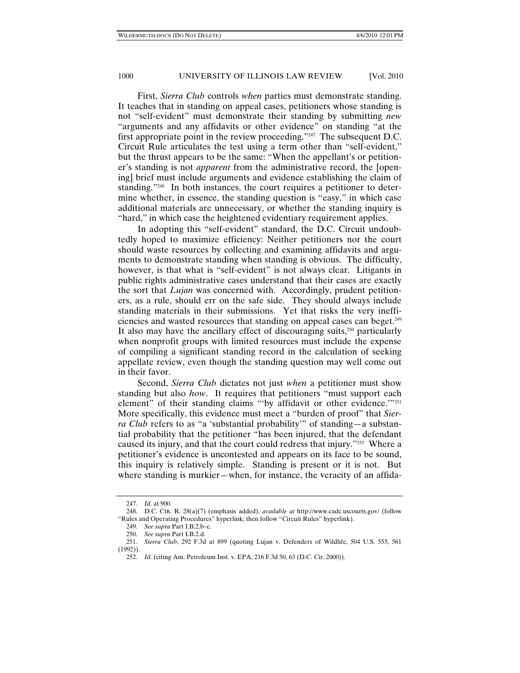First, *Sierra Club* controls *when* parties must demonstrate standing. It teaches that in standing on appeal cases, petitioners whose standing is not "self-evident" must demonstrate their standing by submitting *new* "arguments and any affidavits or other evidence" on standing "at the first appropriate point in the review proceeding."247 The subsequent D.C. Circuit Rule articulates the test using a term other than "self-evident," but the thrust appears to be the same: "When the appellant's or petitioner's standing is not *apparent* from the administrative record, the [opening] brief must include arguments and evidence establishing the claim of standing."248 In both instances, the court requires a petitioner to determine whether, in essence, the standing question is "easy," in which case additional materials are unnecessary, or whether the standing inquiry is "hard," in which case the heightened evidentiary requirement applies.

In adopting this "self-evident" standard, the D.C. Circuit undoubtedly hoped to maximize efficiency: Neither petitioners nor the court should waste resources by collecting and examining affidavits and arguments to demonstrate standing when standing is obvious. The difficulty, however, is that what is "self-evident" is not always clear. Litigants in public rights administrative cases understand that their cases are exactly the sort that *Lujan* was concerned with. Accordingly, prudent petitioners, as a rule, should err on the safe side. They should always include standing materials in their submissions. Yet that risks the very inefficiencies and wasted resources that standing on appeal cases can beget.249 It also may have the ancillary effect of discouraging suits, $250$  particularly when nonprofit groups with limited resources must include the expense of compiling a significant standing record in the calculation of seeking appellate review, even though the standing question may well come out in their favor.

Second, *Sierra Club* dictates not just *when* a petitioner must show standing but also *how*. It requires that petitioners "must support each element" of their standing claims "'by affidavit or other evidence."<sup>251</sup> More specifically, this evidence must meet a "burden of proof" that *Sierra Club* refers to as "a 'substantial probability'" of standing—a substantial probability that the petitioner "has been injured, that the defendant caused its injury, and that the court could redress that injury."252 Where a petitioner's evidence is uncontested and appears on its face to be sound, this inquiry is relatively simple. Standing is present or it is not. But where standing is murkier—when, for instance, the veracity of an affida-

 <sup>247.</sup> *Id.* at 900.

 <sup>248.</sup> D.C. CIR. R. 28(a)(7) (emphasis added), *available at* http://www.cadc.uscourts.gov/ (follow "Rules and Operating Procedures" hyperlink; then follow "Circuit Rules" hyperlink).

 <sup>249.</sup> *See supra* Part I.B.2.b–c.

 <sup>250.</sup> *See supra* Part I.B.2.d.

 <sup>251.</sup> *Sierra Club*, 292 F.3d at 899 (quoting Lujan v. Defenders of Wildlife, 504 U.S. 555, 561 (1992)).

 <sup>252.</sup> *Id.* (citing Am. Petroleum Inst. v. EPA, 216 F.3d 50, 63 (D.C. Cir. 2000)).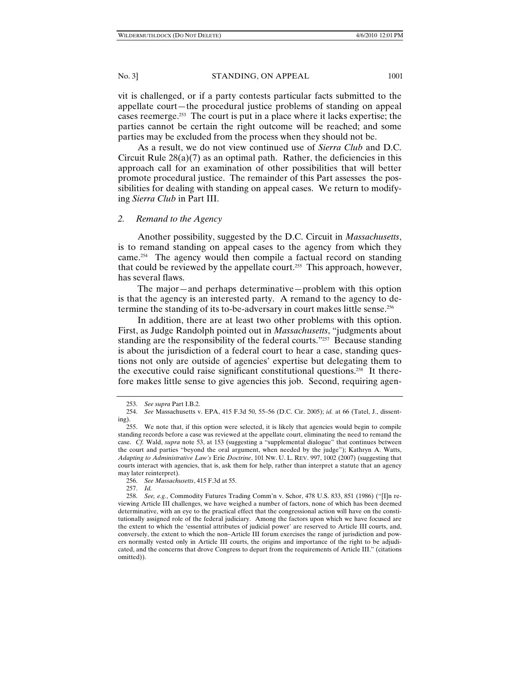vit is challenged, or if a party contests particular facts submitted to the appellate court—the procedural justice problems of standing on appeal cases reemerge.253 The court is put in a place where it lacks expertise; the parties cannot be certain the right outcome will be reached; and some parties may be excluded from the process when they should not be.

As a result, we do not view continued use of *Sierra Club* and D.C. Circuit Rule  $28(a)(7)$  as an optimal path. Rather, the deficiencies in this approach call for an examination of other possibilities that will better promote procedural justice. The remainder of this Part assesses the possibilities for dealing with standing on appeal cases. We return to modifying *Sierra Club* in Part III.

### *2. Remand to the Agency*

Another possibility, suggested by the D.C. Circuit in *Massachusetts*, is to remand standing on appeal cases to the agency from which they came.254 The agency would then compile a factual record on standing that could be reviewed by the appellate court.<sup>255</sup> This approach, however, has several flaws.

The major—and perhaps determinative—problem with this option is that the agency is an interested party. A remand to the agency to determine the standing of its to-be-adversary in court makes little sense.256

In addition, there are at least two other problems with this option. First, as Judge Randolph pointed out in *Massachusetts*, "judgments about standing are the responsibility of the federal courts."257Because standing is about the jurisdiction of a federal court to hear a case, standing questions not only are outside of agencies' expertise but delegating them to the executive could raise significant constitutional questions.258 It therefore makes little sense to give agencies this job. Second, requiring agen-

257. *Id.*

 <sup>253.</sup> *See supra* Part I.B.2.

 <sup>254.</sup> *See* Massachusetts v. EPA, 415 F.3d 50, 55–56 (D.C. Cir. 2005); *id.* at 66 (Tatel, J., dissenting).

 <sup>255.</sup> We note that, if this option were selected, it is likely that agencies would begin to compile standing records before a case was reviewed at the appellate court, eliminating the need to remand the case. *Cf.* Wald, *supra* note 53, at 153 (suggesting a "supplemental dialogue" that continues between the court and parties "beyond the oral argument, when needed by the judge"); Kathryn A. Watts, *Adapting to Administrative Law's* Erie *Doctrine*, 101 NW. U. L. REV. 997, 1002 (2007) (suggesting that courts interact with agencies, that is, ask them for help, rather than interpret a statute that an agency may later reinterpret).

 <sup>256.</sup> *See Massachusetts*, 415 F.3d at 55.

 <sup>258.</sup> *See, e.g.*, Commodity Futures Trading Comm'n v. Schor, 478 U.S. 833, 851 (1986) ("[I]n reviewing Article III challenges, we have weighed a number of factors, none of which has been deemed determinative, with an eye to the practical effect that the congressional action will have on the constitutionally assigned role of the federal judiciary. Among the factors upon which we have focused are the extent to which the 'essential attributes of judicial power' are reserved to Article III courts, and, conversely, the extent to which the non–Article III forum exercises the range of jurisdiction and powers normally vested only in Article III courts, the origins and importance of the right to be adjudicated, and the concerns that drove Congress to depart from the requirements of Article III." (citations omitted)).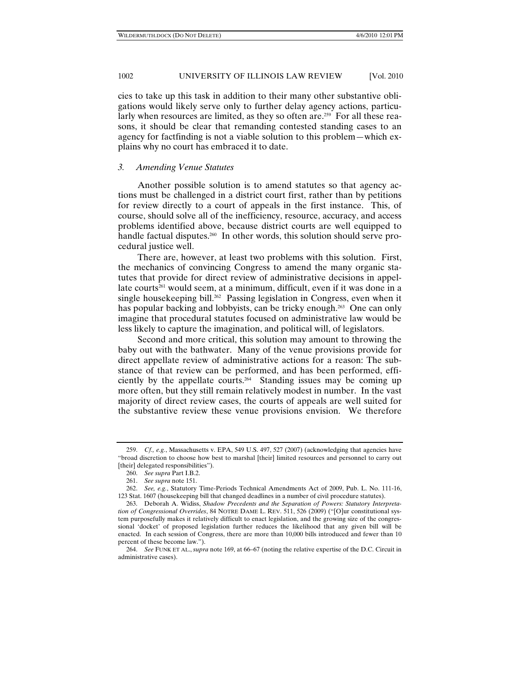cies to take up this task in addition to their many other substantive obligations would likely serve only to further delay agency actions, particularly when resources are limited, as they so often are.<sup>259</sup> For all these reasons, it should be clear that remanding contested standing cases to an agency for factfinding is not a viable solution to this problem—which explains why no court has embraced it to date.

#### *3. Amending Venue Statutes*

Another possible solution is to amend statutes so that agency actions must be challenged in a district court first, rather than by petitions for review directly to a court of appeals in the first instance. This, of course, should solve all of the inefficiency, resource, accuracy, and access problems identified above, because district courts are well equipped to handle factual disputes.<sup>260</sup> In other words, this solution should serve procedural justice well.

There are, however, at least two problems with this solution. First, the mechanics of convincing Congress to amend the many organic statutes that provide for direct review of administrative decisions in appellate courts<sup>261</sup> would seem, at a minimum, difficult, even if it was done in a single housekeeping bill.<sup>262</sup> Passing legislation in Congress, even when it has popular backing and lobbyists, can be tricky enough.<sup>263</sup> One can only imagine that procedural statutes focused on administrative law would be less likely to capture the imagination, and political will, of legislators.

Second and more critical, this solution may amount to throwing the baby out with the bathwater. Many of the venue provisions provide for direct appellate review of administrative actions for a reason: The substance of that review can be performed, and has been performed, efficiently by the appellate courts.264 Standing issues may be coming up more often, but they still remain relatively modest in number. In the vast majority of direct review cases, the courts of appeals are well suited for the substantive review these venue provisions envision. We therefore

 <sup>259.</sup> *Cf., e.g.*, Massachusetts v. EPA, 549 U.S. 497, 527 (2007) (acknowledging that agencies have "broad discretion to choose how best to marshal [their] limited resources and personnel to carry out [their] delegated responsibilities").

 <sup>260.</sup> *See supra* Part I.B.2.

 <sup>261.</sup> *See supra* note 151.

 <sup>262.</sup> *See, e.g.*, Statutory Time-Periods Technical Amendments Act of 2009, Pub. L. No. 111-16, 123 Stat. 1607 (housekeeping bill that changed deadlines in a number of civil procedure statutes).

 <sup>263.</sup> Deborah A. Widiss, *Shadow Precedents and the Separation of Powers: Statutory Interpretation of Congressional Overrides*, 84 NOTRE DAME L. REV. 511, 526 (2009) ("[O]ur constitutional system purposefully makes it relatively difficult to enact legislation, and the growing size of the congressional 'docket' of proposed legislation further reduces the likelihood that any given bill will be enacted. In each session of Congress, there are more than 10,000 bills introduced and fewer than 10 percent of these become law.").

 <sup>264.</sup> *See* FUNK ET AL., *supra* note 169, at 66–67 (noting the relative expertise of the D.C. Circuit in administrative cases).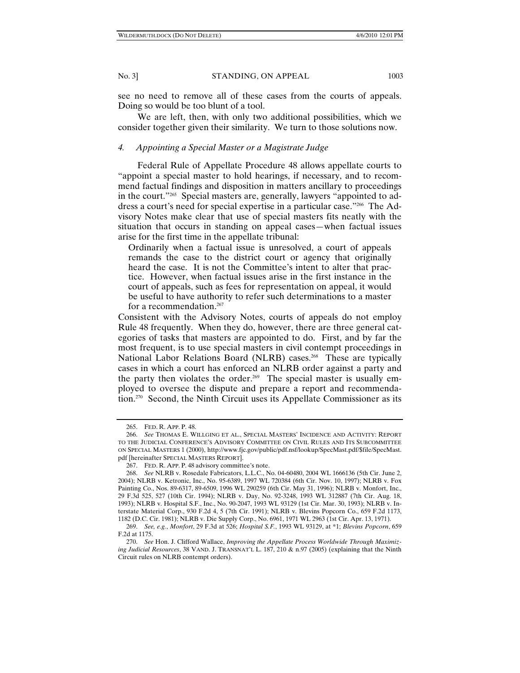see no need to remove all of these cases from the courts of appeals. Doing so would be too blunt of a tool.

We are left, then, with only two additional possibilities, which we consider together given their similarity. We turn to those solutions now.

#### *4. Appointing a Special Master or a Magistrate Judge*

Federal Rule of Appellate Procedure 48 allows appellate courts to "appoint a special master to hold hearings, if necessary, and to recommend factual findings and disposition in matters ancillary to proceedings in the court."265 Special masters are, generally, lawyers "appointed to address a court's need for special expertise in a particular case."266 The Advisory Notes make clear that use of special masters fits neatly with the situation that occurs in standing on appeal cases—when factual issues arise for the first time in the appellate tribunal:

Ordinarily when a factual issue is unresolved, a court of appeals remands the case to the district court or agency that originally heard the case. It is not the Committee's intent to alter that practice. However, when factual issues arise in the first instance in the court of appeals, such as fees for representation on appeal, it would be useful to have authority to refer such determinations to a master for a recommendation.267

Consistent with the Advisory Notes, courts of appeals do not employ Rule 48 frequently. When they do, however, there are three general categories of tasks that masters are appointed to do. First, and by far the most frequent, is to use special masters in civil contempt proceedings in National Labor Relations Board (NLRB) cases.<sup>268</sup> These are typically cases in which a court has enforced an NLRB order against a party and the party then violates the order.<sup>269</sup> The special master is usually employed to oversee the dispute and prepare a report and recommendation.270 Second, the Ninth Circuit uses its Appellate Commissioner as its

 <sup>265.</sup> FED. R. APP. P. 48.

 <sup>266.</sup> *See* THOMAS E. WILLGING ET AL., SPECIAL MASTERS' INCIDENCE AND ACTIVITY: REPORT TO THE JUDICIAL CONFERENCE'S ADVISORY COMMITTEE ON CIVIL RULES AND ITS SUBCOMMITTEE ON SPECIAL MASTERS 1 (2000), http://www.fjc.gov/public/pdf.nsf/lookup/SpecMast.pdf/\$file/SpecMast. pdf [hereinafter SPECIAL MASTERS REPORT].

 <sup>267.</sup> FED. R. APP. P. 48 advisory committee's note.

 <sup>268.</sup> *See* NLRB v. Rosedale Fabricators, L.L.C., No. 04-60480, 2004 WL 1666136 (5th Cir. June 2, 2004); NLRB v. Ketronic, Inc., No. 95-6389, 1997 WL 720384 (6th Cir. Nov. 10, 1997); NLRB v. Fox Painting Co., Nos. 89-6317, 89-6509, 1996 WL 290259 (6th Cir. May 31, 1996); NLRB v. Monfort, Inc., 29 F.3d 525, 527 (10th Cir. 1994); NLRB v. Day, No. 92-3248, 1993 WL 312887 (7th Cir. Aug. 18, 1993); NLRB v. Hospital S.F., Inc., No. 90-2047, 1993 WL 93129 (1st Cir. Mar. 30, 1993); NLRB v. Interstate Material Corp., 930 F.2d 4, 5 (7th Cir. 1991); NLRB v. Blevins Popcorn Co., 659 F.2d 1173, 1182 (D.C. Cir. 1981); NLRB v. Die Supply Corp., No. 6961, 1971 WL 2963 (1st Cir. Apr. 13, 1971).

 <sup>269.</sup> *See, e.g.*, *Monfort*, 29 F.3d at 526; *Hospital S.F.*, 1993 WL 93129, at \*1; *Blevins Popcorn*, 659 F.2d at 1175.

 <sup>270.</sup> *See* Hon. J. Clifford Wallace, *Improving the Appellate Process Worldwide Through Maximizing Judicial Resources*, 38 VAND. J. TRANSNAT'L L. 187, 210 & n.97 (2005) (explaining that the Ninth Circuit rules on NLRB contempt orders).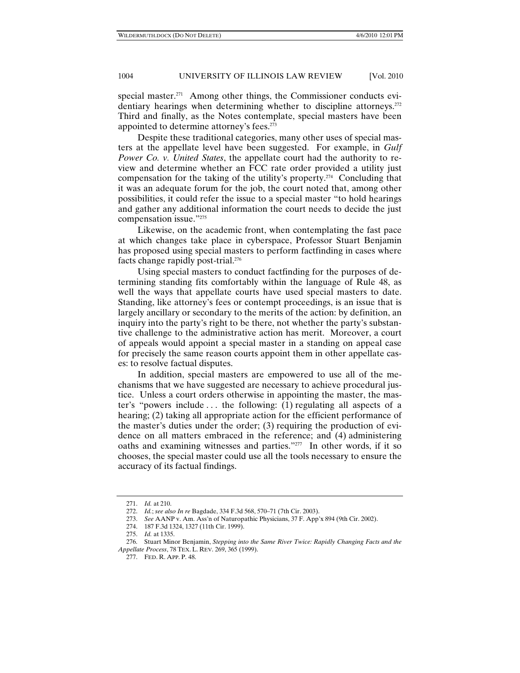special master.<sup>271</sup> Among other things, the Commissioner conducts evidentiary hearings when determining whether to discipline attorneys.<sup>272</sup> Third and finally, as the Notes contemplate, special masters have been appointed to determine attorney's fees.<sup>273</sup>

Despite these traditional categories, many other uses of special masters at the appellate level have been suggested. For example, in *Gulf Power Co. v. United States*, the appellate court had the authority to review and determine whether an FCC rate order provided a utility just compensation for the taking of the utility's property.<sup>274</sup> Concluding that it was an adequate forum for the job, the court noted that, among other possibilities, it could refer the issue to a special master "to hold hearings and gather any additional information the court needs to decide the just compensation issue."275

Likewise, on the academic front, when contemplating the fast pace at which changes take place in cyberspace, Professor Stuart Benjamin has proposed using special masters to perform factfinding in cases where facts change rapidly post-trial.276

Using special masters to conduct factfinding for the purposes of determining standing fits comfortably within the language of Rule 48, as well the ways that appellate courts have used special masters to date. Standing, like attorney's fees or contempt proceedings, is an issue that is largely ancillary or secondary to the merits of the action: by definition, an inquiry into the party's right to be there, not whether the party's substantive challenge to the administrative action has merit. Moreover, a court of appeals would appoint a special master in a standing on appeal case for precisely the same reason courts appoint them in other appellate cases: to resolve factual disputes.

In addition, special masters are empowered to use all of the mechanisms that we have suggested are necessary to achieve procedural justice. Unless a court orders otherwise in appointing the master, the master's "powers include . . . the following: (1) regulating all aspects of a hearing; (2) taking all appropriate action for the efficient performance of the master's duties under the order; (3) requiring the production of evidence on all matters embraced in the reference; and (4) administering oaths and examining witnesses and parties."277 In other words, if it so chooses, the special master could use all the tools necessary to ensure the accuracy of its factual findings.

 <sup>271.</sup> *Id.* at 210.

 <sup>272.</sup> *Id.*; *see also In re* Bagdade, 334 F.3d 568, 570–71 (7th Cir. 2003).

 <sup>273.</sup> *See* AANP v. Am. Ass'n of Naturopathic Physicians, 37 F. App'x 894 (9th Cir. 2002).

 <sup>274. 187</sup> F.3d 1324, 1327 (11th Cir. 1999).

 <sup>275.</sup> *Id.* at 1335.

 <sup>276.</sup> Stuart Minor Benjamin, *Stepping into the Same River Twice: Rapidly Changing Facts and the Appellate Process*, 78 TEX. L. REV. 269, 365 (1999).

 <sup>277.</sup> FED. R. APP. P. 48.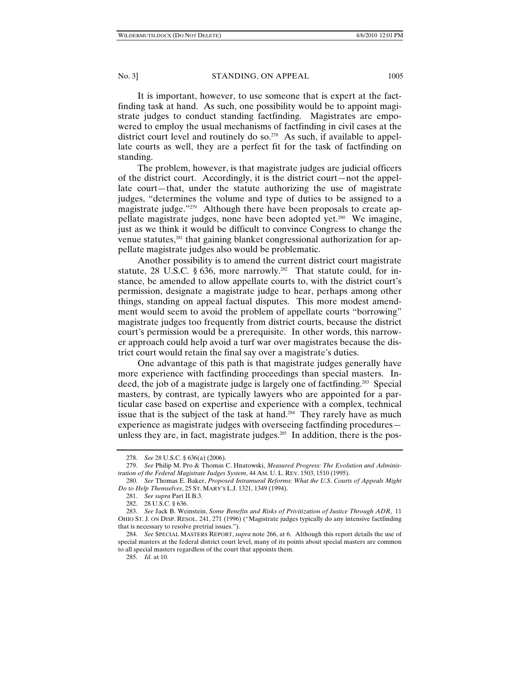It is important, however, to use someone that is expert at the factfinding task at hand. As such, one possibility would be to appoint magistrate judges to conduct standing factfinding. Magistrates are empowered to employ the usual mechanisms of factfinding in civil cases at the district court level and routinely do so.<sup>278</sup> As such, if available to appellate courts as well, they are a perfect fit for the task of factfinding on standing.

The problem, however, is that magistrate judges are judicial officers of the district court. Accordingly, it is the district court—not the appellate court—that, under the statute authorizing the use of magistrate judges, "determines the volume and type of duties to be assigned to a magistrate judge."279 Although there have been proposals to create appellate magistrate judges, none have been adopted yet.280 We imagine, just as we think it would be difficult to convince Congress to change the venue statutes,<sup>281</sup> that gaining blanket congressional authorization for appellate magistrate judges also would be problematic.

Another possibility is to amend the current district court magistrate statute, 28 U.S.C. § 636, more narrowly.<sup>282</sup> That statute could, for instance, be amended to allow appellate courts to, with the district court's permission, designate a magistrate judge to hear, perhaps among other things, standing on appeal factual disputes. This more modest amendment would seem to avoid the problem of appellate courts "borrowing" magistrate judges too frequently from district courts, because the district court's permission would be a prerequisite. In other words, this narrower approach could help avoid a turf war over magistrates because the district court would retain the final say over a magistrate's duties.

One advantage of this path is that magistrate judges generally have more experience with factfinding proceedings than special masters. Indeed, the job of a magistrate judge is largely one of factfinding.283 Special masters, by contrast, are typically lawyers who are appointed for a particular case based on expertise and experience with a complex, technical issue that is the subject of the task at hand.<sup>284</sup> They rarely have as much experience as magistrate judges with overseeing factfinding procedures unless they are, in fact, magistrate judges.<sup>285</sup> In addition, there is the pos-

 <sup>278.</sup> *See* 28 U.S.C. § 636(a) (2006).

 <sup>279.</sup> *See* Philip M. Pro & Thomas C. Hnatowski, *Measured Progress: The Evolution and Administration of the Federal Magistrate Judges System*, 44 AM. U. L. REV. 1503, 1510 (1995).

 <sup>280.</sup> *See* Thomas E. Baker, *Proposed Intramural Reforms: What the U*.*S*. *Courts of Appeals Might Do to Help Themselves*, 25 ST. MARY'S L.J. 1321, 1349 (1994).

 <sup>281.</sup> *See supra* Part II.B.3.

 <sup>282. 28</sup> U.S.C. § 636.

 <sup>283.</sup> *See* Jack B. Weinstein, *Some Benefits and Risks of Privitization of Justice Through ADR*, 11 OHIO ST. J. ON DISP. RESOL. 241, 271 (1996) ("Magistrate judges typically do any intensive factfinding that is necessary to resolve pretrial issues.").

 <sup>284.</sup> *See* SPECIAL MASTERS REPORT, *supra* note 266, at 6. Although this report details the use of special masters at the federal district court level, many of its points about special masters are common to all special masters regardless of the court that appoints them.

 <sup>285.</sup> *Id.* at 10.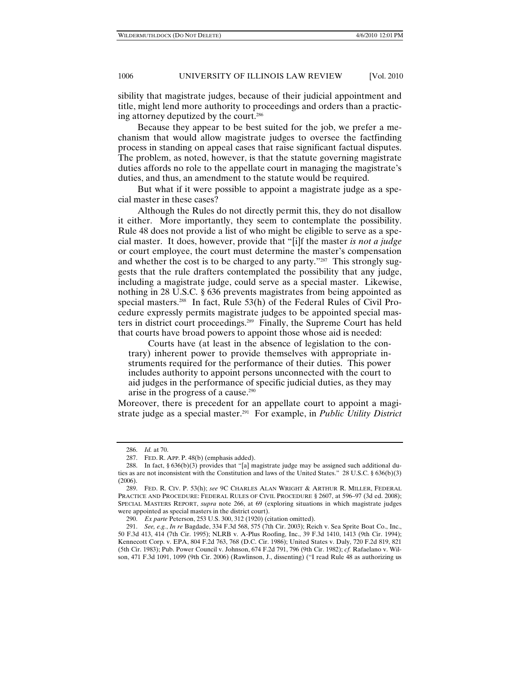sibility that magistrate judges, because of their judicial appointment and title, might lend more authority to proceedings and orders than a practicing attorney deputized by the court.286

Because they appear to be best suited for the job, we prefer a mechanism that would allow magistrate judges to oversee the factfinding process in standing on appeal cases that raise significant factual disputes. The problem, as noted, however, is that the statute governing magistrate duties affords no role to the appellate court in managing the magistrate's duties, and thus, an amendment to the statute would be required.

But what if it were possible to appoint a magistrate judge as a special master in these cases?

Although the Rules do not directly permit this, they do not disallow it either. More importantly, they seem to contemplate the possibility. Rule 48 does not provide a list of who might be eligible to serve as a special master. It does, however, provide that "[i]f the master *is not a judge* or court employee, the court must determine the master's compensation and whether the cost is to be charged to any party."<sup>287</sup> This strongly suggests that the rule drafters contemplated the possibility that any judge, including a magistrate judge, could serve as a special master. Likewise, nothing in 28 U.S.C. § 636 prevents magistrates from being appointed as special masters.288 In fact, Rule 53(h) of the Federal Rules of Civil Procedure expressly permits magistrate judges to be appointed special masters in district court proceedings.289 Finally, the Supreme Court has held that courts have broad powers to appoint those whose aid is needed:

Courts have (at least in the absence of legislation to the contrary) inherent power to provide themselves with appropriate instruments required for the performance of their duties. This power includes authority to appoint persons unconnected with the court to aid judges in the performance of specific judicial duties, as they may arise in the progress of a cause.290

Moreover, there is precedent for an appellate court to appoint a magistrate judge as a special master.<sup>291</sup> For example, in *Public Utility District* 

 <sup>286.</sup> *Id.* at 70.

 <sup>287.</sup> FED. R. APP. P. 48(b) (emphasis added).

 <sup>288.</sup> In fact, § 636(b)(3) provides that "[a] magistrate judge may be assigned such additional duties as are not inconsistent with the Constitution and laws of the United States." 28 U.S.C. § 636(b)(3) (2006).

 <sup>289.</sup> FED. R. CIV. P. 53(h); *see* 9C CHARLES ALAN WRIGHT & ARTHUR R. MILLER, FEDERAL PRACTICE AND PROCEDURE: FEDERAL RULES OF CIVIL PROCEDURE § 2607, at 596–97 (3d ed. 2008); SPECIAL MASTERS REPORT, *supra* note 266, at 69 (exploring situations in which magistrate judges were appointed as special masters in the district court).

 <sup>290.</sup> *Ex parte* Peterson, 253 U.S. 300, 312 (1920) (citation omitted).

 <sup>291.</sup> *See, e.g.*, *In re* Bagdade, 334 F.3d 568, 575 (7th Cir. 2003); Reich v. Sea Sprite Boat Co., Inc., 50 F.3d 413, 414 (7th Cir. 1995); NLRB v. A-Plus Roofing, Inc., 39 F.3d 1410, 1413 (9th Cir. 1994); Kennecott Corp. v. EPA, 804 F.2d 763, 768 (D.C. Cir. 1986); United States v. Daly, 720 F.2d 819, 821 (5th Cir. 1983); Pub. Power Council v. Johnson, 674 F.2d 791, 796 (9th Cir. 1982); *cf.* Rafaelano v. Wilson, 471 F.3d 1091, 1099 (9th Cir. 2006) (Rawlinson, J., dissenting) ("I read Rule 48 as authorizing us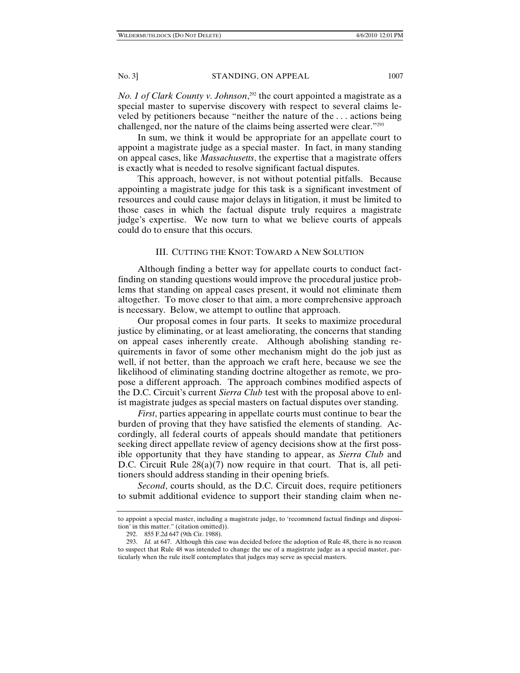*No. 1 of Clark County v. Johnson*, 292 the court appointed a magistrate as a special master to supervise discovery with respect to several claims leveled by petitioners because "neither the nature of the . . . actions being challenged, nor the nature of the claims being asserted were clear."293

In sum, we think it would be appropriate for an appellate court to appoint a magistrate judge as a special master. In fact, in many standing on appeal cases, like *Massachusetts*, the expertise that a magistrate offers is exactly what is needed to resolve significant factual disputes.

This approach, however, is not without potential pitfalls. Because appointing a magistrate judge for this task is a significant investment of resources and could cause major delays in litigation, it must be limited to those cases in which the factual dispute truly requires a magistrate judge's expertise. We now turn to what we believe courts of appeals could do to ensure that this occurs.

# III. CUTTING THE KNOT: TOWARD A NEW SOLUTION

Although finding a better way for appellate courts to conduct factfinding on standing questions would improve the procedural justice problems that standing on appeal cases present, it would not eliminate them altogether. To move closer to that aim, a more comprehensive approach is necessary. Below, we attempt to outline that approach.

Our proposal comes in four parts. It seeks to maximize procedural justice by eliminating, or at least ameliorating, the concerns that standing on appeal cases inherently create. Although abolishing standing requirements in favor of some other mechanism might do the job just as well, if not better, than the approach we craft here, because we see the likelihood of eliminating standing doctrine altogether as remote, we propose a different approach. The approach combines modified aspects of the D.C. Circuit's current *Sierra Club* test with the proposal above to enlist magistrate judges as special masters on factual disputes over standing.

*First*, parties appearing in appellate courts must continue to bear the burden of proving that they have satisfied the elements of standing. Accordingly, all federal courts of appeals should mandate that petitioners seeking direct appellate review of agency decisions show at the first possible opportunity that they have standing to appear, as *Sierra Club* and D.C. Circuit Rule 28(a)(7) now require in that court. That is, all petitioners should address standing in their opening briefs.

*Second*, courts should, as the D.C. Circuit does, require petitioners to submit additional evidence to support their standing claim when ne-

to appoint a special master, including a magistrate judge, to 'recommend factual findings and disposition' in this matter." (citation omitted)).

 <sup>292. 855</sup> F.2d 647 (9th Cir. 1988).

 <sup>293.</sup> *Id.* at 647. Although this case was decided before the adoption of Rule 48, there is no reason to suspect that Rule 48 was intended to change the use of a magistrate judge as a special master, particularly when the rule itself contemplates that judges may serve as special masters.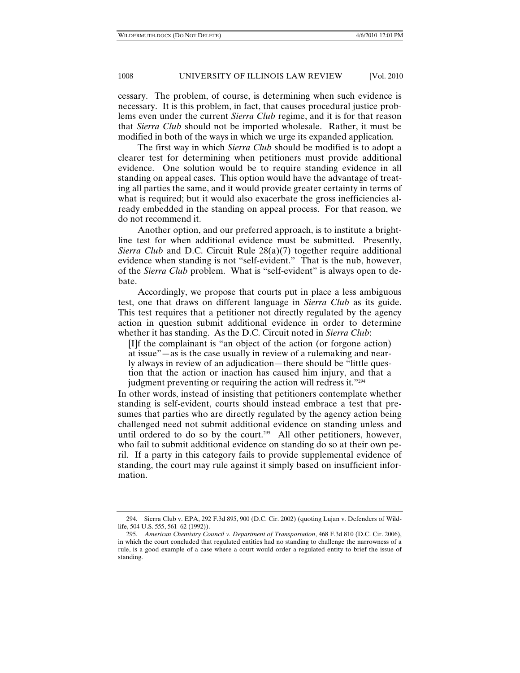cessary. The problem, of course, is determining when such evidence is necessary. It is this problem, in fact, that causes procedural justice problems even under the current *Sierra Club* regime, and it is for that reason that *Sierra Club* should not be imported wholesale. Rather, it must be modified in both of the ways in which we urge its expanded application*.*

The first way in which *Sierra Club* should be modified is to adopt a clearer test for determining when petitioners must provide additional evidence. One solution would be to require standing evidence in all standing on appeal cases. This option would have the advantage of treating all parties the same, and it would provide greater certainty in terms of what is required; but it would also exacerbate the gross inefficiencies already embedded in the standing on appeal process. For that reason, we do not recommend it.

Another option, and our preferred approach, is to institute a brightline test for when additional evidence must be submitted. Presently, *Sierra Club* and D.C. Circuit Rule 28(a)(7) together require additional evidence when standing is not "self-evident." That is the nub, however, of the *Sierra Club* problem. What is "self-evident" is always open to debate.

Accordingly, we propose that courts put in place a less ambiguous test, one that draws on different language in *Sierra Club* as its guide. This test requires that a petitioner not directly regulated by the agency action in question submit additional evidence in order to determine whether it has standing. As the D.C. Circuit noted in *Sierra Club*:

[I]f the complainant is "an object of the action (or forgone action) at issue"—as is the case usually in review of a rulemaking and nearly always in review of an adjudication—there should be "little question that the action or inaction has caused him injury, and that a judgment preventing or requiring the action will redress it."294

In other words, instead of insisting that petitioners contemplate whether standing is self-evident, courts should instead embrace a test that presumes that parties who are directly regulated by the agency action being challenged need not submit additional evidence on standing unless and until ordered to do so by the court.<sup>295</sup> All other petitioners, however, who fail to submit additional evidence on standing do so at their own peril. If a party in this category fails to provide supplemental evidence of standing, the court may rule against it simply based on insufficient information.

 <sup>294.</sup> Sierra Club v. EPA, 292 F.3d 895, 900 (D.C. Cir. 2002) (quoting Lujan v. Defenders of Wildlife, 504 U.S. 555, 561–62 (1992)).

 <sup>295.</sup> *American Chemistry Council v. Department of Transportation*, 468 F.3d 810 (D.C. Cir. 2006), in which the court concluded that regulated entities had no standing to challenge the narrowness of a rule, is a good example of a case where a court would order a regulated entity to brief the issue of standing.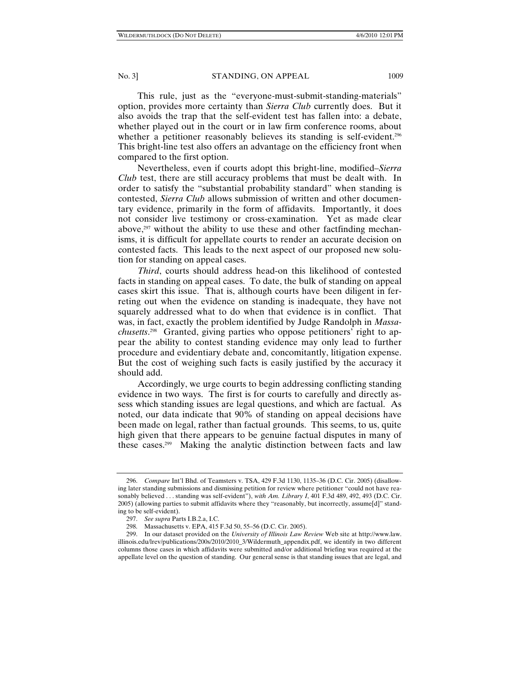This rule, just as the "everyone-must-submit-standing-materials" option, provides more certainty than *Sierra Club* currently does. But it also avoids the trap that the self-evident test has fallen into: a debate, whether played out in the court or in law firm conference rooms, about whether a petitioner reasonably believes its standing is self-evident.<sup>296</sup> This bright-line test also offers an advantage on the efficiency front when compared to the first option.

Nevertheless, even if courts adopt this bright-line, modified–*Sierra Club* test, there are still accuracy problems that must be dealt with. In order to satisfy the "substantial probability standard" when standing is contested, *Sierra Club* allows submission of written and other documentary evidence, primarily in the form of affidavits. Importantly, it does not consider live testimony or cross-examination. Yet as made clear above, $297$  without the ability to use these and other factfinding mechanisms, it is difficult for appellate courts to render an accurate decision on contested facts. This leads to the next aspect of our proposed new solution for standing on appeal cases.

*Third*, courts should address head-on this likelihood of contested facts in standing on appeal cases. To date, the bulk of standing on appeal cases skirt this issue. That is, although courts have been diligent in ferreting out when the evidence on standing is inadequate, they have not squarely addressed what to do when that evidence is in conflict. That was, in fact, exactly the problem identified by Judge Randolph in *Massachusetts*. 298 Granted, giving parties who oppose petitioners' right to appear the ability to contest standing evidence may only lead to further procedure and evidentiary debate and, concomitantly, litigation expense. But the cost of weighing such facts is easily justified by the accuracy it should add.

Accordingly, we urge courts to begin addressing conflicting standing evidence in two ways. The first is for courts to carefully and directly assess which standing issues are legal questions, and which are factual. As noted, our data indicate that 90% of standing on appeal decisions have been made on legal, rather than factual grounds. This seems, to us, quite high given that there appears to be genuine factual disputes in many of these cases.299 Making the analytic distinction between facts and law

 <sup>296.</sup> *Compare* Int'l Bhd. of Teamsters v. TSA, 429 F.3d 1130, 1135–36 (D.C. Cir. 2005) (disallowing later standing submissions and dismissing petition for review where petitioner "could not have reasonably believed . . . standing was self-evident"), *with Am. Library I*, 401 F.3d 489, 492, 493 (D.C. Cir. 2005) (allowing parties to submit affidavits where they "reasonably, but incorrectly, assume[d]" standing to be self-evident).

 <sup>297.</sup> *See supra* Parts I.B.2.a, I.C.

 <sup>298.</sup> Massachusetts v. EPA, 415 F.3d 50, 55–56 (D.C. Cir. 2005).

 <sup>299.</sup> In our dataset provided on the *University of Illinois Law Review* Web site at http://www.law. illinois.edu/lrev/publications/200s/2010/2010\_3/Wildermuth\_appendix.pdf, we identify in two different columns those cases in which affidavits were submitted and/or additional briefing was required at the appellate level on the question of standing. Our general sense is that standing issues that are legal, and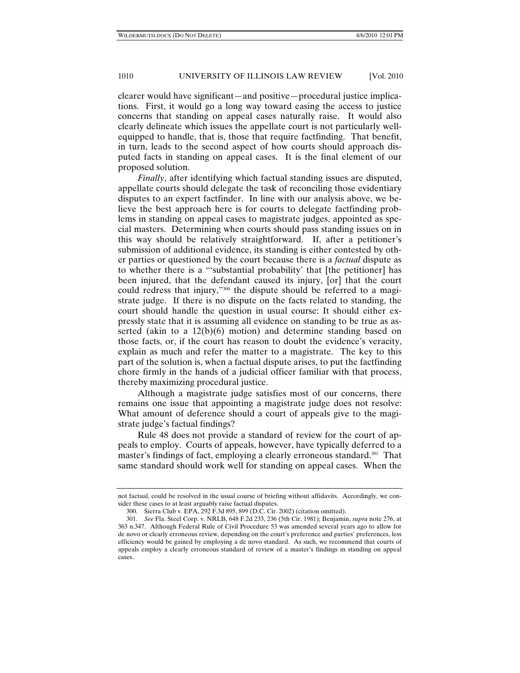clearer would have significant—and positive—procedural justice implications. First, it would go a long way toward easing the access to justice concerns that standing on appeal cases naturally raise. It would also clearly delineate which issues the appellate court is not particularly wellequipped to handle, that is, those that require factfinding. That benefit, in turn, leads to the second aspect of how courts should approach disputed facts in standing on appeal cases. It is the final element of our proposed solution.

*Finally*, after identifying which factual standing issues are disputed, appellate courts should delegate the task of reconciling those evidentiary disputes to an expert factfinder. In line with our analysis above, we believe the best approach here is for courts to delegate factfinding problems in standing on appeal cases to magistrate judges, appointed as special masters. Determining when courts should pass standing issues on in this way should be relatively straightforward. If, after a petitioner's submission of additional evidence, its standing is either contested by other parties or questioned by the court because there is a *factual* dispute as to whether there is a "'substantial probability' that [the petitioner] has been injured, that the defendant caused its injury, [or] that the court could redress that injury,"300 the dispute should be referred to a magistrate judge. If there is no dispute on the facts related to standing, the court should handle the question in usual course: It should either expressly state that it is assuming all evidence on standing to be true as asserted (akin to a 12(b)(6) motion) and determine standing based on those facts, or, if the court has reason to doubt the evidence's veracity, explain as much and refer the matter to a magistrate. The key to this part of the solution is, when a factual dispute arises, to put the factfinding chore firmly in the hands of a judicial officer familiar with that process, thereby maximizing procedural justice.

Although a magistrate judge satisfies most of our concerns, there remains one issue that appointing a magistrate judge does not resolve: What amount of deference should a court of appeals give to the magistrate judge's factual findings?

Rule 48 does not provide a standard of review for the court of appeals to employ. Courts of appeals, however, have typically deferred to a master's findings of fact, employing a clearly erroneous standard.301 That same standard should work well for standing on appeal cases. When the

not factual, could be resolved in the usual course of briefing without affidavits. Accordingly, we consider these cases to at least arguably raise factual disputes.

 <sup>300.</sup> Sierra Club v. EPA, 292 F.3d 895, 899 (D.C. Cir. 2002) (citation omitted).

 <sup>301.</sup> *See* Fla. Steel Corp. v. NRLB, 648 F.2d 233, 236 (5th Cir. 1981); Benjamin, *supra* note 276, at 363 n.347. Although Federal Rule of Civil Procedure 53 was amended several years ago to allow for de novo or clearly erroneous review, depending on the court's preference and parties' preferences, less efficiency would be gained by employing a de novo standard. As such, we recommend that courts of appeals employ a clearly erroneous standard of review of a master's findings in standing on appeal cases.